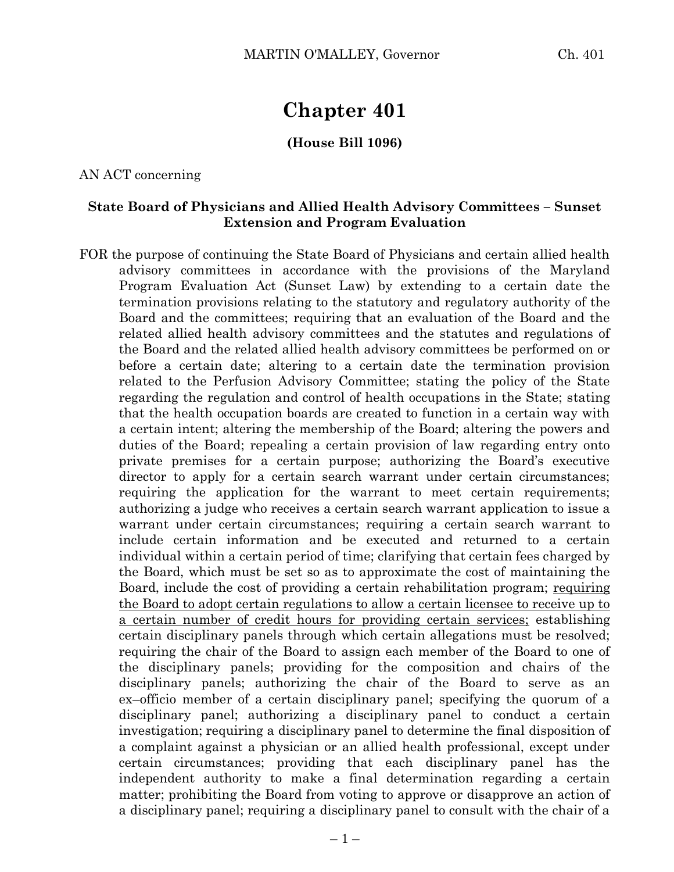# **Chapter 401**

#### **(House Bill 1096)**

AN ACT concerning

#### **State Board of Physicians and Allied Health Advisory Committees – Sunset Extension and Program Evaluation**

FOR the purpose of continuing the State Board of Physicians and certain allied health advisory committees in accordance with the provisions of the Maryland Program Evaluation Act (Sunset Law) by extending to a certain date the termination provisions relating to the statutory and regulatory authority of the Board and the committees; requiring that an evaluation of the Board and the related allied health advisory committees and the statutes and regulations of the Board and the related allied health advisory committees be performed on or before a certain date; altering to a certain date the termination provision related to the Perfusion Advisory Committee; stating the policy of the State regarding the regulation and control of health occupations in the State; stating that the health occupation boards are created to function in a certain way with a certain intent; altering the membership of the Board; altering the powers and duties of the Board; repealing a certain provision of law regarding entry onto private premises for a certain purpose; authorizing the Board's executive director to apply for a certain search warrant under certain circumstances; requiring the application for the warrant to meet certain requirements; authorizing a judge who receives a certain search warrant application to issue a warrant under certain circumstances; requiring a certain search warrant to include certain information and be executed and returned to a certain individual within a certain period of time; clarifying that certain fees charged by the Board, which must be set so as to approximate the cost of maintaining the Board, include the cost of providing a certain rehabilitation program; requiring the Board to adopt certain regulations to allow a certain licensee to receive up to a certain number of credit hours for providing certain services; establishing certain disciplinary panels through which certain allegations must be resolved; requiring the chair of the Board to assign each member of the Board to one of the disciplinary panels; providing for the composition and chairs of the disciplinary panels; authorizing the chair of the Board to serve as an ex–officio member of a certain disciplinary panel; specifying the quorum of a disciplinary panel; authorizing a disciplinary panel to conduct a certain investigation; requiring a disciplinary panel to determine the final disposition of a complaint against a physician or an allied health professional, except under certain circumstances; providing that each disciplinary panel has the independent authority to make a final determination regarding a certain matter; prohibiting the Board from voting to approve or disapprove an action of a disciplinary panel; requiring a disciplinary panel to consult with the chair of a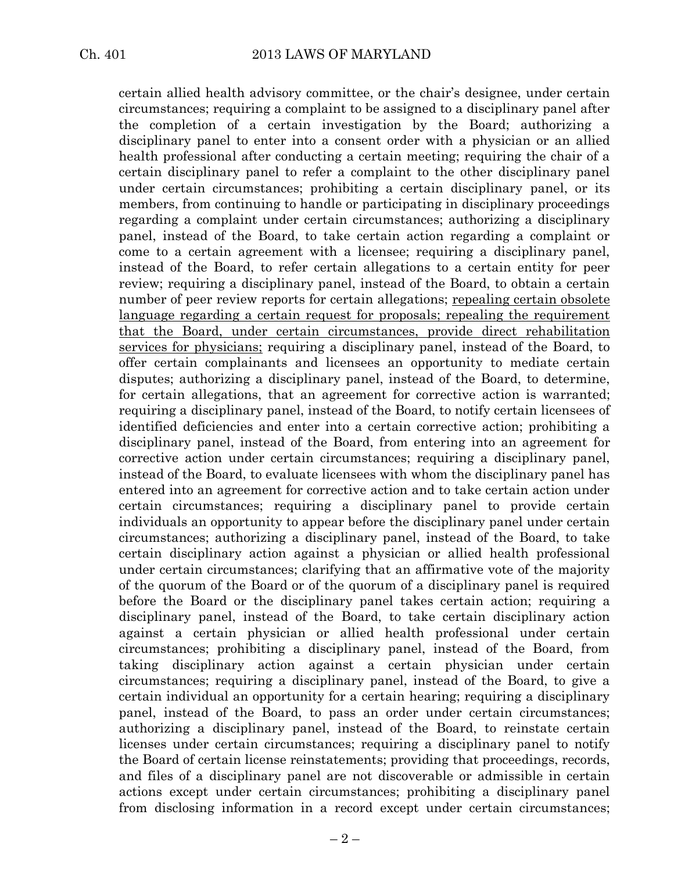certain allied health advisory committee, or the chair's designee, under certain circumstances; requiring a complaint to be assigned to a disciplinary panel after the completion of a certain investigation by the Board; authorizing a disciplinary panel to enter into a consent order with a physician or an allied health professional after conducting a certain meeting; requiring the chair of a certain disciplinary panel to refer a complaint to the other disciplinary panel under certain circumstances; prohibiting a certain disciplinary panel, or its members, from continuing to handle or participating in disciplinary proceedings regarding a complaint under certain circumstances; authorizing a disciplinary panel, instead of the Board, to take certain action regarding a complaint or come to a certain agreement with a licensee; requiring a disciplinary panel, instead of the Board, to refer certain allegations to a certain entity for peer review; requiring a disciplinary panel, instead of the Board, to obtain a certain number of peer review reports for certain allegations; repealing certain obsolete language regarding a certain request for proposals; repealing the requirement that the Board, under certain circumstances, provide direct rehabilitation services for physicians; requiring a disciplinary panel, instead of the Board, to offer certain complainants and licensees an opportunity to mediate certain disputes; authorizing a disciplinary panel, instead of the Board, to determine, for certain allegations, that an agreement for corrective action is warranted; requiring a disciplinary panel, instead of the Board, to notify certain licensees of identified deficiencies and enter into a certain corrective action; prohibiting a disciplinary panel, instead of the Board, from entering into an agreement for corrective action under certain circumstances; requiring a disciplinary panel, instead of the Board, to evaluate licensees with whom the disciplinary panel has entered into an agreement for corrective action and to take certain action under certain circumstances; requiring a disciplinary panel to provide certain individuals an opportunity to appear before the disciplinary panel under certain circumstances; authorizing a disciplinary panel, instead of the Board, to take certain disciplinary action against a physician or allied health professional under certain circumstances; clarifying that an affirmative vote of the majority of the quorum of the Board or of the quorum of a disciplinary panel is required before the Board or the disciplinary panel takes certain action; requiring a disciplinary panel, instead of the Board, to take certain disciplinary action against a certain physician or allied health professional under certain circumstances; prohibiting a disciplinary panel, instead of the Board, from taking disciplinary action against a certain physician under certain circumstances; requiring a disciplinary panel, instead of the Board, to give a certain individual an opportunity for a certain hearing; requiring a disciplinary panel, instead of the Board, to pass an order under certain circumstances; authorizing a disciplinary panel, instead of the Board, to reinstate certain licenses under certain circumstances; requiring a disciplinary panel to notify the Board of certain license reinstatements; providing that proceedings, records, and files of a disciplinary panel are not discoverable or admissible in certain actions except under certain circumstances; prohibiting a disciplinary panel from disclosing information in a record except under certain circumstances;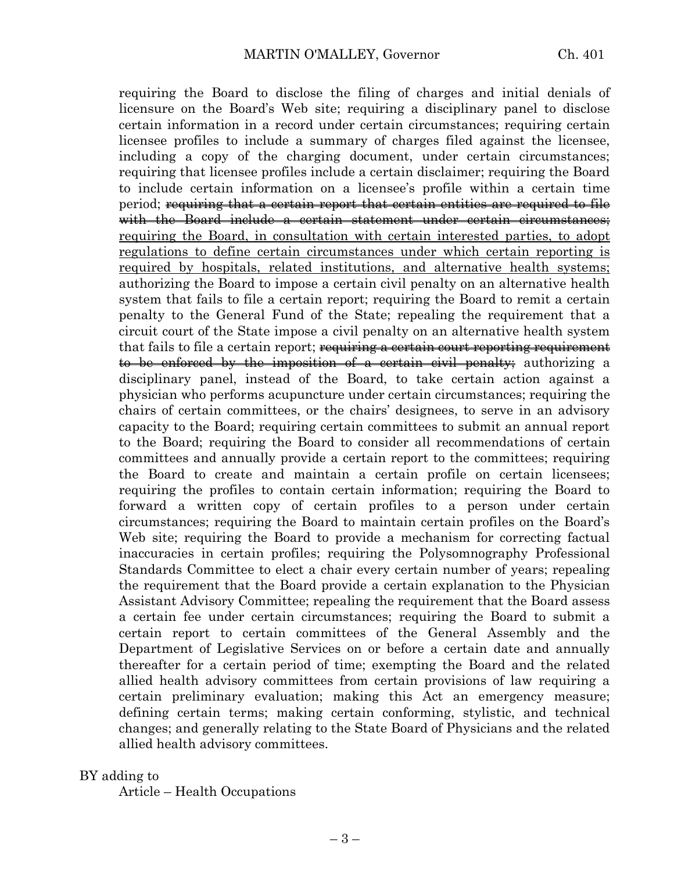requiring the Board to disclose the filing of charges and initial denials of licensure on the Board's Web site; requiring a disciplinary panel to disclose certain information in a record under certain circumstances; requiring certain licensee profiles to include a summary of charges filed against the licensee, including a copy of the charging document, under certain circumstances; requiring that licensee profiles include a certain disclaimer; requiring the Board to include certain information on a licensee's profile within a certain time period; requiring that a certain report that certain entities are required to file with the Board include a certain statement under certain circumstances; requiring the Board, in consultation with certain interested parties, to adopt regulations to define certain circumstances under which certain reporting is required by hospitals, related institutions, and alternative health systems; authorizing the Board to impose a certain civil penalty on an alternative health system that fails to file a certain report; requiring the Board to remit a certain penalty to the General Fund of the State; repealing the requirement that a circuit court of the State impose a civil penalty on an alternative health system that fails to file a certain report; requiring a certain court reporting requirement to be enforced by the imposition of a certain civil penalty; authorizing a disciplinary panel, instead of the Board, to take certain action against a physician who performs acupuncture under certain circumstances; requiring the chairs of certain committees, or the chairs' designees, to serve in an advisory capacity to the Board; requiring certain committees to submit an annual report to the Board; requiring the Board to consider all recommendations of certain committees and annually provide a certain report to the committees; requiring the Board to create and maintain a certain profile on certain licensees; requiring the profiles to contain certain information; requiring the Board to forward a written copy of certain profiles to a person under certain circumstances; requiring the Board to maintain certain profiles on the Board's Web site; requiring the Board to provide a mechanism for correcting factual inaccuracies in certain profiles; requiring the Polysomnography Professional Standards Committee to elect a chair every certain number of years; repealing the requirement that the Board provide a certain explanation to the Physician Assistant Advisory Committee; repealing the requirement that the Board assess a certain fee under certain circumstances; requiring the Board to submit a certain report to certain committees of the General Assembly and the Department of Legislative Services on or before a certain date and annually thereafter for a certain period of time; exempting the Board and the related allied health advisory committees from certain provisions of law requiring a certain preliminary evaluation; making this Act an emergency measure; defining certain terms; making certain conforming, stylistic, and technical changes; and generally relating to the State Board of Physicians and the related allied health advisory committees.

#### BY adding to

Article – Health Occupations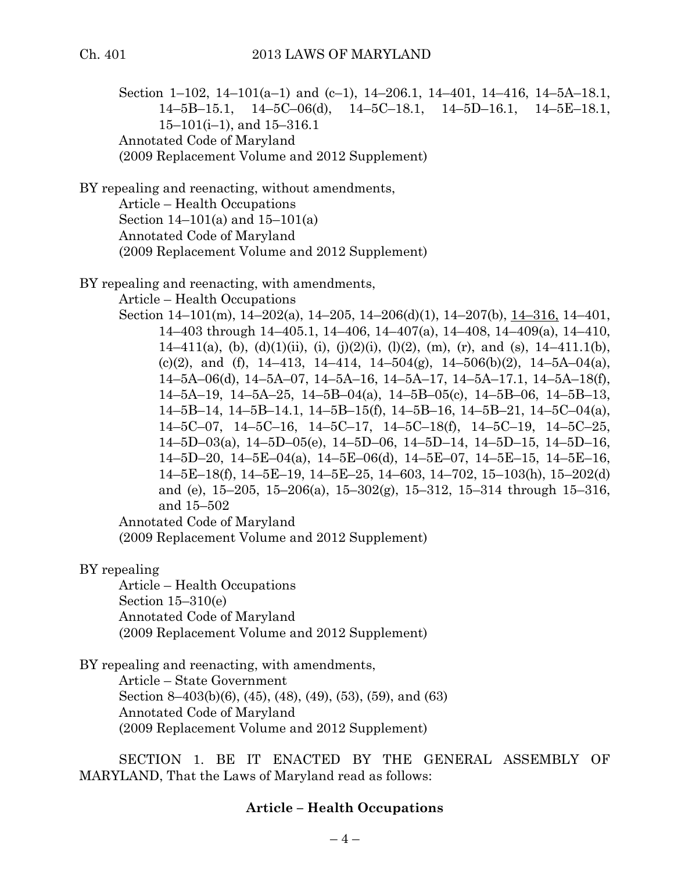Section 1–102, 14–101(a–1) and (c–1), 14–206.1, 14–401, 14–416, 14–5A–18.1, 14–5B–15.1, 14–5C–06(d), 14–5C–18.1, 14–5D–16.1, 14–5E–18.1, 15–101(i–1), and 15–316.1 Annotated Code of Maryland (2009 Replacement Volume and 2012 Supplement)

BY repealing and reenacting, without amendments,

Article – Health Occupations Section 14–101(a) and 15–101(a) Annotated Code of Maryland (2009 Replacement Volume and 2012 Supplement)

BY repealing and reenacting, with amendments,

Article – Health Occupations

Section 14–101(m), 14–202(a), 14–205, 14–206(d)(1), 14–207(b), 14–316, 14–401, –403 through 14–405.1, 14–406, 14–407(a), 14–408, 14–409(a), 14–410, 14–411(a), (b), (d)(1)(ii), (i), (j)(2)(i), (l)(2), (m), (r), and (s), 14–411.1(b), (c)(2), and (f),  $14-413$ ,  $14-414$ ,  $14-504(g)$ ,  $14-506(b)(2)$ ,  $14-5A-04(a)$ , –5A–06(d), 14–5A–07, 14–5A–16, 14–5A–17, 14–5A–17.1, 14–5A–18(f), –5A–19, 14–5A–25, 14–5B–04(a), 14–5B–05(c), 14–5B–06, 14–5B–13, –5B–14, 14–5B–14.1, 14–5B–15(f), 14–5B–16, 14–5B–21, 14–5C–04(a), –5C–07, 14–5C–16, 14–5C–17, 14–5C–18(f), 14–5C–19, 14–5C–25, –5D–03(a), 14–5D–05(e), 14–5D–06, 14–5D–14, 14–5D–15, 14–5D–16, –5D–20, 14–5E–04(a), 14–5E–06(d), 14–5E–07, 14–5E–15, 14–5E–16, –5E–18(f), 14–5E–19, 14–5E–25, 14–603, 14–702, 15–103(h), 15–202(d) and (e), 15–205, 15–206(a), 15–302(g), 15–312, 15–314 through 15–316, and 15–502

Annotated Code of Maryland

(2009 Replacement Volume and 2012 Supplement)

BY repealing

Article – Health Occupations Section 15–310(e) Annotated Code of Maryland (2009 Replacement Volume and 2012 Supplement)

BY repealing and reenacting, with amendments, Article – State Government Section 8–403(b)(6), (45), (48), (49), (53), (59), and (63) Annotated Code of Maryland (2009 Replacement Volume and 2012 Supplement)

SECTION 1. BE IT ENACTED BY THE GENERAL ASSEMBLY OF MARYLAND, That the Laws of Maryland read as follows:

#### **Article – Health Occupations**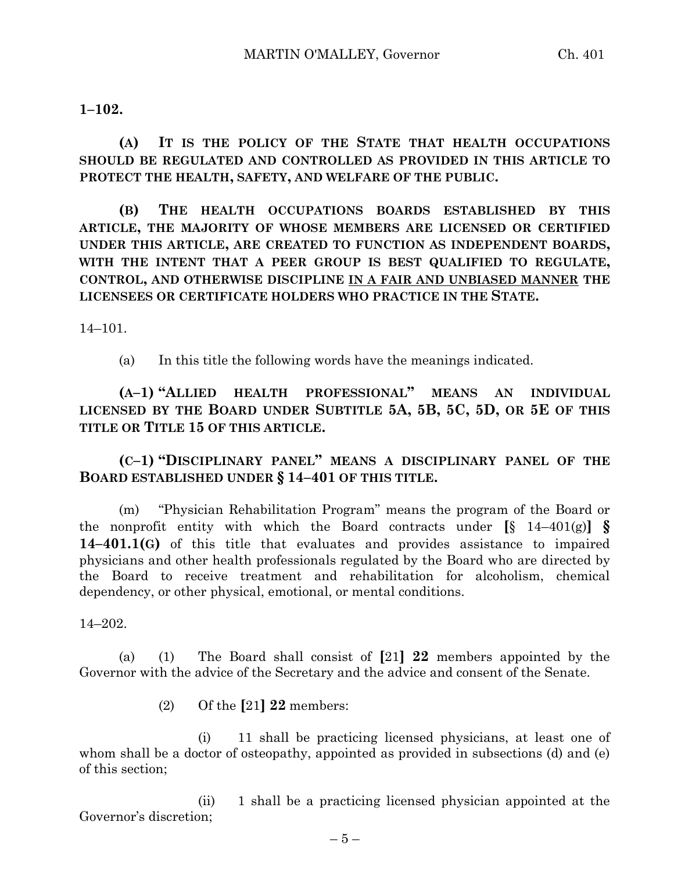**1–102.**

**(A) IT IS THE POLICY OF THE STATE THAT HEALTH OCCUPATIONS SHOULD BE REGULATED AND CONTROLLED AS PROVIDED IN THIS ARTICLE TO PROTECT THE HEALTH, SAFETY, AND WELFARE OF THE PUBLIC.**

**(B) THE HEALTH OCCUPATIONS BOARDS ESTABLISHED BY THIS ARTICLE, THE MAJORITY OF WHOSE MEMBERS ARE LICENSED OR CERTIFIED UNDER THIS ARTICLE, ARE CREATED TO FUNCTION AS INDEPENDENT BOARDS, WITH THE INTENT THAT A PEER GROUP IS BEST QUALIFIED TO REGULATE, CONTROL, AND OTHERWISE DISCIPLINE IN A FAIR AND UNBIASED MANNER THE LICENSEES OR CERTIFICATE HOLDERS WHO PRACTICE IN THE STATE.**

14–101.

(a) In this title the following words have the meanings indicated.

**(A–1) "ALLIED HEALTH PROFESSIONAL" MEANS AN INDIVIDUAL LICENSED BY THE BOARD UNDER SUBTITLE 5A, 5B, 5C, 5D, OR 5E OF THIS TITLE OR TITLE 15 OF THIS ARTICLE.**

**(C–1) "DISCIPLINARY PANEL" MEANS A DISCIPLINARY PANEL OF THE BOARD ESTABLISHED UNDER § 14–401 OF THIS TITLE.**

(m) "Physician Rehabilitation Program" means the program of the Board or the nonprofit entity with which the Board contracts under  $[\S 14-401(g)] \S$ **14–401.1(G)** of this title that evaluates and provides assistance to impaired physicians and other health professionals regulated by the Board who are directed by the Board to receive treatment and rehabilitation for alcoholism, chemical dependency, or other physical, emotional, or mental conditions.

14–202.

(a) (1) The Board shall consist of **[**21**] 22** members appointed by the Governor with the advice of the Secretary and the advice and consent of the Senate.

(2) Of the **[**21**] 22** members:

(i) 11 shall be practicing licensed physicians, at least one of whom shall be a doctor of osteopathy, appointed as provided in subsections (d) and (e) of this section;

(ii) 1 shall be a practicing licensed physician appointed at the Governor's discretion;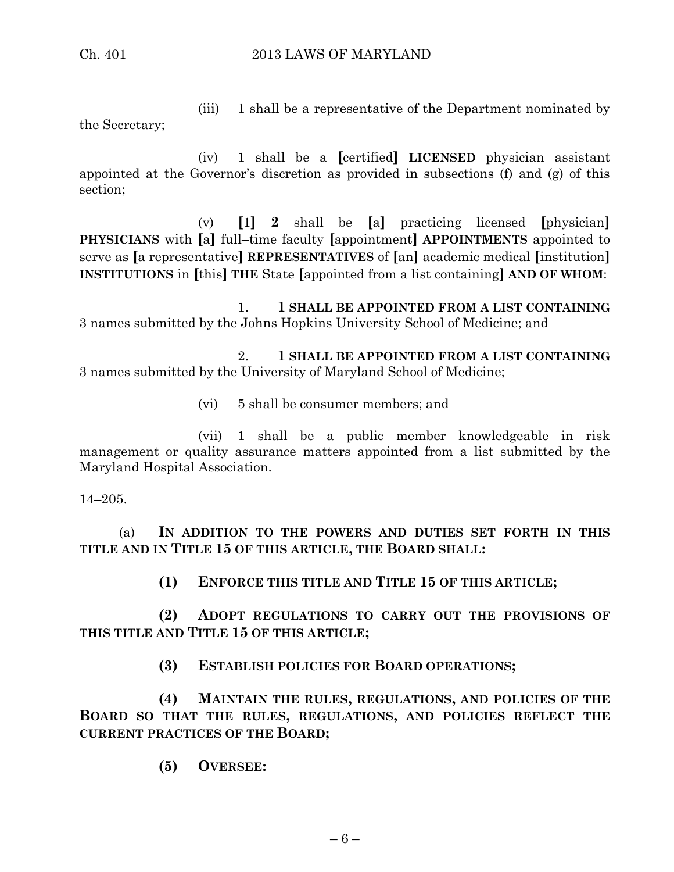(iii) 1 shall be a representative of the Department nominated by

the Secretary;

(iv) 1 shall be a **[**certified**] LICENSED** physician assistant appointed at the Governor's discretion as provided in subsections (f) and (g) of this section;

(v) **[**1**] 2** shall be **[**a**]** practicing licensed **[**physician**] PHYSICIANS** with **[**a**]** full–time faculty **[**appointment**] APPOINTMENTS** appointed to serve as **[**a representative**] REPRESENTATIVES** of **[**an**]** academic medical **[**institution**] INSTITUTIONS** in **[**this**] THE** State **[**appointed from a list containing**] AND OF WHOM**:

1. **1 SHALL BE APPOINTED FROM A LIST CONTAINING** 3 names submitted by the Johns Hopkins University School of Medicine; and

2. **1 SHALL BE APPOINTED FROM A LIST CONTAINING** 3 names submitted by the University of Maryland School of Medicine;

(vi) 5 shall be consumer members; and

(vii) 1 shall be a public member knowledgeable in risk management or quality assurance matters appointed from a list submitted by the Maryland Hospital Association.

14–205.

(a) **IN ADDITION TO THE POWERS AND DUTIES SET FORTH IN THIS TITLE AND IN TITLE 15 OF THIS ARTICLE, THE BOARD SHALL:**

**(1) ENFORCE THIS TITLE AND TITLE 15 OF THIS ARTICLE;**

**(2) ADOPT REGULATIONS TO CARRY OUT THE PROVISIONS OF THIS TITLE AND TITLE 15 OF THIS ARTICLE;**

**(3) ESTABLISH POLICIES FOR BOARD OPERATIONS;**

**(4) MAINTAIN THE RULES, REGULATIONS, AND POLICIES OF THE BOARD SO THAT THE RULES, REGULATIONS, AND POLICIES REFLECT THE CURRENT PRACTICES OF THE BOARD;**

**(5) OVERSEE:**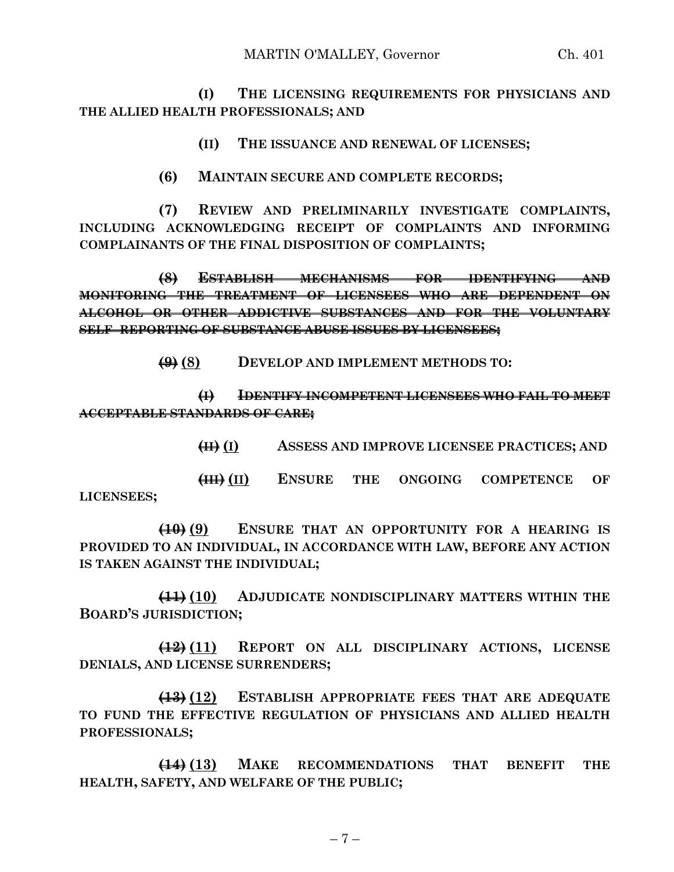**(I) THE LICENSING REQUIREMENTS FOR PHYSICIANS AND THE ALLIED HEALTH PROFESSIONALS; AND**

**(II) THE ISSUANCE AND RENEWAL OF LICENSES;**

**(6) MAINTAIN SECURE AND COMPLETE RECORDS;**

**(7) REVIEW AND PRELIMINARILY INVESTIGATE COMPLAINTS, INCLUDING ACKNOWLEDGING RECEIPT OF COMPLAINTS AND INFORMING COMPLAINANTS OF THE FINAL DISPOSITION OF COMPLAINTS;**

**(8) ESTABLISH MECHANISMS FOR IDENTIFYING AND MONITORING THE TREATMENT OF LICENSEES WHO ARE DEPENDENT ON ALCOHOL OR OTHER ADDICTIVE SUBSTANCES AND FOR THE VOLUNTARY SELF–REPORTING OF SUBSTANCE ABUSE ISSUES BY LICENSEES;**

**(9) (8) DEVELOP AND IMPLEMENT METHODS TO:**

**(I) IDENTIFY INCOMPETENT LICENSEES WHO FAIL TO MEET ACCEPTABLE STANDARDS OF CARE;**

**(II) (I) ASSESS AND IMPROVE LICENSEE PRACTICES; AND**

**(III) (II) ENSURE THE ONGOING COMPETENCE OF LICENSEES;**

**(10) (9) ENSURE THAT AN OPPORTUNITY FOR A HEARING IS PROVIDED TO AN INDIVIDUAL, IN ACCORDANCE WITH LAW, BEFORE ANY ACTION IS TAKEN AGAINST THE INDIVIDUAL;**

**(11) (10) ADJUDICATE NONDISCIPLINARY MATTERS WITHIN THE BOARD'S JURISDICTION;**

**(12) (11) REPORT ON ALL DISCIPLINARY ACTIONS, LICENSE DENIALS, AND LICENSE SURRENDERS;**

**(13) (12) ESTABLISH APPROPRIATE FEES THAT ARE ADEQUATE TO FUND THE EFFECTIVE REGULATION OF PHYSICIANS AND ALLIED HEALTH PROFESSIONALS;**

**(14) (13) MAKE RECOMMENDATIONS THAT BENEFIT THE HEALTH, SAFETY, AND WELFARE OF THE PUBLIC;**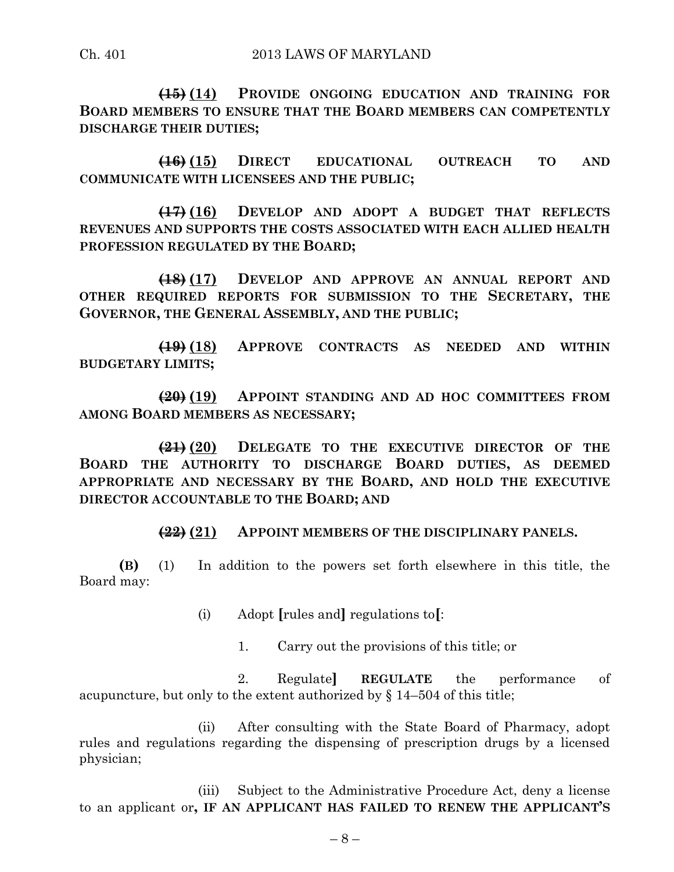**(15) (14) PROVIDE ONGOING EDUCATION AND TRAINING FOR BOARD MEMBERS TO ENSURE THAT THE BOARD MEMBERS CAN COMPETENTLY DISCHARGE THEIR DUTIES;**

**(16) (15) DIRECT EDUCATIONAL OUTREACH TO AND COMMUNICATE WITH LICENSEES AND THE PUBLIC;**

**(17) (16) DEVELOP AND ADOPT A BUDGET THAT REFLECTS REVENUES AND SUPPORTS THE COSTS ASSOCIATED WITH EACH ALLIED HEALTH PROFESSION REGULATED BY THE BOARD;**

**(18) (17) DEVELOP AND APPROVE AN ANNUAL REPORT AND OTHER REQUIRED REPORTS FOR SUBMISSION TO THE SECRETARY, THE GOVERNOR, THE GENERAL ASSEMBLY, AND THE PUBLIC;**

**(19) (18) APPROVE CONTRACTS AS NEEDED AND WITHIN BUDGETARY LIMITS;**

**(20) (19) APPOINT STANDING AND AD HOC COMMITTEES FROM AMONG BOARD MEMBERS AS NECESSARY;**

**(21) (20) DELEGATE TO THE EXECUTIVE DIRECTOR OF THE BOARD THE AUTHORITY TO DISCHARGE BOARD DUTIES, AS DEEMED APPROPRIATE AND NECESSARY BY THE BOARD, AND HOLD THE EXECUTIVE DIRECTOR ACCOUNTABLE TO THE BOARD; AND**

**(22) (21) APPOINT MEMBERS OF THE DISCIPLINARY PANELS.**

**(B)** (1) In addition to the powers set forth elsewhere in this title, the Board may:

(i) Adopt **[**rules and**]** regulations to**[**:

1. Carry out the provisions of this title; or

2. Regulate**] REGULATE** the performance of acupuncture, but only to the extent authorized by § 14–504 of this title;

(ii) After consulting with the State Board of Pharmacy, adopt rules and regulations regarding the dispensing of prescription drugs by a licensed physician;

(iii) Subject to the Administrative Procedure Act, deny a license to an applicant or**, IF AN APPLICANT HAS FAILED TO RENEW THE APPLICANT'S**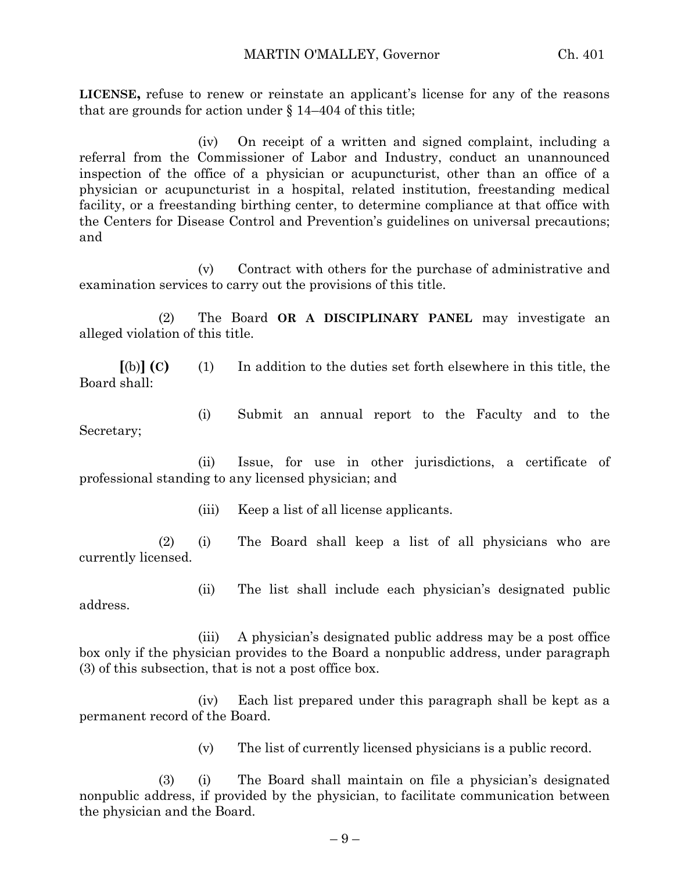**LICENSE,** refuse to renew or reinstate an applicant's license for any of the reasons that are grounds for action under § 14–404 of this title;

(iv) On receipt of a written and signed complaint, including a referral from the Commissioner of Labor and Industry, conduct an unannounced inspection of the office of a physician or acupuncturist, other than an office of a physician or acupuncturist in a hospital, related institution, freestanding medical facility, or a freestanding birthing center, to determine compliance at that office with the Centers for Disease Control and Prevention's guidelines on universal precautions; and

(v) Contract with others for the purchase of administrative and examination services to carry out the provisions of this title.

(2) The Board **OR A DISCIPLINARY PANEL** may investigate an alleged violation of this title.

**[**(b)**] (C)** (1) In addition to the duties set forth elsewhere in this title, the Board shall:

(i) Submit an annual report to the Faculty and to the Secretary;

(ii) Issue, for use in other jurisdictions, a certificate of professional standing to any licensed physician; and

(iii) Keep a list of all license applicants.

(2) (i) The Board shall keep a list of all physicians who are currently licensed.

(ii) The list shall include each physician's designated public address.

(iii) A physician's designated public address may be a post office box only if the physician provides to the Board a nonpublic address, under paragraph (3) of this subsection, that is not a post office box.

(iv) Each list prepared under this paragraph shall be kept as a permanent record of the Board.

(v) The list of currently licensed physicians is a public record.

(3) (i) The Board shall maintain on file a physician's designated nonpublic address, if provided by the physician, to facilitate communication between the physician and the Board.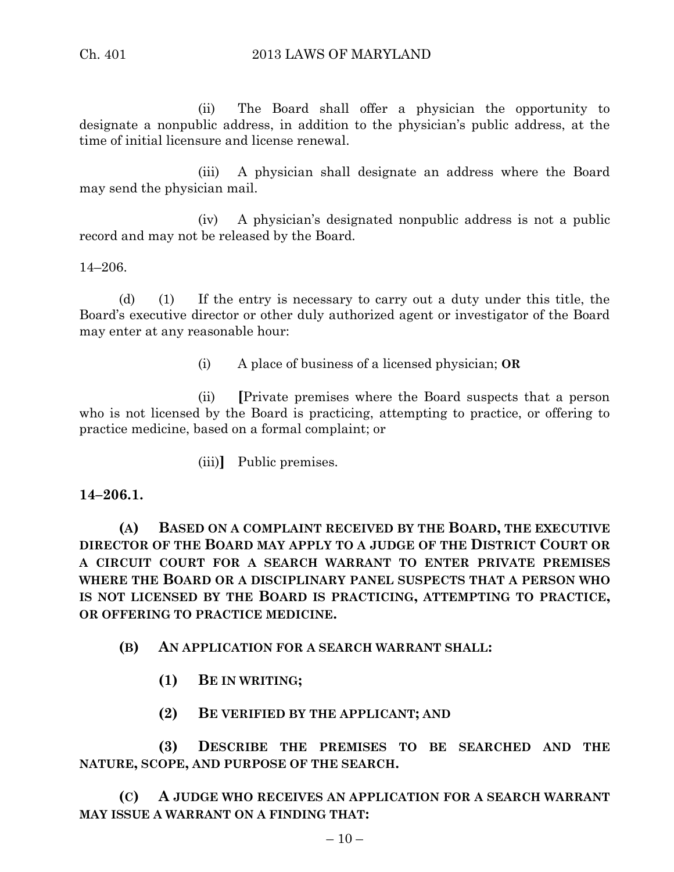(ii) The Board shall offer a physician the opportunity to designate a nonpublic address, in addition to the physician's public address, at the time of initial licensure and license renewal.

(iii) A physician shall designate an address where the Board may send the physician mail.

(iv) A physician's designated nonpublic address is not a public record and may not be released by the Board.

#### 14–206.

(d) (1) If the entry is necessary to carry out a duty under this title, the Board's executive director or other duly authorized agent or investigator of the Board may enter at any reasonable hour:

(i) A place of business of a licensed physician; **OR**

(ii) **[**Private premises where the Board suspects that a person who is not licensed by the Board is practicing, attempting to practice, or offering to practice medicine, based on a formal complaint; or

(iii)**]** Public premises.

#### **14–206.1.**

**(A) BASED ON A COMPLAINT RECEIVED BY THE BOARD, THE EXECUTIVE DIRECTOR OF THE BOARD MAY APPLY TO A JUDGE OF THE DISTRICT COURT OR A CIRCUIT COURT FOR A SEARCH WARRANT TO ENTER PRIVATE PREMISES WHERE THE BOARD OR A DISCIPLINARY PANEL SUSPECTS THAT A PERSON WHO IS NOT LICENSED BY THE BOARD IS PRACTICING, ATTEMPTING TO PRACTICE, OR OFFERING TO PRACTICE MEDICINE.**

- **(B) AN APPLICATION FOR A SEARCH WARRANT SHALL:**
	- **(1) BE IN WRITING;**
	- **(2) BE VERIFIED BY THE APPLICANT; AND**

**(3) DESCRIBE THE PREMISES TO BE SEARCHED AND THE NATURE, SCOPE, AND PURPOSE OF THE SEARCH.**

**(C) A JUDGE WHO RECEIVES AN APPLICATION FOR A SEARCH WARRANT MAY ISSUE A WARRANT ON A FINDING THAT:**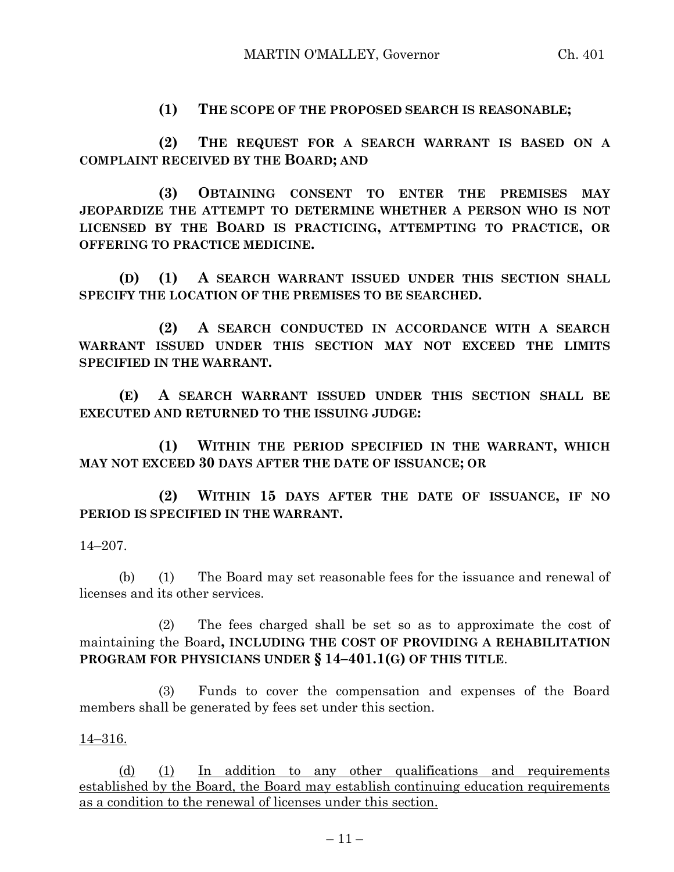**(1) THE SCOPE OF THE PROPOSED SEARCH IS REASONABLE;**

**(2) THE REQUEST FOR A SEARCH WARRANT IS BASED ON A COMPLAINT RECEIVED BY THE BOARD; AND**

**(3) OBTAINING CONSENT TO ENTER THE PREMISES MAY JEOPARDIZE THE ATTEMPT TO DETERMINE WHETHER A PERSON WHO IS NOT LICENSED BY THE BOARD IS PRACTICING, ATTEMPTING TO PRACTICE, OR OFFERING TO PRACTICE MEDICINE.**

**(D) (1) A SEARCH WARRANT ISSUED UNDER THIS SECTION SHALL SPECIFY THE LOCATION OF THE PREMISES TO BE SEARCHED.**

**(2) A SEARCH CONDUCTED IN ACCORDANCE WITH A SEARCH WARRANT ISSUED UNDER THIS SECTION MAY NOT EXCEED THE LIMITS SPECIFIED IN THE WARRANT.**

**(E) A SEARCH WARRANT ISSUED UNDER THIS SECTION SHALL BE EXECUTED AND RETURNED TO THE ISSUING JUDGE:**

**(1) WITHIN THE PERIOD SPECIFIED IN THE WARRANT, WHICH MAY NOT EXCEED 30 DAYS AFTER THE DATE OF ISSUANCE; OR**

**(2) WITHIN 15 DAYS AFTER THE DATE OF ISSUANCE, IF NO PERIOD IS SPECIFIED IN THE WARRANT.**

14–207.

(b) (1) The Board may set reasonable fees for the issuance and renewal of licenses and its other services.

(2) The fees charged shall be set so as to approximate the cost of maintaining the Board**, INCLUDING THE COST OF PROVIDING A REHABILITATION PROGRAM FOR PHYSICIANS UNDER § 14–401.1(G) OF THIS TITLE**.

(3) Funds to cover the compensation and expenses of the Board members shall be generated by fees set under this section.

14–316.

(d) (1) In addition to any other qualifications and requirements established by the Board, the Board may establish continuing education requirements as a condition to the renewal of licenses under this section.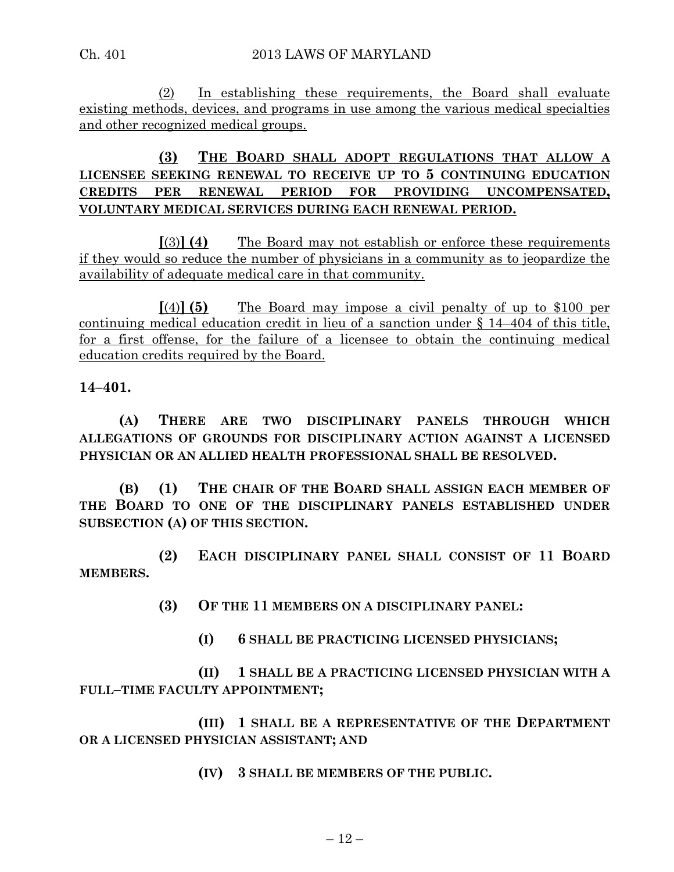(2) In establishing these requirements, the Board shall evaluate existing methods, devices, and programs in use among the various medical specialties and other recognized medical groups.

# **(3) THE BOARD SHALL ADOPT REGULATIONS THAT ALLOW A LICENSEE SEEKING RENEWAL TO RECEIVE UP TO 5 CONTINUING EDUCATION CREDITS PER RENEWAL PERIOD FOR PROVIDING UNCOMPENSATED, VOLUNTARY MEDICAL SERVICES DURING EACH RENEWAL PERIOD.**

**[**(3)**] (4)** The Board may not establish or enforce these requirements if they would so reduce the number of physicians in a community as to jeopardize the availability of adequate medical care in that community.

**[**(4)**] (5)** The Board may impose a civil penalty of up to \$100 per continuing medical education credit in lieu of a sanction under § 14–404 of this title, for a first offense, for the failure of a licensee to obtain the continuing medical education credits required by the Board.

**14–401.**

**(A) THERE ARE TWO DISCIPLINARY PANELS THROUGH WHICH ALLEGATIONS OF GROUNDS FOR DISCIPLINARY ACTION AGAINST A LICENSED PHYSICIAN OR AN ALLIED HEALTH PROFESSIONAL SHALL BE RESOLVED.**

**(B) (1) THE CHAIR OF THE BOARD SHALL ASSIGN EACH MEMBER OF THE BOARD TO ONE OF THE DISCIPLINARY PANELS ESTABLISHED UNDER SUBSECTION (A) OF THIS SECTION.**

**(2) EACH DISCIPLINARY PANEL SHALL CONSIST OF 11 BOARD MEMBERS.**

**(3) OF THE 11 MEMBERS ON A DISCIPLINARY PANEL:**

**(I) 6 SHALL BE PRACTICING LICENSED PHYSICIANS;**

**(II) 1 SHALL BE A PRACTICING LICENSED PHYSICIAN WITH A FULL–TIME FACULTY APPOINTMENT;**

**(III) 1 SHALL BE A REPRESENTATIVE OF THE DEPARTMENT OR A LICENSED PHYSICIAN ASSISTANT; AND**

**(IV) 3 SHALL BE MEMBERS OF THE PUBLIC.**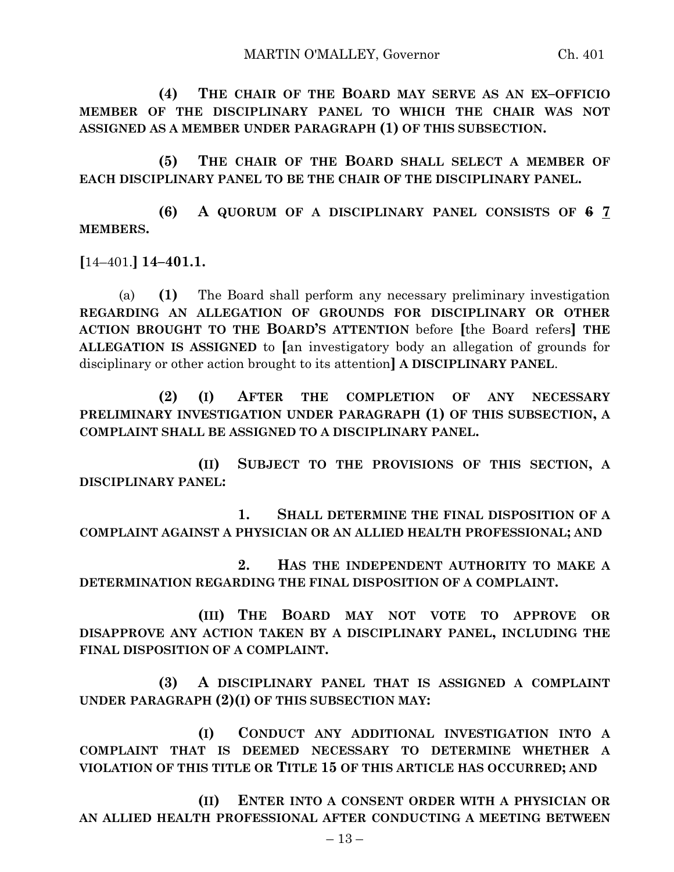**(4) THE CHAIR OF THE BOARD MAY SERVE AS AN EX–OFFICIO MEMBER OF THE DISCIPLINARY PANEL TO WHICH THE CHAIR WAS NOT ASSIGNED AS A MEMBER UNDER PARAGRAPH (1) OF THIS SUBSECTION.**

**(5) THE CHAIR OF THE BOARD SHALL SELECT A MEMBER OF EACH DISCIPLINARY PANEL TO BE THE CHAIR OF THE DISCIPLINARY PANEL.**

**(6) A QUORUM OF A DISCIPLINARY PANEL CONSISTS OF 6 7 MEMBERS.**

**[**14–401.**] 14–401.1.**

(a) **(1)** The Board shall perform any necessary preliminary investigation **REGARDING AN ALLEGATION OF GROUNDS FOR DISCIPLINARY OR OTHER ACTION BROUGHT TO THE BOARD'S ATTENTION** before **[**the Board refers**] THE ALLEGATION IS ASSIGNED** to **[**an investigatory body an allegation of grounds for disciplinary or other action brought to its attention**] A DISCIPLINARY PANEL**.

**(2) (I) AFTER THE COMPLETION OF ANY NECESSARY PRELIMINARY INVESTIGATION UNDER PARAGRAPH (1) OF THIS SUBSECTION, A COMPLAINT SHALL BE ASSIGNED TO A DISCIPLINARY PANEL.**

**(II) SUBJECT TO THE PROVISIONS OF THIS SECTION, A DISCIPLINARY PANEL:**

**1. SHALL DETERMINE THE FINAL DISPOSITION OF A COMPLAINT AGAINST A PHYSICIAN OR AN ALLIED HEALTH PROFESSIONAL; AND**

**2. HAS THE INDEPENDENT AUTHORITY TO MAKE A DETERMINATION REGARDING THE FINAL DISPOSITION OF A COMPLAINT.**

**(III) THE BOARD MAY NOT VOTE TO APPROVE OR DISAPPROVE ANY ACTION TAKEN BY A DISCIPLINARY PANEL, INCLUDING THE FINAL DISPOSITION OF A COMPLAINT.**

**(3) A DISCIPLINARY PANEL THAT IS ASSIGNED A COMPLAINT UNDER PARAGRAPH (2)(I) OF THIS SUBSECTION MAY:**

**(I) CONDUCT ANY ADDITIONAL INVESTIGATION INTO A COMPLAINT THAT IS DEEMED NECESSARY TO DETERMINE WHETHER A VIOLATION OF THIS TITLE OR TITLE 15 OF THIS ARTICLE HAS OCCURRED; AND**

**(II) ENTER INTO A CONSENT ORDER WITH A PHYSICIAN OR AN ALLIED HEALTH PROFESSIONAL AFTER CONDUCTING A MEETING BETWEEN**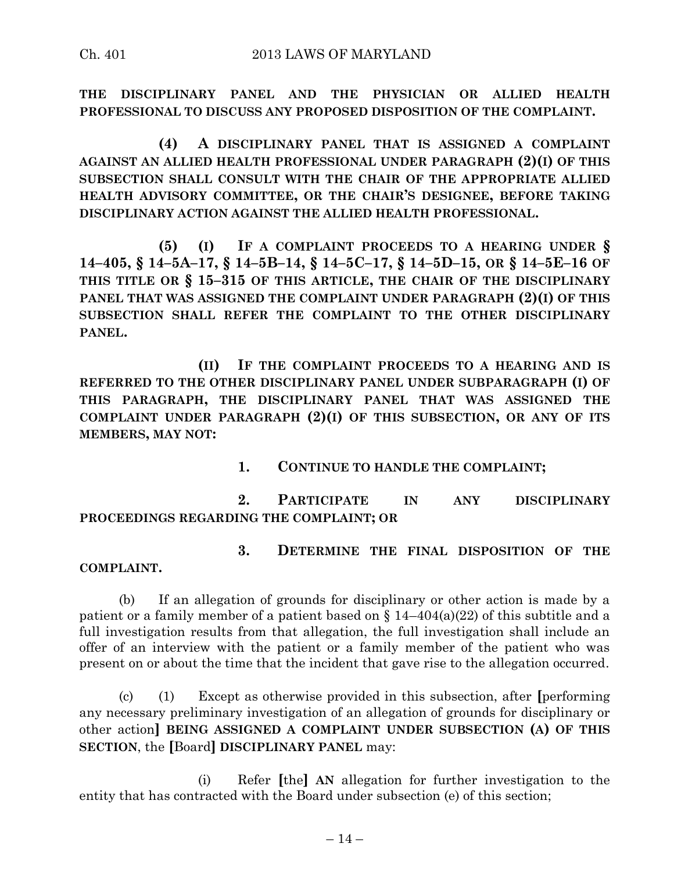**THE DISCIPLINARY PANEL AND THE PHYSICIAN OR ALLIED HEALTH PROFESSIONAL TO DISCUSS ANY PROPOSED DISPOSITION OF THE COMPLAINT.**

**(4) A DISCIPLINARY PANEL THAT IS ASSIGNED A COMPLAINT AGAINST AN ALLIED HEALTH PROFESSIONAL UNDER PARAGRAPH (2)(I) OF THIS SUBSECTION SHALL CONSULT WITH THE CHAIR OF THE APPROPRIATE ALLIED HEALTH ADVISORY COMMITTEE, OR THE CHAIR'S DESIGNEE, BEFORE TAKING DISCIPLINARY ACTION AGAINST THE ALLIED HEALTH PROFESSIONAL.**

**(5) (I) IF A COMPLAINT PROCEEDS TO A HEARING UNDER §** 14-405, § 14-5A-17, § 14-5B-14, § 14-5C-17, § 14-5D-15, OR § 14-5E-16 OF **THIS TITLE OR § 15–315 OF THIS ARTICLE, THE CHAIR OF THE DISCIPLINARY PANEL THAT WAS ASSIGNED THE COMPLAINT UNDER PARAGRAPH (2)(I) OF THIS SUBSECTION SHALL REFER THE COMPLAINT TO THE OTHER DISCIPLINARY PANEL.**

**(II) IF THE COMPLAINT PROCEEDS TO A HEARING AND IS REFERRED TO THE OTHER DISCIPLINARY PANEL UNDER SUBPARAGRAPH (I) OF THIS PARAGRAPH, THE DISCIPLINARY PANEL THAT WAS ASSIGNED THE COMPLAINT UNDER PARAGRAPH (2)(I) OF THIS SUBSECTION, OR ANY OF ITS MEMBERS, MAY NOT:**

**1. CONTINUE TO HANDLE THE COMPLAINT;**

**2. PARTICIPATE IN ANY DISCIPLINARY PROCEEDINGS REGARDING THE COMPLAINT; OR**

#### **3. DETERMINE THE FINAL DISPOSITION OF THE COMPLAINT.**

(b) If an allegation of grounds for disciplinary or other action is made by a patient or a family member of a patient based on  $\S 14-404(a)(22)$  of this subtitle and a full investigation results from that allegation, the full investigation shall include an offer of an interview with the patient or a family member of the patient who was present on or about the time that the incident that gave rise to the allegation occurred.

(c) (1) Except as otherwise provided in this subsection, after **[**performing any necessary preliminary investigation of an allegation of grounds for disciplinary or other action**] BEING ASSIGNED A COMPLAINT UNDER SUBSECTION (A) OF THIS SECTION**, the **[**Board**] DISCIPLINARY PANEL** may:

(i) Refer **[**the**] AN** allegation for further investigation to the entity that has contracted with the Board under subsection (e) of this section;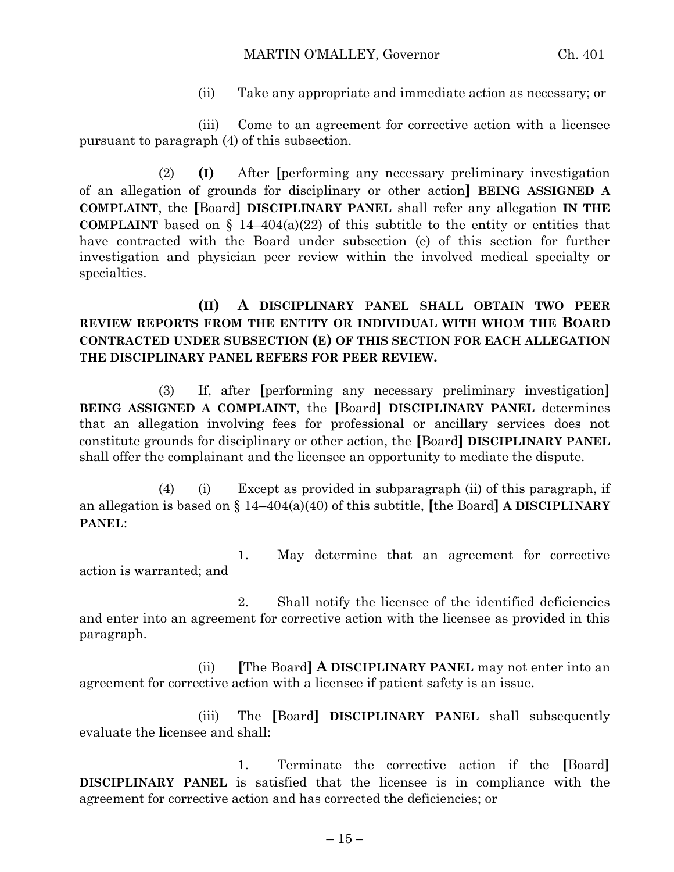(ii) Take any appropriate and immediate action as necessary; or

(iii) Come to an agreement for corrective action with a licensee pursuant to paragraph (4) of this subsection.

(2) **(I)** After **[**performing any necessary preliminary investigation of an allegation of grounds for disciplinary or other action**] BEING ASSIGNED A COMPLAINT**, the **[**Board**] DISCIPLINARY PANEL** shall refer any allegation **IN THE COMPLAINT** based on  $\{14-404(a)(22)\}$  of this subtitle to the entity or entities that have contracted with the Board under subsection (e) of this section for further investigation and physician peer review within the involved medical specialty or specialties.

**(II) A DISCIPLINARY PANEL SHALL OBTAIN TWO PEER REVIEW REPORTS FROM THE ENTITY OR INDIVIDUAL WITH WHOM THE BOARD CONTRACTED UNDER SUBSECTION (E) OF THIS SECTION FOR EACH ALLEGATION THE DISCIPLINARY PANEL REFERS FOR PEER REVIEW.**

(3) If, after **[**performing any necessary preliminary investigation**] BEING ASSIGNED A COMPLAINT**, the **[**Board**] DISCIPLINARY PANEL** determines that an allegation involving fees for professional or ancillary services does not constitute grounds for disciplinary or other action, the **[**Board**] DISCIPLINARY PANEL** shall offer the complainant and the licensee an opportunity to mediate the dispute.

(4) (i) Except as provided in subparagraph (ii) of this paragraph, if an allegation is based on § 14–404(a)(40) of this subtitle, **[**the Board**] A DISCIPLINARY PANEL**:

1. May determine that an agreement for corrective action is warranted; and

2. Shall notify the licensee of the identified deficiencies and enter into an agreement for corrective action with the licensee as provided in this paragraph.

(ii) **[**The Board**] A DISCIPLINARY PANEL** may not enter into an agreement for corrective action with a licensee if patient safety is an issue.

(iii) The **[**Board**] DISCIPLINARY PANEL** shall subsequently evaluate the licensee and shall:

1. Terminate the corrective action if the **[**Board**] DISCIPLINARY PANEL** is satisfied that the licensee is in compliance with the agreement for corrective action and has corrected the deficiencies; or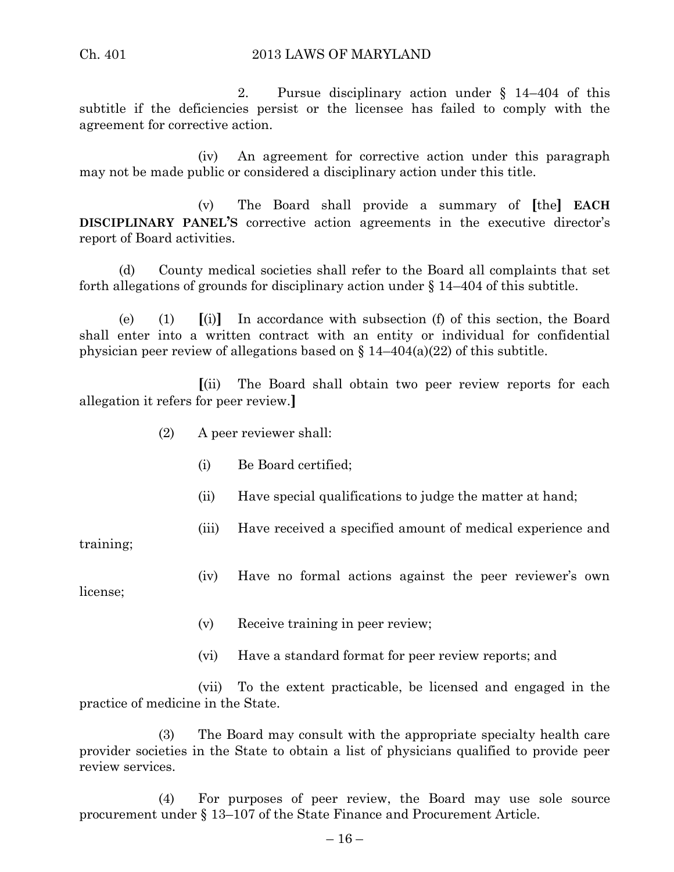2. Pursue disciplinary action under § 14–404 of this subtitle if the deficiencies persist or the licensee has failed to comply with the agreement for corrective action.

(iv) An agreement for corrective action under this paragraph may not be made public or considered a disciplinary action under this title.

(v) The Board shall provide a summary of **[**the**] EACH DISCIPLINARY PANEL'S** corrective action agreements in the executive director's report of Board activities.

(d) County medical societies shall refer to the Board all complaints that set forth allegations of grounds for disciplinary action under § 14–404 of this subtitle.

(e) (1) **[**(i)**]** In accordance with subsection (f) of this section, the Board shall enter into a written contract with an entity or individual for confidential physician peer review of allegations based on § 14–404(a)(22) of this subtitle.

**[**(ii) The Board shall obtain two peer review reports for each allegation it refers for peer review.**]**

- (2) A peer reviewer shall:
	- (i) Be Board certified;
	- (ii) Have special qualifications to judge the matter at hand;
	- (iii) Have received a specified amount of medical experience and

training;

(iv) Have no formal actions against the peer reviewer's own

license;

- (v) Receive training in peer review;
- (vi) Have a standard format for peer review reports; and

(vii) To the extent practicable, be licensed and engaged in the practice of medicine in the State.

(3) The Board may consult with the appropriate specialty health care provider societies in the State to obtain a list of physicians qualified to provide peer review services.

(4) For purposes of peer review, the Board may use sole source procurement under § 13–107 of the State Finance and Procurement Article.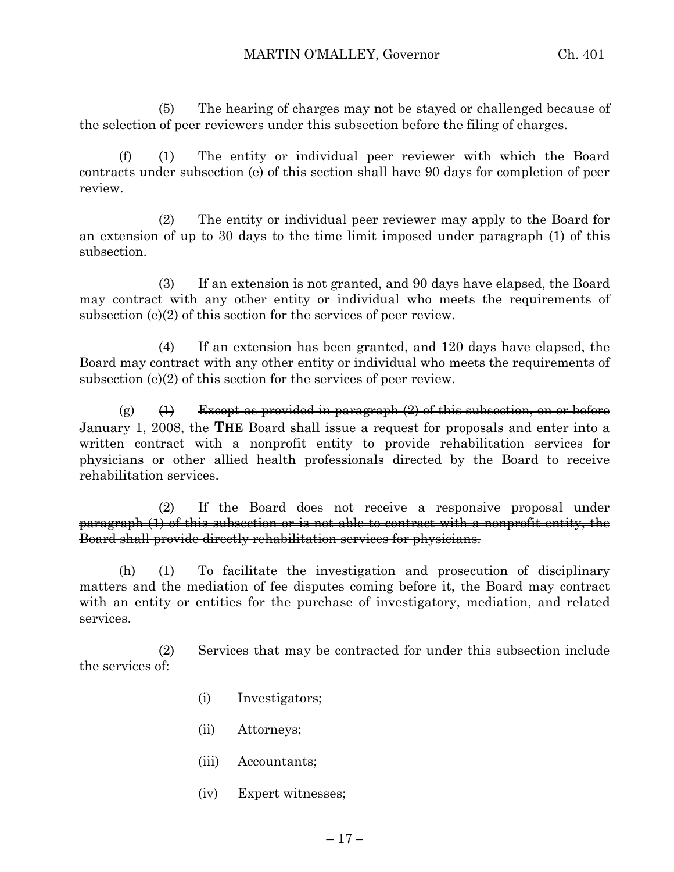(5) The hearing of charges may not be stayed or challenged because of the selection of peer reviewers under this subsection before the filing of charges.

(f) (1) The entity or individual peer reviewer with which the Board contracts under subsection (e) of this section shall have 90 days for completion of peer review.

(2) The entity or individual peer reviewer may apply to the Board for an extension of up to 30 days to the time limit imposed under paragraph (1) of this subsection.

(3) If an extension is not granted, and 90 days have elapsed, the Board may contract with any other entity or individual who meets the requirements of subsection (e)(2) of this section for the services of peer review.

(4) If an extension has been granted, and 120 days have elapsed, the Board may contract with any other entity or individual who meets the requirements of subsection (e)(2) of this section for the services of peer review.

(g)  $(\pm)$  Except as provided in paragraph  $(2)$  of this subsection, on or before January 1, 2008, the **THE** Board shall issue a request for proposals and enter into a written contract with a nonprofit entity to provide rehabilitation services for physicians or other allied health professionals directed by the Board to receive rehabilitation services.

(2) If the Board does not receive a responsive proposal under paragraph (1) of this subsection or is not able to contract with a nonprofit entity, the Board shall provide directly rehabilitation services for physicians.

(h) (1) To facilitate the investigation and prosecution of disciplinary matters and the mediation of fee disputes coming before it, the Board may contract with an entity or entities for the purchase of investigatory, mediation, and related services.

(2) Services that may be contracted for under this subsection include the services of:

- (i) Investigators;
- (ii) Attorneys;
- (iii) Accountants;
- (iv) Expert witnesses;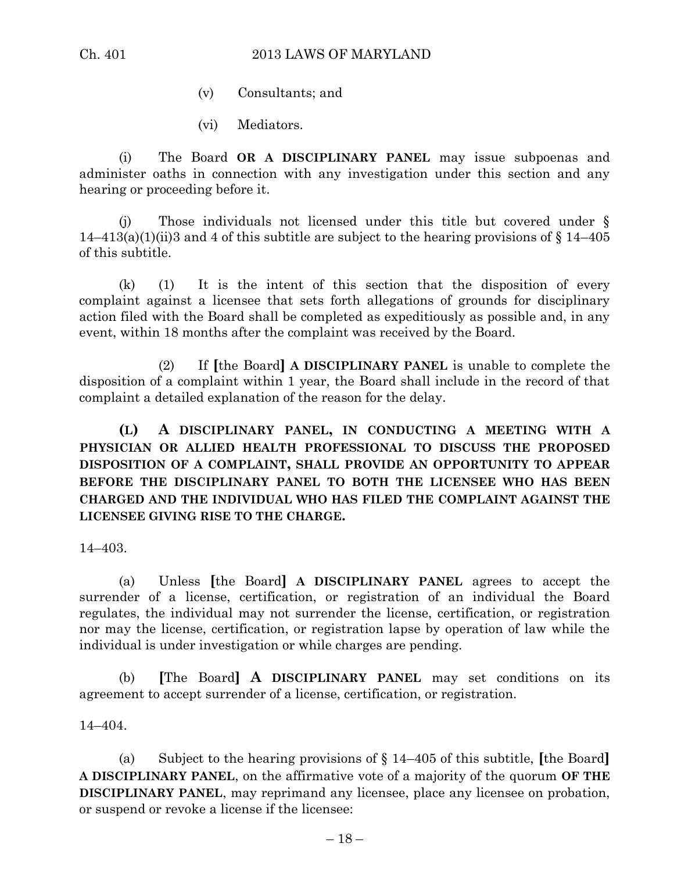- (v) Consultants; and
- (vi) Mediators.

(i) The Board **OR A DISCIPLINARY PANEL** may issue subpoenas and administer oaths in connection with any investigation under this section and any hearing or proceeding before it.

(j) Those individuals not licensed under this title but covered under §  $14-413(a)(1)(ii)3$  and 4 of this subtitle are subject to the hearing provisions of § 14–405 of this subtitle.

(k) (1) It is the intent of this section that the disposition of every complaint against a licensee that sets forth allegations of grounds for disciplinary action filed with the Board shall be completed as expeditiously as possible and, in any event, within 18 months after the complaint was received by the Board.

(2) If **[**the Board**] A DISCIPLINARY PANEL** is unable to complete the disposition of a complaint within 1 year, the Board shall include in the record of that complaint a detailed explanation of the reason for the delay.

**(L) A DISCIPLINARY PANEL, IN CONDUCTING A MEETING WITH A PHYSICIAN OR ALLIED HEALTH PROFESSIONAL TO DISCUSS THE PROPOSED DISPOSITION OF A COMPLAINT, SHALL PROVIDE AN OPPORTUNITY TO APPEAR BEFORE THE DISCIPLINARY PANEL TO BOTH THE LICENSEE WHO HAS BEEN CHARGED AND THE INDIVIDUAL WHO HAS FILED THE COMPLAINT AGAINST THE LICENSEE GIVING RISE TO THE CHARGE.**

14–403.

(a) Unless **[**the Board**] A DISCIPLINARY PANEL** agrees to accept the surrender of a license, certification, or registration of an individual the Board regulates, the individual may not surrender the license, certification, or registration nor may the license, certification, or registration lapse by operation of law while the individual is under investigation or while charges are pending.

(b) **[**The Board**] A DISCIPLINARY PANEL** may set conditions on its agreement to accept surrender of a license, certification, or registration.

14–404.

(a) Subject to the hearing provisions of § 14–405 of this subtitle, **[**the Board**] A DISCIPLINARY PANEL**, on the affirmative vote of a majority of the quorum **OF THE DISCIPLINARY PANEL**, may reprimand any licensee, place any licensee on probation, or suspend or revoke a license if the licensee: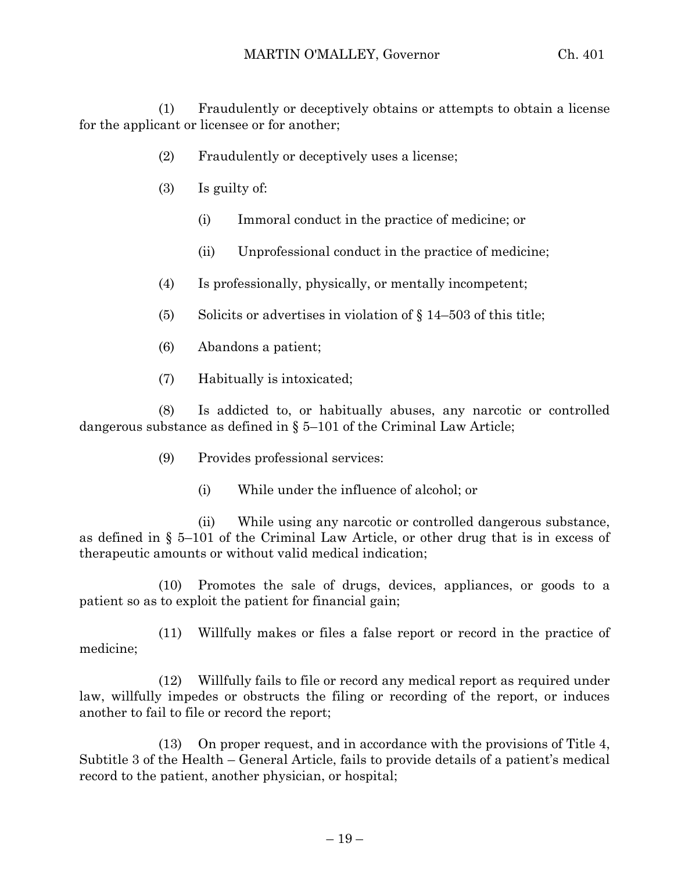(1) Fraudulently or deceptively obtains or attempts to obtain a license for the applicant or licensee or for another;

- (2) Fraudulently or deceptively uses a license;
- (3) Is guilty of:
	- (i) Immoral conduct in the practice of medicine; or
	- (ii) Unprofessional conduct in the practice of medicine;
- (4) Is professionally, physically, or mentally incompetent;
- (5) Solicits or advertises in violation of  $\S 14-503$  of this title;
- (6) Abandons a patient;
- (7) Habitually is intoxicated;

(8) Is addicted to, or habitually abuses, any narcotic or controlled dangerous substance as defined in  $\S 5-101$  of the Criminal Law Article;

- (9) Provides professional services:
	- (i) While under the influence of alcohol; or

(ii) While using any narcotic or controlled dangerous substance, as defined in § 5–101 of the Criminal Law Article, or other drug that is in excess of therapeutic amounts or without valid medical indication;

(10) Promotes the sale of drugs, devices, appliances, or goods to a patient so as to exploit the patient for financial gain;

(11) Willfully makes or files a false report or record in the practice of medicine;

(12) Willfully fails to file or record any medical report as required under law, willfully impedes or obstructs the filing or recording of the report, or induces another to fail to file or record the report;

(13) On proper request, and in accordance with the provisions of Title 4, Subtitle 3 of the Health – General Article, fails to provide details of a patient's medical record to the patient, another physician, or hospital;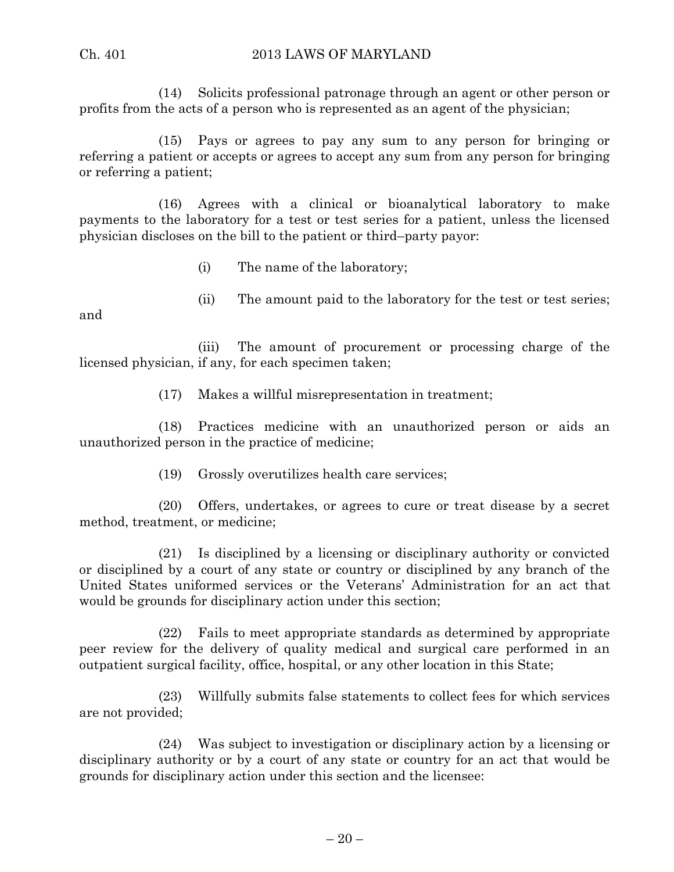#### Ch. 401 2013 LAWS OF MARYLAND

(14) Solicits professional patronage through an agent or other person or profits from the acts of a person who is represented as an agent of the physician;

(15) Pays or agrees to pay any sum to any person for bringing or referring a patient or accepts or agrees to accept any sum from any person for bringing or referring a patient;

(16) Agrees with a clinical or bioanalytical laboratory to make payments to the laboratory for a test or test series for a patient, unless the licensed physician discloses on the bill to the patient or third–party payor:

(i) The name of the laboratory;

(ii) The amount paid to the laboratory for the test or test series;

and

(iii) The amount of procurement or processing charge of the licensed physician, if any, for each specimen taken;

(17) Makes a willful misrepresentation in treatment;

(18) Practices medicine with an unauthorized person or aids an unauthorized person in the practice of medicine;

(19) Grossly overutilizes health care services;

(20) Offers, undertakes, or agrees to cure or treat disease by a secret method, treatment, or medicine;

(21) Is disciplined by a licensing or disciplinary authority or convicted or disciplined by a court of any state or country or disciplined by any branch of the United States uniformed services or the Veterans' Administration for an act that would be grounds for disciplinary action under this section;

(22) Fails to meet appropriate standards as determined by appropriate peer review for the delivery of quality medical and surgical care performed in an outpatient surgical facility, office, hospital, or any other location in this State;

(23) Willfully submits false statements to collect fees for which services are not provided;

(24) Was subject to investigation or disciplinary action by a licensing or disciplinary authority or by a court of any state or country for an act that would be grounds for disciplinary action under this section and the licensee: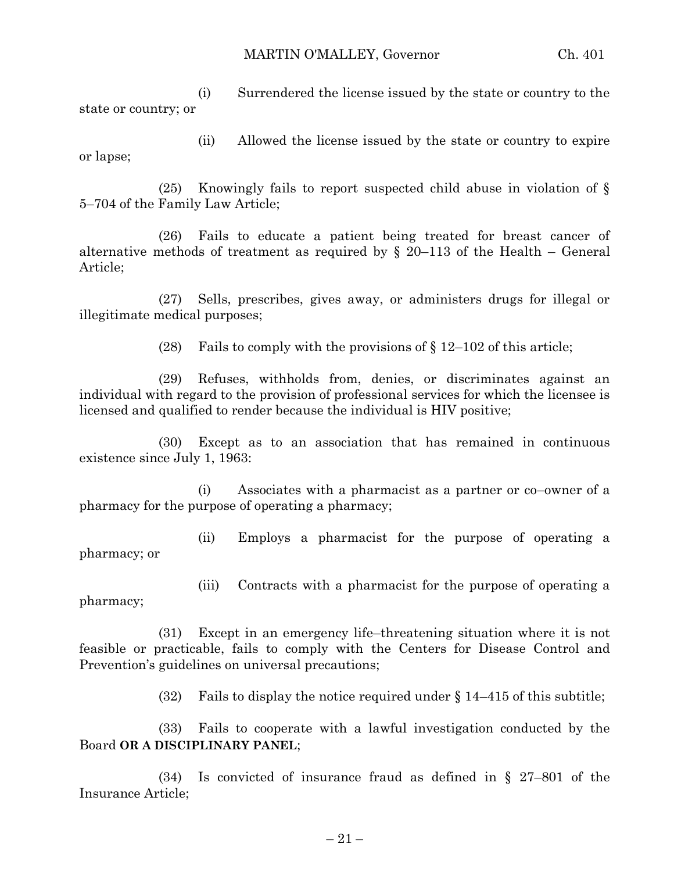MARTIN O'MALLEY, Governor Ch. 401

(i) Surrendered the license issued by the state or country to the state or country; or

(ii) Allowed the license issued by the state or country to expire or lapse;

(25) Knowingly fails to report suspected child abuse in violation of § 5–704 of the Family Law Article;

(26) Fails to educate a patient being treated for breast cancer of alternative methods of treatment as required by  $\S$  20–113 of the Health – General Article;

(27) Sells, prescribes, gives away, or administers drugs for illegal or illegitimate medical purposes;

(28) Fails to comply with the provisions of  $\S 12-102$  of this article;

(29) Refuses, withholds from, denies, or discriminates against an individual with regard to the provision of professional services for which the licensee is licensed and qualified to render because the individual is HIV positive;

(30) Except as to an association that has remained in continuous existence since July 1, 1963:

(i) Associates with a pharmacist as a partner or co–owner of a pharmacy for the purpose of operating a pharmacy;

(ii) Employs a pharmacist for the purpose of operating a pharmacy; or

(iii) Contracts with a pharmacist for the purpose of operating a pharmacy;

(31) Except in an emergency life–threatening situation where it is not feasible or practicable, fails to comply with the Centers for Disease Control and Prevention's guidelines on universal precautions;

(32) Fails to display the notice required under  $\S 14-415$  of this subtitle;

(33) Fails to cooperate with a lawful investigation conducted by the Board **OR A DISCIPLINARY PANEL**;

(34) Is convicted of insurance fraud as defined in § 27–801 of the Insurance Article;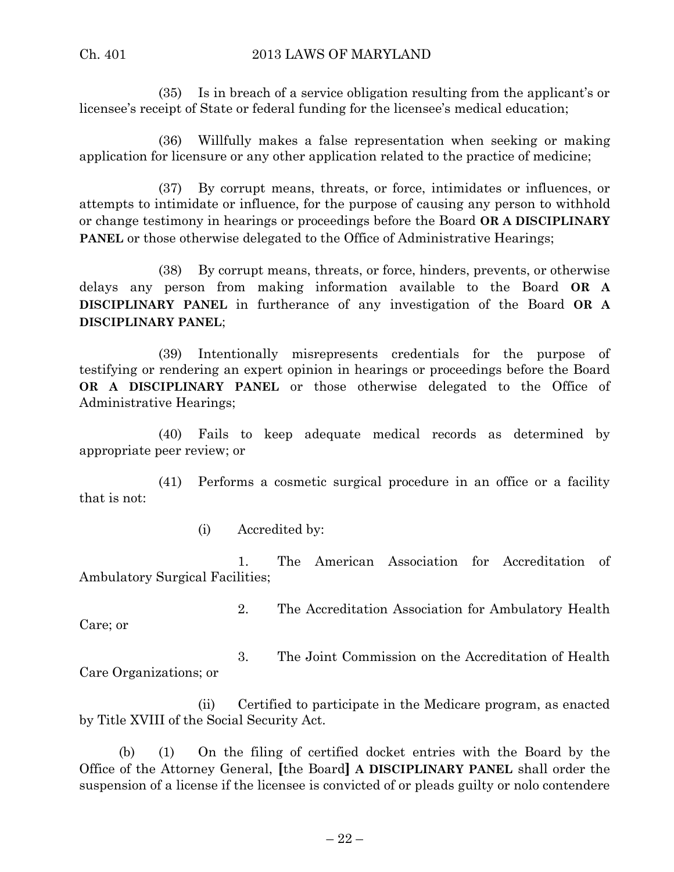(35) Is in breach of a service obligation resulting from the applicant's or licensee's receipt of State or federal funding for the licensee's medical education;

(36) Willfully makes a false representation when seeking or making application for licensure or any other application related to the practice of medicine;

(37) By corrupt means, threats, or force, intimidates or influences, or attempts to intimidate or influence, for the purpose of causing any person to withhold or change testimony in hearings or proceedings before the Board **OR A DISCIPLINARY PANEL** or those otherwise delegated to the Office of Administrative Hearings;

(38) By corrupt means, threats, or force, hinders, prevents, or otherwise delays any person from making information available to the Board **OR A DISCIPLINARY PANEL** in furtherance of any investigation of the Board **OR A DISCIPLINARY PANEL**;

(39) Intentionally misrepresents credentials for the purpose of testifying or rendering an expert opinion in hearings or proceedings before the Board **OR A DISCIPLINARY PANEL** or those otherwise delegated to the Office of Administrative Hearings;

(40) Fails to keep adequate medical records as determined by appropriate peer review; or

(41) Performs a cosmetic surgical procedure in an office or a facility that is not:

(i) Accredited by:

1. The American Association for Accreditation of Ambulatory Surgical Facilities;

Care; or

2. The Accreditation Association for Ambulatory Health

3. The Joint Commission on the Accreditation of Health Care Organizations; or

(ii) Certified to participate in the Medicare program, as enacted by Title XVIII of the Social Security Act.

(b) (1) On the filing of certified docket entries with the Board by the Office of the Attorney General, **[**the Board**] A DISCIPLINARY PANEL** shall order the suspension of a license if the licensee is convicted of or pleads guilty or nolo contendere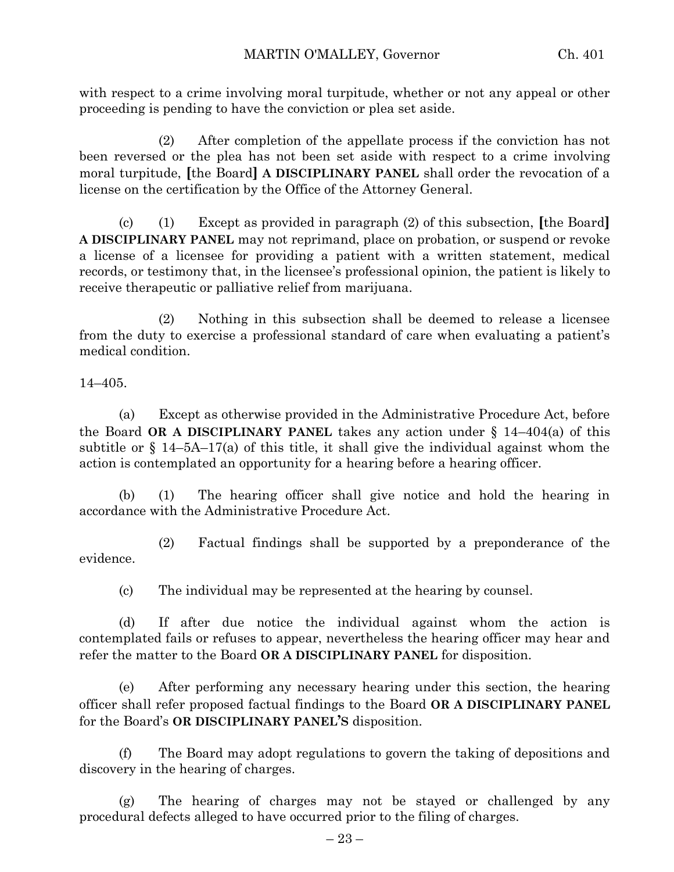with respect to a crime involving moral turpitude, whether or not any appeal or other proceeding is pending to have the conviction or plea set aside.

(2) After completion of the appellate process if the conviction has not been reversed or the plea has not been set aside with respect to a crime involving moral turpitude, **[**the Board**] A DISCIPLINARY PANEL** shall order the revocation of a license on the certification by the Office of the Attorney General.

(c) (1) Except as provided in paragraph (2) of this subsection, **[**the Board**] A DISCIPLINARY PANEL** may not reprimand, place on probation, or suspend or revoke a license of a licensee for providing a patient with a written statement, medical records, or testimony that, in the licensee's professional opinion, the patient is likely to receive therapeutic or palliative relief from marijuana.

(2) Nothing in this subsection shall be deemed to release a licensee from the duty to exercise a professional standard of care when evaluating a patient's medical condition.

14–405.

(a) Except as otherwise provided in the Administrative Procedure Act, before the Board **OR A DISCIPLINARY PANEL** takes any action under § 14–404(a) of this subtitle or  $\S$  14–5A–17(a) of this title, it shall give the individual against whom the action is contemplated an opportunity for a hearing before a hearing officer.

(b) (1) The hearing officer shall give notice and hold the hearing in accordance with the Administrative Procedure Act.

(2) Factual findings shall be supported by a preponderance of the evidence.

(c) The individual may be represented at the hearing by counsel.

(d) If after due notice the individual against whom the action is contemplated fails or refuses to appear, nevertheless the hearing officer may hear and refer the matter to the Board **OR A DISCIPLINARY PANEL** for disposition.

(e) After performing any necessary hearing under this section, the hearing officer shall refer proposed factual findings to the Board **OR A DISCIPLINARY PANEL** for the Board's **OR DISCIPLINARY PANEL'S** disposition.

(f) The Board may adopt regulations to govern the taking of depositions and discovery in the hearing of charges.

(g) The hearing of charges may not be stayed or challenged by any procedural defects alleged to have occurred prior to the filing of charges.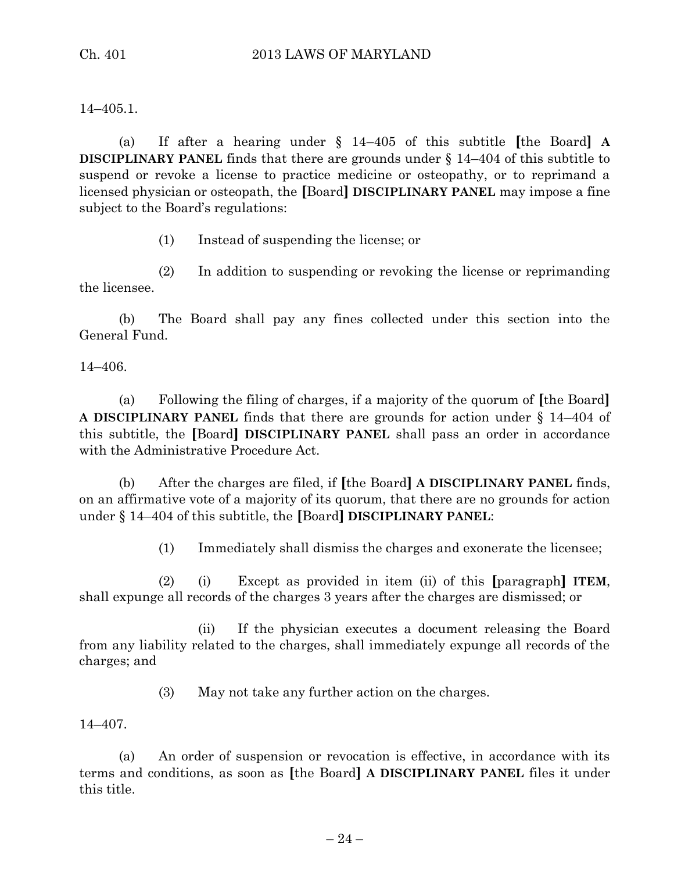14–405.1.

(a) If after a hearing under § 14–405 of this subtitle **[**the Board**] A DISCIPLINARY PANEL** finds that there are grounds under § 14–404 of this subtitle to suspend or revoke a license to practice medicine or osteopathy, or to reprimand a licensed physician or osteopath, the **[**Board**] DISCIPLINARY PANEL** may impose a fine subject to the Board's regulations:

(1) Instead of suspending the license; or

(2) In addition to suspending or revoking the license or reprimanding the licensee.

(b) The Board shall pay any fines collected under this section into the General Fund.

14–406.

(a) Following the filing of charges, if a majority of the quorum of **[**the Board**] A DISCIPLINARY PANEL** finds that there are grounds for action under § 14–404 of this subtitle, the **[**Board**] DISCIPLINARY PANEL** shall pass an order in accordance with the Administrative Procedure Act.

(b) After the charges are filed, if **[**the Board**] A DISCIPLINARY PANEL** finds, on an affirmative vote of a majority of its quorum, that there are no grounds for action under § 14–404 of this subtitle, the **[**Board**] DISCIPLINARY PANEL**:

(1) Immediately shall dismiss the charges and exonerate the licensee;

(2) (i) Except as provided in item (ii) of this **[**paragraph**] ITEM**, shall expunge all records of the charges 3 years after the charges are dismissed; or

(ii) If the physician executes a document releasing the Board from any liability related to the charges, shall immediately expunge all records of the charges; and

(3) May not take any further action on the charges.

14–407.

(a) An order of suspension or revocation is effective, in accordance with its terms and conditions, as soon as **[**the Board**] A DISCIPLINARY PANEL** files it under this title.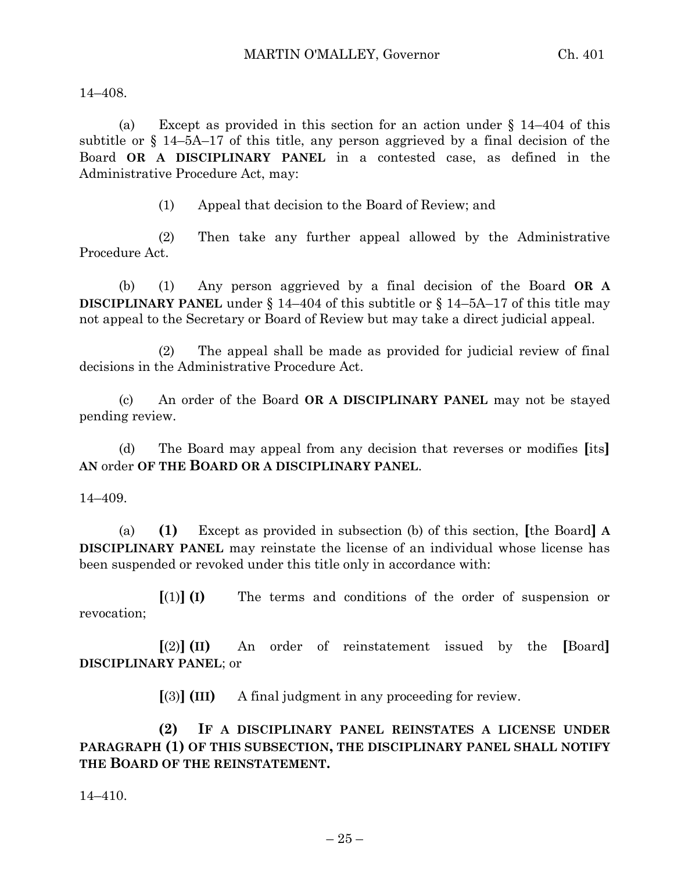14–408.

(a) Except as provided in this section for an action under  $\S$  14–404 of this subtitle or § 14–5A–17 of this title, any person aggrieved by a final decision of the Board **OR A DISCIPLINARY PANEL** in a contested case, as defined in the Administrative Procedure Act, may:

(1) Appeal that decision to the Board of Review; and

(2) Then take any further appeal allowed by the Administrative Procedure Act.

(b) (1) Any person aggrieved by a final decision of the Board **OR A DISCIPLINARY PANEL** under § 14–404 of this subtitle or § 14–5A–17 of this title may not appeal to the Secretary or Board of Review but may take a direct judicial appeal.

(2) The appeal shall be made as provided for judicial review of final decisions in the Administrative Procedure Act.

(c) An order of the Board **OR A DISCIPLINARY PANEL** may not be stayed pending review.

(d) The Board may appeal from any decision that reverses or modifies **[**its**] AN** order **OF THE BOARD OR A DISCIPLINARY PANEL**.

14–409.

(a) **(1)** Except as provided in subsection (b) of this section, **[**the Board**] A DISCIPLINARY PANEL** may reinstate the license of an individual whose license has been suspended or revoked under this title only in accordance with:

**[**(1)**] (I)** The terms and conditions of the order of suspension or revocation;

**[**(2)**] (II)** An order of reinstatement issued by the **[**Board**] DISCIPLINARY PANEL**; or

**[**(3)**] (III)** A final judgment in any proceeding for review.

**(2) IF A DISCIPLINARY PANEL REINSTATES A LICENSE UNDER PARAGRAPH (1) OF THIS SUBSECTION, THE DISCIPLINARY PANEL SHALL NOTIFY THE BOARD OF THE REINSTATEMENT.**

14–410.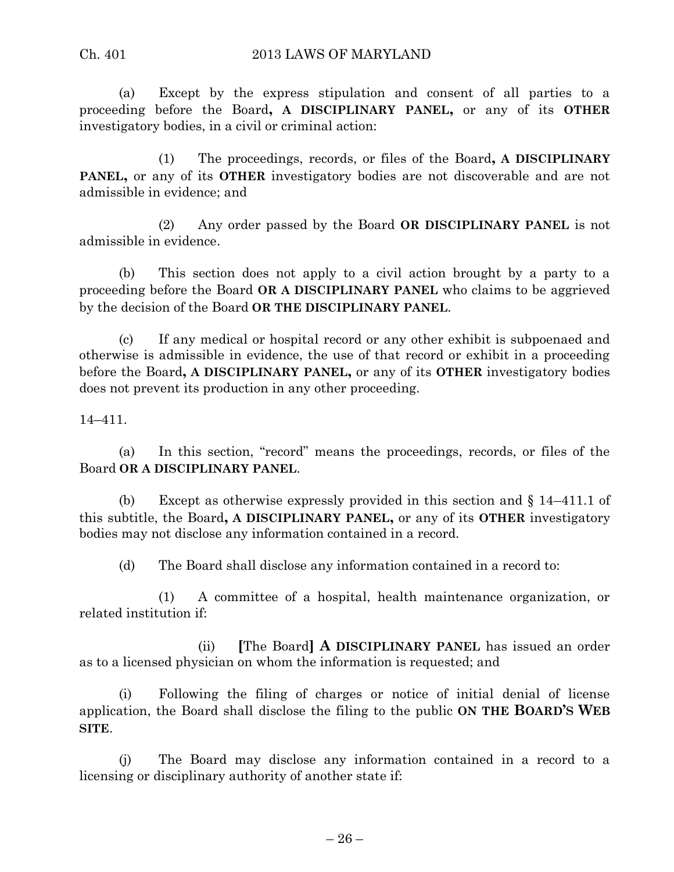#### Ch. 401 2013 LAWS OF MARYLAND

(a) Except by the express stipulation and consent of all parties to a proceeding before the Board**, A DISCIPLINARY PANEL,** or any of its **OTHER** investigatory bodies, in a civil or criminal action:

(1) The proceedings, records, or files of the Board**, A DISCIPLINARY PANEL,** or any of its **OTHER** investigatory bodies are not discoverable and are not admissible in evidence; and

(2) Any order passed by the Board **OR DISCIPLINARY PANEL** is not admissible in evidence.

(b) This section does not apply to a civil action brought by a party to a proceeding before the Board **OR A DISCIPLINARY PANEL** who claims to be aggrieved by the decision of the Board **OR THE DISCIPLINARY PANEL**.

(c) If any medical or hospital record or any other exhibit is subpoenaed and otherwise is admissible in evidence, the use of that record or exhibit in a proceeding before the Board**, A DISCIPLINARY PANEL,** or any of its **OTHER** investigatory bodies does not prevent its production in any other proceeding.

14–411.

(a) In this section, "record" means the proceedings, records, or files of the Board **OR A DISCIPLINARY PANEL**.

(b) Except as otherwise expressly provided in this section and § 14–411.1 of this subtitle, the Board**, A DISCIPLINARY PANEL,** or any of its **OTHER** investigatory bodies may not disclose any information contained in a record.

(d) The Board shall disclose any information contained in a record to:

(1) A committee of a hospital, health maintenance organization, or related institution if:

(ii) **[**The Board**] A DISCIPLINARY PANEL** has issued an order as to a licensed physician on whom the information is requested; and

(i) Following the filing of charges or notice of initial denial of license application, the Board shall disclose the filing to the public **ON THE BOARD'S WEB SITE**.

(j) The Board may disclose any information contained in a record to a licensing or disciplinary authority of another state if: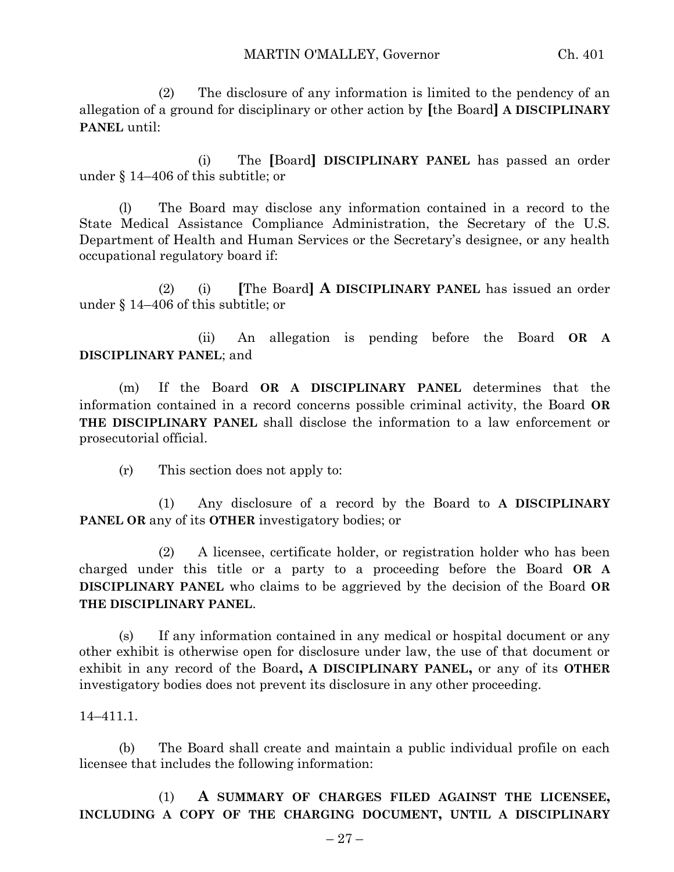(2) The disclosure of any information is limited to the pendency of an allegation of a ground for disciplinary or other action by **[**the Board**] A DISCIPLINARY PANEL** until:

(i) The **[**Board**] DISCIPLINARY PANEL** has passed an order under § 14–406 of this subtitle; or

(l) The Board may disclose any information contained in a record to the State Medical Assistance Compliance Administration, the Secretary of the U.S. Department of Health and Human Services or the Secretary's designee, or any health occupational regulatory board if:

(2) (i) **[**The Board**] A DISCIPLINARY PANEL** has issued an order under § 14–406 of this subtitle; or

(ii) An allegation is pending before the Board **OR A DISCIPLINARY PANEL**; and

(m) If the Board **OR A DISCIPLINARY PANEL** determines that the information contained in a record concerns possible criminal activity, the Board **OR THE DISCIPLINARY PANEL** shall disclose the information to a law enforcement or prosecutorial official.

(r) This section does not apply to:

(1) Any disclosure of a record by the Board to **A DISCIPLINARY PANEL OR** any of its **OTHER** investigatory bodies; or

(2) A licensee, certificate holder, or registration holder who has been charged under this title or a party to a proceeding before the Board **OR A DISCIPLINARY PANEL** who claims to be aggrieved by the decision of the Board **OR THE DISCIPLINARY PANEL**.

(s) If any information contained in any medical or hospital document or any other exhibit is otherwise open for disclosure under law, the use of that document or exhibit in any record of the Board**, A DISCIPLINARY PANEL,** or any of its **OTHER** investigatory bodies does not prevent its disclosure in any other proceeding.

14–411.1.

(b) The Board shall create and maintain a public individual profile on each licensee that includes the following information:

(1) **A SUMMARY OF CHARGES FILED AGAINST THE LICENSEE, INCLUDING A COPY OF THE CHARGING DOCUMENT, UNTIL A DISCIPLINARY**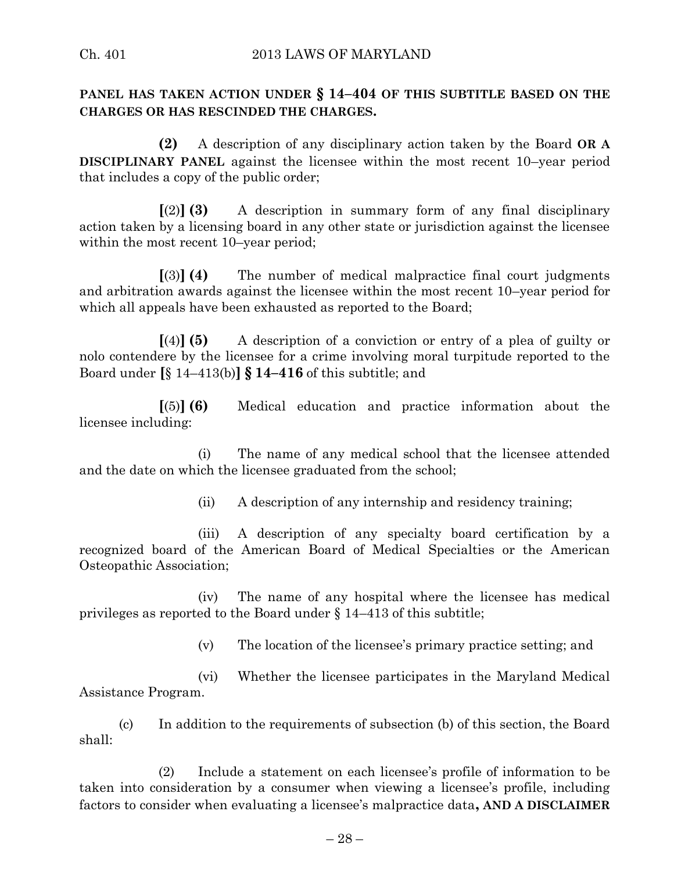### **PANEL HAS TAKEN ACTION UNDER § 14–404 OF THIS SUBTITLE BASED ON THE CHARGES OR HAS RESCINDED THE CHARGES.**

**(2)** A description of any disciplinary action taken by the Board **OR A DISCIPLINARY PANEL** against the licensee within the most recent 10–year period that includes a copy of the public order;

**[**(2)**] (3)** A description in summary form of any final disciplinary action taken by a licensing board in any other state or jurisdiction against the licensee within the most recent 10–year period;

**[**(3)**] (4)** The number of medical malpractice final court judgments and arbitration awards against the licensee within the most recent 10–year period for which all appeals have been exhausted as reported to the Board;

**[**(4)**] (5)** A description of a conviction or entry of a plea of guilty or nolo contendere by the licensee for a crime involving moral turpitude reported to the Board under **[**§ 14–413(b)**] § 14–416** of this subtitle; and

**[**(5)**] (6)** Medical education and practice information about the licensee including:

(i) The name of any medical school that the licensee attended and the date on which the licensee graduated from the school;

(ii) A description of any internship and residency training;

(iii) A description of any specialty board certification by a recognized board of the American Board of Medical Specialties or the American Osteopathic Association;

(iv) The name of any hospital where the licensee has medical privileges as reported to the Board under § 14–413 of this subtitle;

(v) The location of the licensee's primary practice setting; and

(vi) Whether the licensee participates in the Maryland Medical Assistance Program.

(c) In addition to the requirements of subsection (b) of this section, the Board shall:

(2) Include a statement on each licensee's profile of information to be taken into consideration by a consumer when viewing a licensee's profile, including factors to consider when evaluating a licensee's malpractice data**, AND A DISCLAIMER**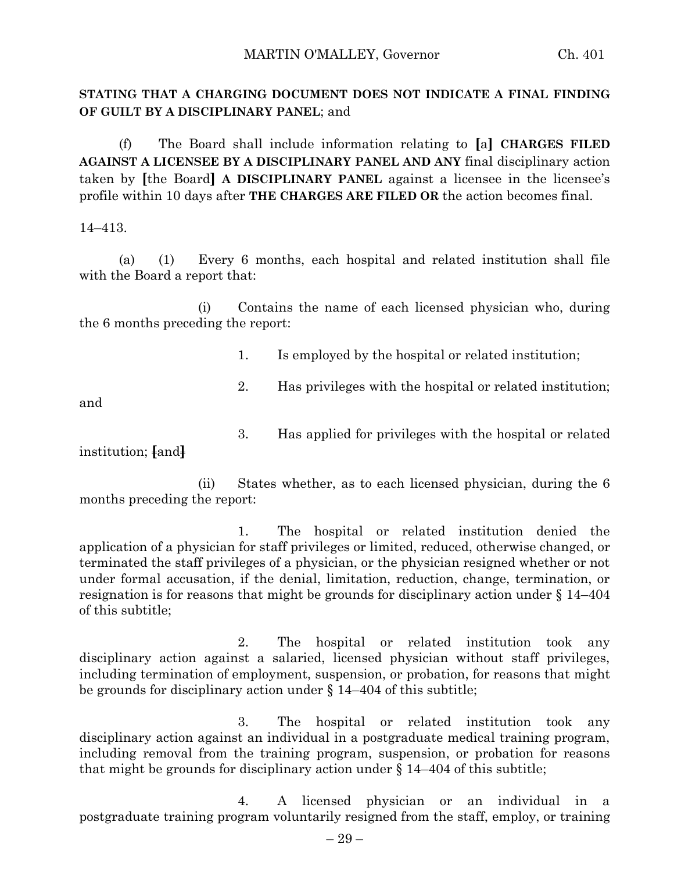#### **STATING THAT A CHARGING DOCUMENT DOES NOT INDICATE A FINAL FINDING OF GUILT BY A DISCIPLINARY PANEL**; and

(f) The Board shall include information relating to **[**a**] CHARGES FILED AGAINST A LICENSEE BY A DISCIPLINARY PANEL AND ANY** final disciplinary action taken by **[**the Board**] A DISCIPLINARY PANEL** against a licensee in the licensee's profile within 10 days after **THE CHARGES ARE FILED OR** the action becomes final.

14–413.

(a) (1) Every 6 months, each hospital and related institution shall file with the Board a report that:

(i) Contains the name of each licensed physician who, during the 6 months preceding the report:

- 1. Is employed by the hospital or related institution;
- 2. Has privileges with the hospital or related institution;

and

3. Has applied for privileges with the hospital or related

institution; **[**and**]**

(ii) States whether, as to each licensed physician, during the 6 months preceding the report:

1. The hospital or related institution denied the application of a physician for staff privileges or limited, reduced, otherwise changed, or terminated the staff privileges of a physician, or the physician resigned whether or not under formal accusation, if the denial, limitation, reduction, change, termination, or resignation is for reasons that might be grounds for disciplinary action under § 14–404 of this subtitle;

2. The hospital or related institution took any disciplinary action against a salaried, licensed physician without staff privileges, including termination of employment, suspension, or probation, for reasons that might be grounds for disciplinary action under § 14–404 of this subtitle;

3. The hospital or related institution took any disciplinary action against an individual in a postgraduate medical training program, including removal from the training program, suspension, or probation for reasons that might be grounds for disciplinary action under  $\S 14-404$  of this subtitle;

4. A licensed physician or an individual in a postgraduate training program voluntarily resigned from the staff, employ, or training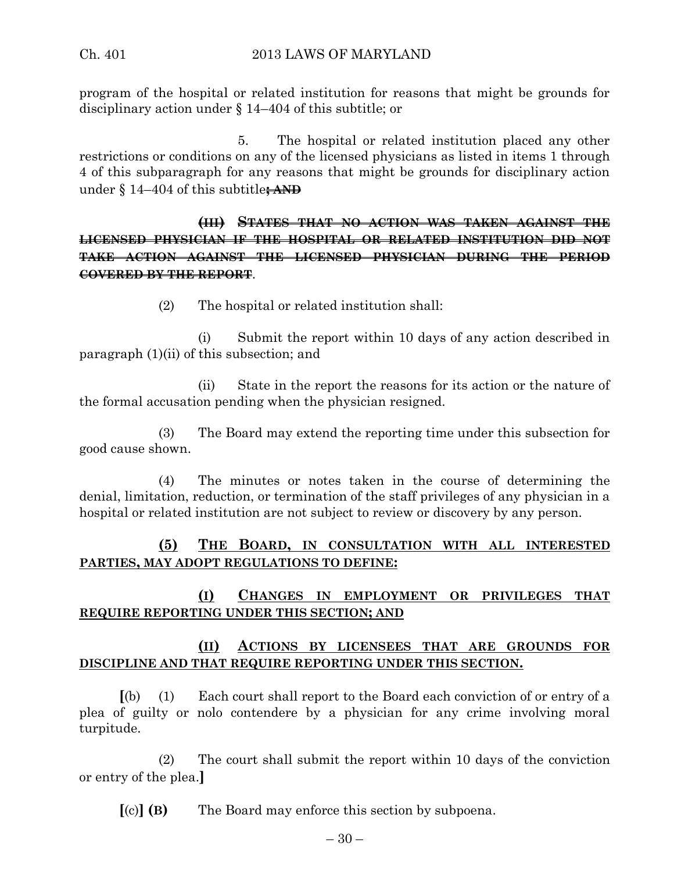program of the hospital or related institution for reasons that might be grounds for disciplinary action under § 14–404 of this subtitle; or

5. The hospital or related institution placed any other restrictions or conditions on any of the licensed physicians as listed in items 1 through 4 of this subparagraph for any reasons that might be grounds for disciplinary action under § 14–404 of this subtitle**; AND**

**(III) STATES THAT NO ACTION WAS TAKEN AGAINST THE LICENSED PHYSICIAN IF THE HOSPITAL OR RELATED INSTITUTION DID NOT TAKE ACTION AGAINST THE LICENSED PHYSICIAN DURING THE PERIOD COVERED BY THE REPORT**.

(2) The hospital or related institution shall:

(i) Submit the report within 10 days of any action described in paragraph (1)(ii) of this subsection; and

(ii) State in the report the reasons for its action or the nature of the formal accusation pending when the physician resigned.

(3) The Board may extend the reporting time under this subsection for good cause shown.

(4) The minutes or notes taken in the course of determining the denial, limitation, reduction, or termination of the staff privileges of any physician in a hospital or related institution are not subject to review or discovery by any person.

# **(5) THE BOARD, IN CONSULTATION WITH ALL INTERESTED PARTIES, MAY ADOPT REGULATIONS TO DEFINE:**

# **(I) CHANGES IN EMPLOYMENT OR PRIVILEGES THAT REQUIRE REPORTING UNDER THIS SECTION; AND**

# **(II) ACTIONS BY LICENSEES THAT ARE GROUNDS FOR DISCIPLINE AND THAT REQUIRE REPORTING UNDER THIS SECTION.**

**[**(b) (1) Each court shall report to the Board each conviction of or entry of a plea of guilty or nolo contendere by a physician for any crime involving moral turpitude.

(2) The court shall submit the report within 10 days of the conviction or entry of the plea.**]**

**[**(c)**] (B)** The Board may enforce this section by subpoena.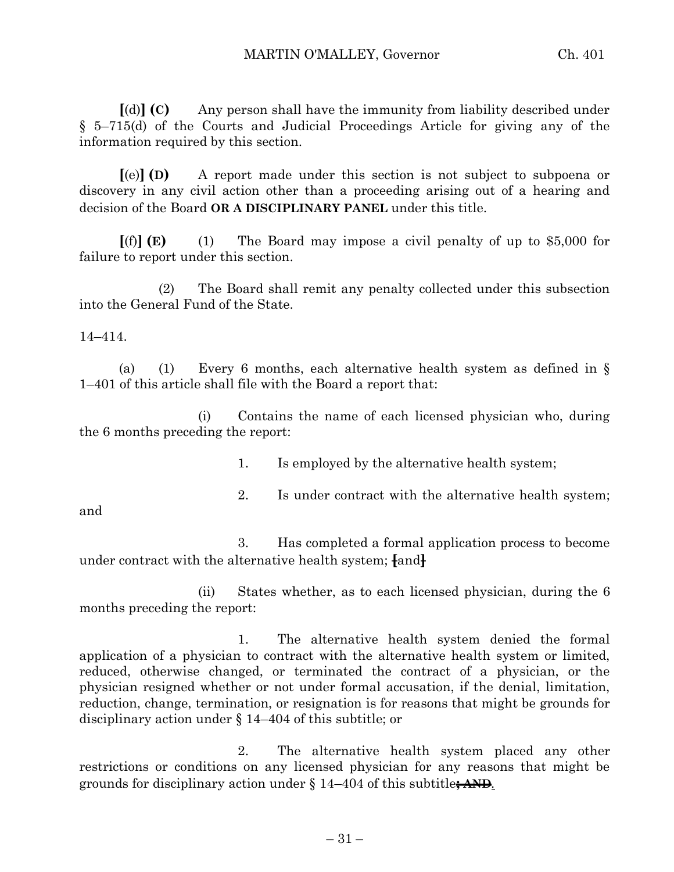**[**(d)**] (C)** Any person shall have the immunity from liability described under § 5–715(d) of the Courts and Judicial Proceedings Article for giving any of the information required by this section.

**[**(e)**] (D)** A report made under this section is not subject to subpoena or discovery in any civil action other than a proceeding arising out of a hearing and decision of the Board **OR A DISCIPLINARY PANEL** under this title.

**[**(f)**] (E)** (1) The Board may impose a civil penalty of up to \$5,000 for failure to report under this section.

(2) The Board shall remit any penalty collected under this subsection into the General Fund of the State.

14–414.

(a) (1) Every 6 months, each alternative health system as defined in  $\S$ 1–401 of this article shall file with the Board a report that:

(i) Contains the name of each licensed physician who, during the 6 months preceding the report:

1. Is employed by the alternative health system;

2. Is under contract with the alternative health system;

and

3. Has completed a formal application process to become under contract with the alternative health system; **[**and**]**

(ii) States whether, as to each licensed physician, during the 6 months preceding the report:

1. The alternative health system denied the formal application of a physician to contract with the alternative health system or limited, reduced, otherwise changed, or terminated the contract of a physician, or the physician resigned whether or not under formal accusation, if the denial, limitation, reduction, change, termination, or resignation is for reasons that might be grounds for disciplinary action under § 14–404 of this subtitle; or

2. The alternative health system placed any other restrictions or conditions on any licensed physician for any reasons that might be grounds for disciplinary action under § 14–404 of this subtitle**; AND***.*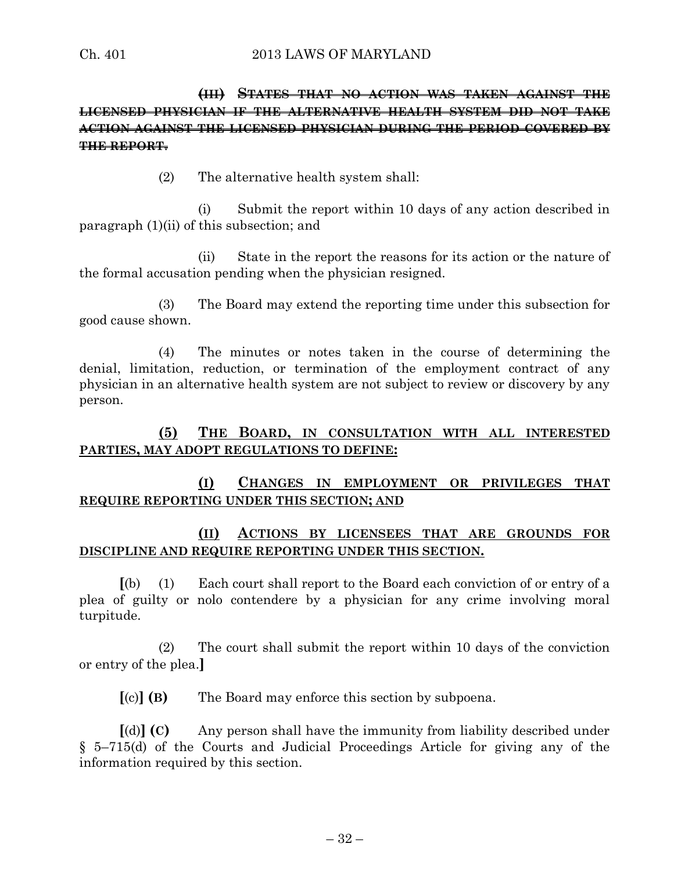# **(III) STATES THAT NO ACTION WAS TAKEN AGAINST THE LICENSED PHYSICIAN IF THE ALTERNATIVE HEALTH SYSTEM DID NOT TAKE ACTION AGAINST THE LICENSED PHYSICIAN DURING THE PERIOD COVERED BY THE REPORT**.

(2) The alternative health system shall:

(i) Submit the report within 10 days of any action described in paragraph (1)(ii) of this subsection; and

(ii) State in the report the reasons for its action or the nature of the formal accusation pending when the physician resigned.

(3) The Board may extend the reporting time under this subsection for good cause shown.

(4) The minutes or notes taken in the course of determining the denial, limitation, reduction, or termination of the employment contract of any physician in an alternative health system are not subject to review or discovery by any person.

#### **(5) THE BOARD, IN CONSULTATION WITH ALL INTERESTED PARTIES, MAY ADOPT REGULATIONS TO DEFINE:**

# **(I) CHANGES IN EMPLOYMENT OR PRIVILEGES THAT REQUIRE REPORTING UNDER THIS SECTION; AND**

# **(II) ACTIONS BY LICENSEES THAT ARE GROUNDS FOR DISCIPLINE AND REQUIRE REPORTING UNDER THIS SECTION.**

**[**(b) (1) Each court shall report to the Board each conviction of or entry of a plea of guilty or nolo contendere by a physician for any crime involving moral turpitude.

(2) The court shall submit the report within 10 days of the conviction or entry of the plea.**]**

**[**(c)**] (B)** The Board may enforce this section by subpoena.

**[**(d)**] (C)** Any person shall have the immunity from liability described under § 5–715(d) of the Courts and Judicial Proceedings Article for giving any of the information required by this section.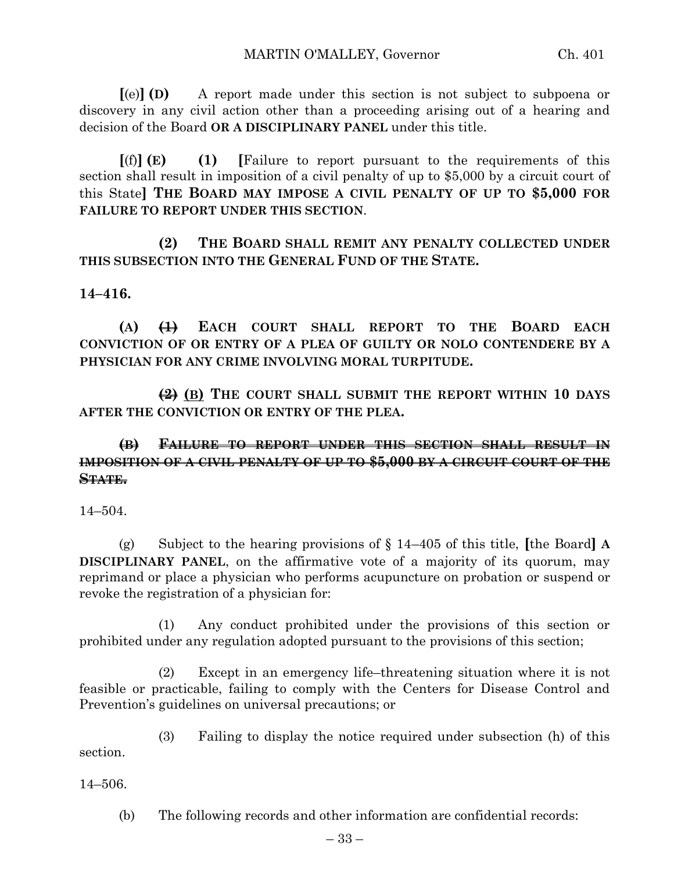**[**(e)**] (D)** A report made under this section is not subject to subpoena or discovery in any civil action other than a proceeding arising out of a hearing and decision of the Board **OR A DISCIPLINARY PANEL** under this title.

**[**(f)**] (E) (1) [**Failure to report pursuant to the requirements of this section shall result in imposition of a civil penalty of up to \$5,000 by a circuit court of this State**] THE BOARD MAY IMPOSE A CIVIL PENALTY OF UP TO \$5,000 FOR FAILURE TO REPORT UNDER THIS SECTION**.

**(2) THE BOARD SHALL REMIT ANY PENALTY COLLECTED UNDER THIS SUBSECTION INTO THE GENERAL FUND OF THE STATE.**

#### **14–416.**

**(A) (1) EACH COURT SHALL REPORT TO THE BOARD EACH CONVICTION OF OR ENTRY OF A PLEA OF GUILTY OR NOLO CONTENDERE BY A PHYSICIAN FOR ANY CRIME INVOLVING MORAL TURPITUDE.**

**(2) (B) THE COURT SHALL SUBMIT THE REPORT WITHIN 10 DAYS AFTER THE CONVICTION OR ENTRY OF THE PLEA.**

# **(B) FAILURE TO REPORT UNDER THIS SECTION SHALL RESULT IN IMPOSITION OF A CIVIL PENALTY OF UP TO \$5,000 BY A CIRCUIT COURT OF THE STATE.**

14–504.

(g) Subject to the hearing provisions of § 14–405 of this title, **[**the Board**] A DISCIPLINARY PANEL**, on the affirmative vote of a majority of its quorum, may reprimand or place a physician who performs acupuncture on probation or suspend or revoke the registration of a physician for:

(1) Any conduct prohibited under the provisions of this section or prohibited under any regulation adopted pursuant to the provisions of this section;

(2) Except in an emergency life–threatening situation where it is not feasible or practicable, failing to comply with the Centers for Disease Control and Prevention's guidelines on universal precautions; or

(3) Failing to display the notice required under subsection (h) of this section.

14–506.

(b) The following records and other information are confidential records: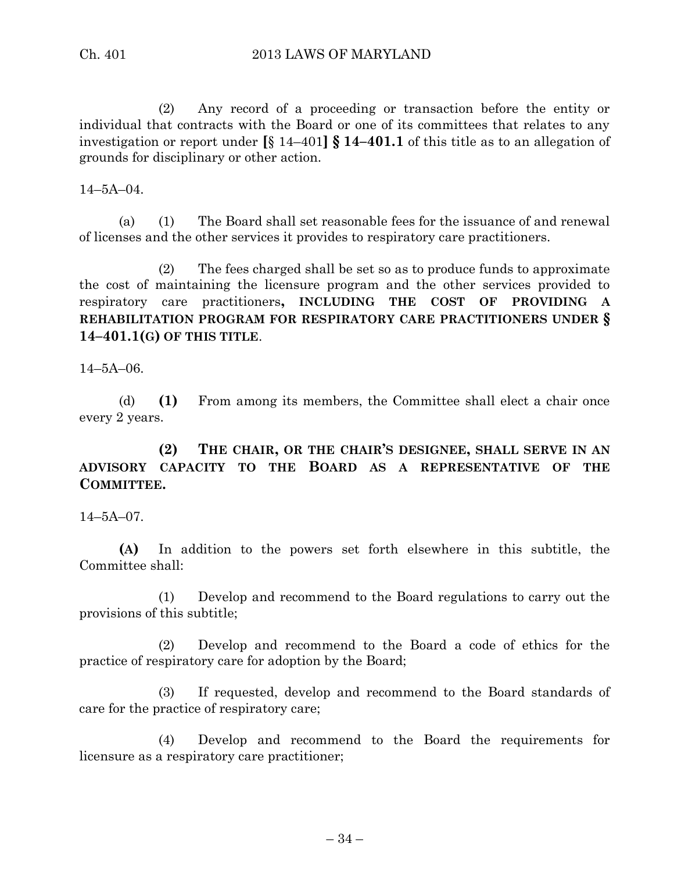(2) Any record of a proceeding or transaction before the entity or individual that contracts with the Board or one of its committees that relates to any investigation or report under **[**§ 14–401**] § 14–401.1** of this title as to an allegation of grounds for disciplinary or other action.

 $14 - 5A - 04$ .

(a) (1) The Board shall set reasonable fees for the issuance of and renewal of licenses and the other services it provides to respiratory care practitioners.

(2) The fees charged shall be set so as to produce funds to approximate the cost of maintaining the licensure program and the other services provided to respiratory care practitioners**, INCLUDING THE COST OF PROVIDING A REHABILITATION PROGRAM FOR RESPIRATORY CARE PRACTITIONERS UNDER § 14–401.1(G) OF THIS TITLE**.

14–5A–06.

(d) **(1)** From among its members, the Committee shall elect a chair once every 2 years.

**(2) THE CHAIR, OR THE CHAIR'S DESIGNEE, SHALL SERVE IN AN ADVISORY CAPACITY TO THE BOARD AS A REPRESENTATIVE OF THE COMMITTEE.**

14–5A–07.

**(A)** In addition to the powers set forth elsewhere in this subtitle, the Committee shall:

(1) Develop and recommend to the Board regulations to carry out the provisions of this subtitle;

(2) Develop and recommend to the Board a code of ethics for the practice of respiratory care for adoption by the Board;

(3) If requested, develop and recommend to the Board standards of care for the practice of respiratory care;

(4) Develop and recommend to the Board the requirements for licensure as a respiratory care practitioner;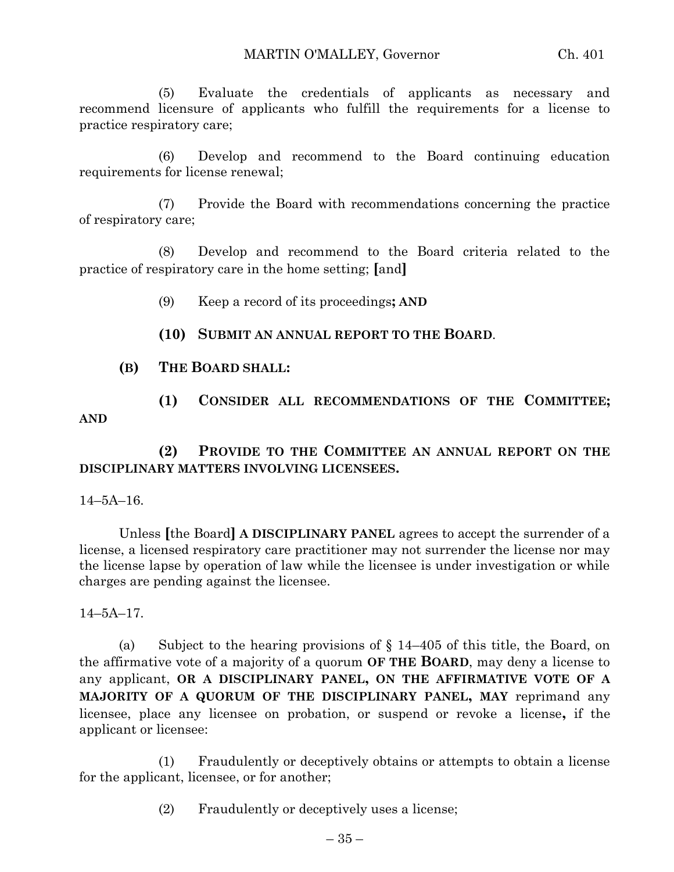(5) Evaluate the credentials of applicants as necessary and recommend licensure of applicants who fulfill the requirements for a license to practice respiratory care;

(6) Develop and recommend to the Board continuing education requirements for license renewal;

(7) Provide the Board with recommendations concerning the practice of respiratory care;

(8) Develop and recommend to the Board criteria related to the practice of respiratory care in the home setting; **[**and**]**

- (9) Keep a record of its proceedings**; AND**
- **(10) SUBMIT AN ANNUAL REPORT TO THE BOARD**.
- **(B) THE BOARD SHALL:**
- **(1) CONSIDER ALL RECOMMENDATIONS OF THE COMMITTEE; AND**

**(2) PROVIDE TO THE COMMITTEE AN ANNUAL REPORT ON THE DISCIPLINARY MATTERS INVOLVING LICENSEES.**

14–5A–16.

Unless **[**the Board**] A DISCIPLINARY PANEL** agrees to accept the surrender of a license, a licensed respiratory care practitioner may not surrender the license nor may the license lapse by operation of law while the licensee is under investigation or while charges are pending against the licensee.

14–5A–17.

(a) Subject to the hearing provisions of  $\S$  14–405 of this title, the Board, on the affirmative vote of a majority of a quorum **OF THE BOARD**, may deny a license to any applicant, **OR A DISCIPLINARY PANEL, ON THE AFFIRMATIVE VOTE OF A MAJORITY OF A QUORUM OF THE DISCIPLINARY PANEL, MAY** reprimand any licensee, place any licensee on probation, or suspend or revoke a license**,** if the applicant or licensee:

(1) Fraudulently or deceptively obtains or attempts to obtain a license for the applicant, licensee, or for another;

(2) Fraudulently or deceptively uses a license;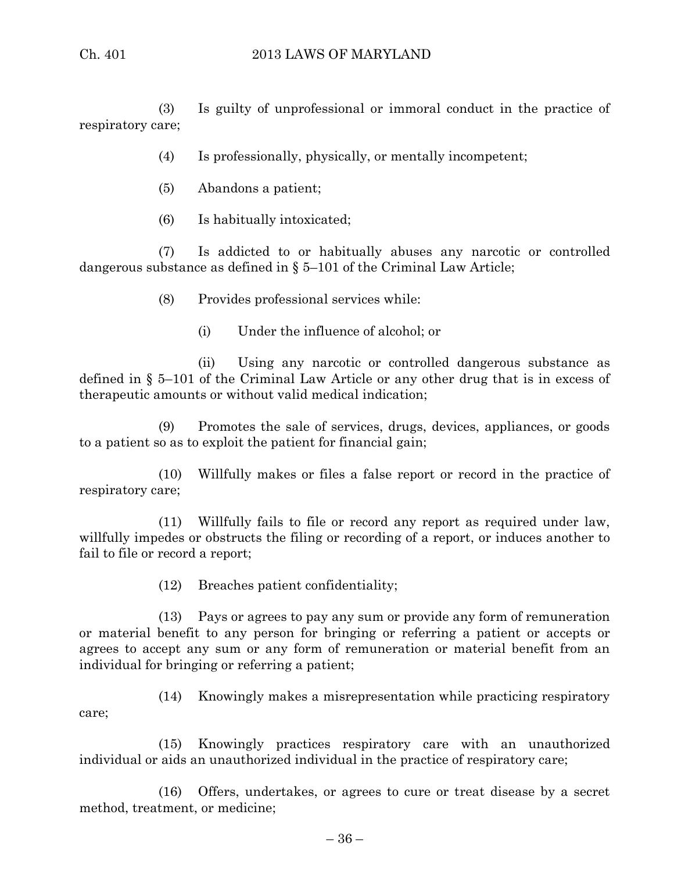(3) Is guilty of unprofessional or immoral conduct in the practice of respiratory care;

- (4) Is professionally, physically, or mentally incompetent;
- (5) Abandons a patient;
- (6) Is habitually intoxicated;

(7) Is addicted to or habitually abuses any narcotic or controlled dangerous substance as defined in § 5–101 of the Criminal Law Article;

- (8) Provides professional services while:
	- (i) Under the influence of alcohol; or

(ii) Using any narcotic or controlled dangerous substance as defined in § 5–101 of the Criminal Law Article or any other drug that is in excess of therapeutic amounts or without valid medical indication;

(9) Promotes the sale of services, drugs, devices, appliances, or goods to a patient so as to exploit the patient for financial gain;

(10) Willfully makes or files a false report or record in the practice of respiratory care;

(11) Willfully fails to file or record any report as required under law, willfully impedes or obstructs the filing or recording of a report, or induces another to fail to file or record a report;

(12) Breaches patient confidentiality;

(13) Pays or agrees to pay any sum or provide any form of remuneration or material benefit to any person for bringing or referring a patient or accepts or agrees to accept any sum or any form of remuneration or material benefit from an individual for bringing or referring a patient;

(14) Knowingly makes a misrepresentation while practicing respiratory care;

(15) Knowingly practices respiratory care with an unauthorized individual or aids an unauthorized individual in the practice of respiratory care;

(16) Offers, undertakes, or agrees to cure or treat disease by a secret method, treatment, or medicine;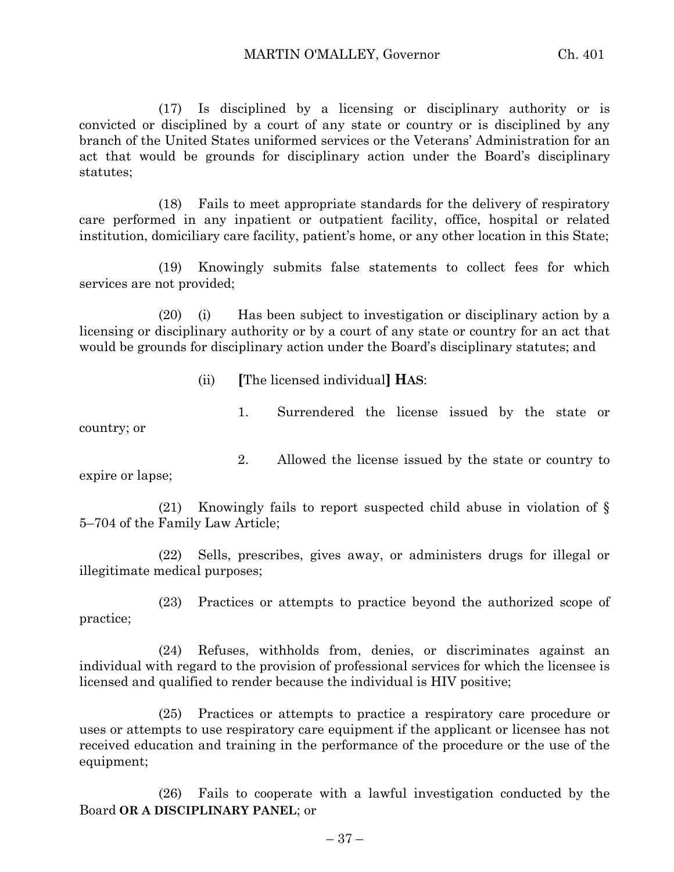(17) Is disciplined by a licensing or disciplinary authority or is convicted or disciplined by a court of any state or country or is disciplined by any branch of the United States uniformed services or the Veterans' Administration for an act that would be grounds for disciplinary action under the Board's disciplinary statutes;

(18) Fails to meet appropriate standards for the delivery of respiratory care performed in any inpatient or outpatient facility, office, hospital or related institution, domiciliary care facility, patient's home, or any other location in this State;

(19) Knowingly submits false statements to collect fees for which services are not provided;

(20) (i) Has been subject to investigation or disciplinary action by a licensing or disciplinary authority or by a court of any state or country for an act that would be grounds for disciplinary action under the Board's disciplinary statutes; and

(ii) **[**The licensed individual**] HAS**:

1. Surrendered the license issued by the state or country; or

expire or lapse;

(21) Knowingly fails to report suspected child abuse in violation of § 5–704 of the Family Law Article;

2. Allowed the license issued by the state or country to

(22) Sells, prescribes, gives away, or administers drugs for illegal or illegitimate medical purposes;

(23) Practices or attempts to practice beyond the authorized scope of practice;

(24) Refuses, withholds from, denies, or discriminates against an individual with regard to the provision of professional services for which the licensee is licensed and qualified to render because the individual is HIV positive;

(25) Practices or attempts to practice a respiratory care procedure or uses or attempts to use respiratory care equipment if the applicant or licensee has not received education and training in the performance of the procedure or the use of the equipment;

(26) Fails to cooperate with a lawful investigation conducted by the Board **OR A DISCIPLINARY PANEL**; or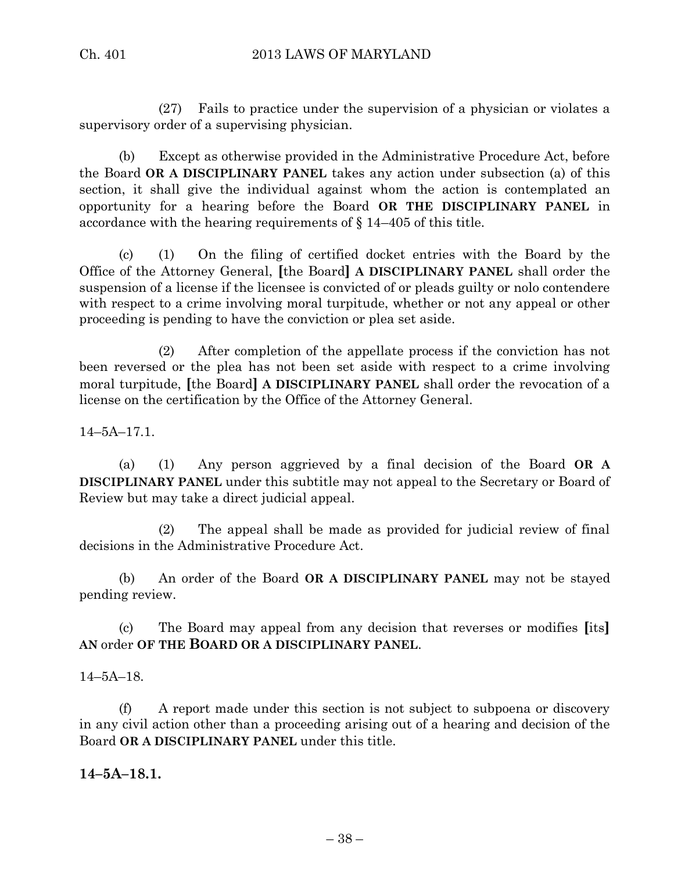(27) Fails to practice under the supervision of a physician or violates a supervisory order of a supervising physician.

(b) Except as otherwise provided in the Administrative Procedure Act, before the Board **OR A DISCIPLINARY PANEL** takes any action under subsection (a) of this section, it shall give the individual against whom the action is contemplated an opportunity for a hearing before the Board **OR THE DISCIPLINARY PANEL** in accordance with the hearing requirements of § 14–405 of this title.

(c) (1) On the filing of certified docket entries with the Board by the Office of the Attorney General, **[**the Board**] A DISCIPLINARY PANEL** shall order the suspension of a license if the licensee is convicted of or pleads guilty or nolo contendere with respect to a crime involving moral turpitude, whether or not any appeal or other proceeding is pending to have the conviction or plea set aside.

(2) After completion of the appellate process if the conviction has not been reversed or the plea has not been set aside with respect to a crime involving moral turpitude, **[**the Board**] A DISCIPLINARY PANEL** shall order the revocation of a license on the certification by the Office of the Attorney General.

14–5A–17.1.

(a) (1) Any person aggrieved by a final decision of the Board **OR A DISCIPLINARY PANEL** under this subtitle may not appeal to the Secretary or Board of Review but may take a direct judicial appeal.

(2) The appeal shall be made as provided for judicial review of final decisions in the Administrative Procedure Act.

(b) An order of the Board **OR A DISCIPLINARY PANEL** may not be stayed pending review.

(c) The Board may appeal from any decision that reverses or modifies **[**its**] AN** order **OF THE BOARD OR A DISCIPLINARY PANEL**.

14–5A–18.

(f) A report made under this section is not subject to subpoena or discovery in any civil action other than a proceeding arising out of a hearing and decision of the Board **OR A DISCIPLINARY PANEL** under this title.

**14–5A–18.1.**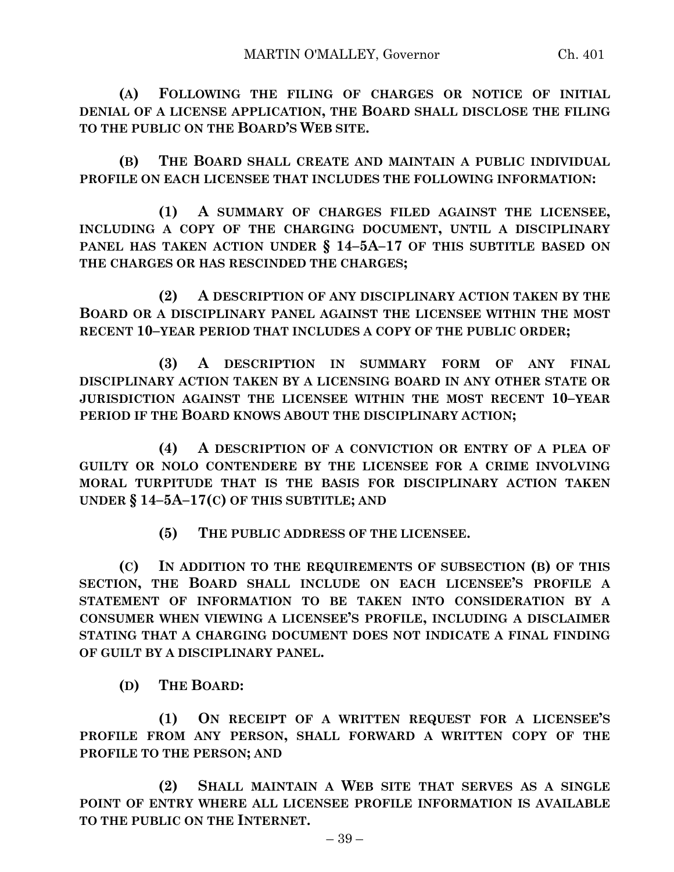**(A) FOLLOWING THE FILING OF CHARGES OR NOTICE OF INITIAL DENIAL OF A LICENSE APPLICATION, THE BOARD SHALL DISCLOSE THE FILING TO THE PUBLIC ON THE BOARD'S WEB SITE.**

**(B) THE BOARD SHALL CREATE AND MAINTAIN A PUBLIC INDIVIDUAL PROFILE ON EACH LICENSEE THAT INCLUDES THE FOLLOWING INFORMATION:**

**(1) A SUMMARY OF CHARGES FILED AGAINST THE LICENSEE, INCLUDING A COPY OF THE CHARGING DOCUMENT, UNTIL A DISCIPLINARY PANEL HAS TAKEN ACTION UNDER § 14–5A–17 OF THIS SUBTITLE BASED ON THE CHARGES OR HAS RESCINDED THE CHARGES;**

**(2) A DESCRIPTION OF ANY DISCIPLINARY ACTION TAKEN BY THE BOARD OR A DISCIPLINARY PANEL AGAINST THE LICENSEE WITHIN THE MOST RECENT 10–YEAR PERIOD THAT INCLUDES A COPY OF THE PUBLIC ORDER;**

**(3) A DESCRIPTION IN SUMMARY FORM OF ANY FINAL DISCIPLINARY ACTION TAKEN BY A LICENSING BOARD IN ANY OTHER STATE OR JURISDICTION AGAINST THE LICENSEE WITHIN THE MOST RECENT 10–YEAR PERIOD IF THE BOARD KNOWS ABOUT THE DISCIPLINARY ACTION;**

**(4) A DESCRIPTION OF A CONVICTION OR ENTRY OF A PLEA OF GUILTY OR NOLO CONTENDERE BY THE LICENSEE FOR A CRIME INVOLVING MORAL TURPITUDE THAT IS THE BASIS FOR DISCIPLINARY ACTION TAKEN UNDER § 14–5A–17(C) OF THIS SUBTITLE; AND**

**(5) THE PUBLIC ADDRESS OF THE LICENSEE.**

**(C) IN ADDITION TO THE REQUIREMENTS OF SUBSECTION (B) OF THIS SECTION, THE BOARD SHALL INCLUDE ON EACH LICENSEE'S PROFILE A STATEMENT OF INFORMATION TO BE TAKEN INTO CONSIDERATION BY A CONSUMER WHEN VIEWING A LICENSEE'S PROFILE, INCLUDING A DISCLAIMER STATING THAT A CHARGING DOCUMENT DOES NOT INDICATE A FINAL FINDING OF GUILT BY A DISCIPLINARY PANEL.**

**(D) THE BOARD:**

**(1) ON RECEIPT OF A WRITTEN REQUEST FOR A LICENSEE'S PROFILE FROM ANY PERSON, SHALL FORWARD A WRITTEN COPY OF THE PROFILE TO THE PERSON; AND**

**(2) SHALL MAINTAIN A WEB SITE THAT SERVES AS A SINGLE POINT OF ENTRY WHERE ALL LICENSEE PROFILE INFORMATION IS AVAILABLE TO THE PUBLIC ON THE INTERNET.**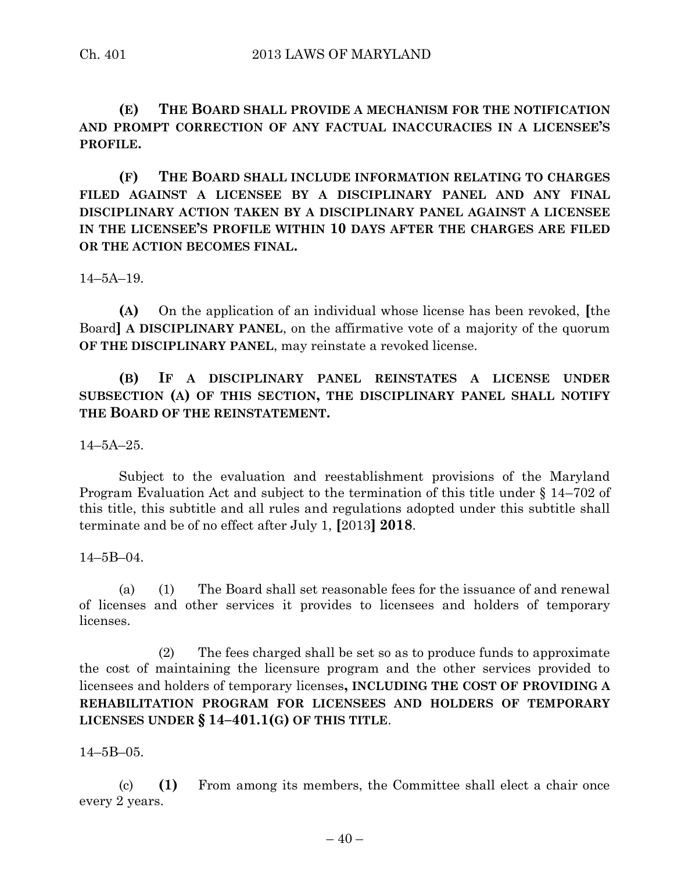**(E) THE BOARD SHALL PROVIDE A MECHANISM FOR THE NOTIFICATION AND PROMPT CORRECTION OF ANY FACTUAL INACCURACIES IN A LICENSEE'S PROFILE.**

**(F) THE BOARD SHALL INCLUDE INFORMATION RELATING TO CHARGES FILED AGAINST A LICENSEE BY A DISCIPLINARY PANEL AND ANY FINAL DISCIPLINARY ACTION TAKEN BY A DISCIPLINARY PANEL AGAINST A LICENSEE IN THE LICENSEE'S PROFILE WITHIN 10 DAYS AFTER THE CHARGES ARE FILED OR THE ACTION BECOMES FINAL.**

14–5A–19.

**(A)** On the application of an individual whose license has been revoked, **[**the Board**] A DISCIPLINARY PANEL**, on the affirmative vote of a majority of the quorum **OF THE DISCIPLINARY PANEL**, may reinstate a revoked license.

**(B) IF A DISCIPLINARY PANEL REINSTATES A LICENSE UNDER SUBSECTION (A) OF THIS SECTION, THE DISCIPLINARY PANEL SHALL NOTIFY THE BOARD OF THE REINSTATEMENT.**

14–5A–25.

Subject to the evaluation and reestablishment provisions of the Maryland Program Evaluation Act and subject to the termination of this title under § 14–702 of this title, this subtitle and all rules and regulations adopted under this subtitle shall terminate and be of no effect after July 1, **[**2013**] 2018**.

14–5B–04.

(a) (1) The Board shall set reasonable fees for the issuance of and renewal of licenses and other services it provides to licensees and holders of temporary licenses.

(2) The fees charged shall be set so as to produce funds to approximate the cost of maintaining the licensure program and the other services provided to licensees and holders of temporary licenses**, INCLUDING THE COST OF PROVIDING A REHABILITATION PROGRAM FOR LICENSEES AND HOLDERS OF TEMPORARY LICENSES UNDER § 14–401.1(G) OF THIS TITLE**.

14–5B–05.

(c) **(1)** From among its members, the Committee shall elect a chair once every 2 years.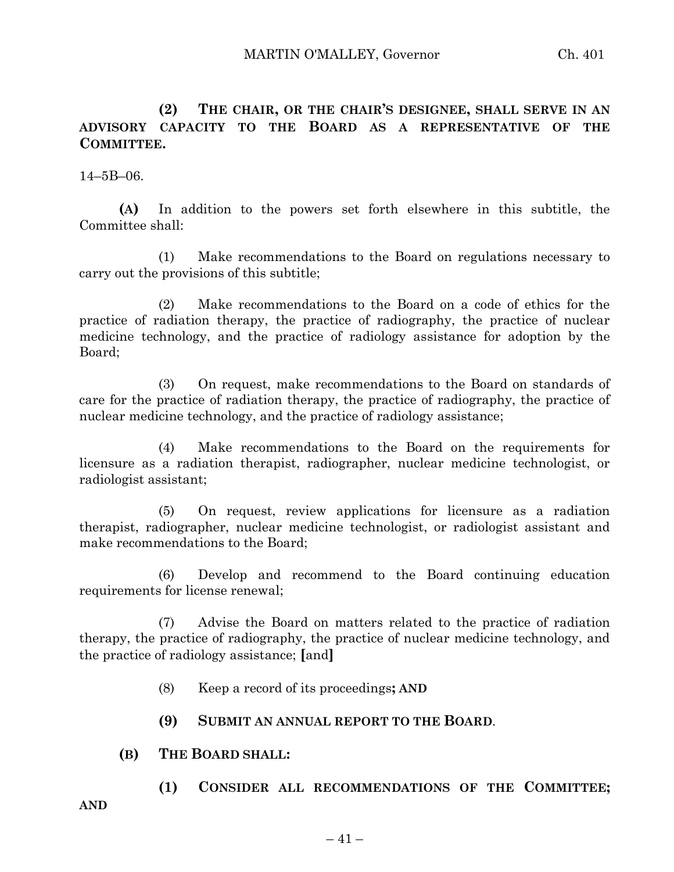**(2) THE CHAIR, OR THE CHAIR'S DESIGNEE, SHALL SERVE IN AN ADVISORY CAPACITY TO THE BOARD AS A REPRESENTATIVE OF THE COMMITTEE.**

14–5B–06.

**(A)** In addition to the powers set forth elsewhere in this subtitle, the Committee shall:

(1) Make recommendations to the Board on regulations necessary to carry out the provisions of this subtitle;

(2) Make recommendations to the Board on a code of ethics for the practice of radiation therapy, the practice of radiography, the practice of nuclear medicine technology, and the practice of radiology assistance for adoption by the Board;

(3) On request, make recommendations to the Board on standards of care for the practice of radiation therapy, the practice of radiography, the practice of nuclear medicine technology, and the practice of radiology assistance;

(4) Make recommendations to the Board on the requirements for licensure as a radiation therapist, radiographer, nuclear medicine technologist, or radiologist assistant;

(5) On request, review applications for licensure as a radiation therapist, radiographer, nuclear medicine technologist, or radiologist assistant and make recommendations to the Board;

(6) Develop and recommend to the Board continuing education requirements for license renewal;

(7) Advise the Board on matters related to the practice of radiation therapy, the practice of radiography, the practice of nuclear medicine technology, and the practice of radiology assistance; **[**and**]**

- (8) Keep a record of its proceedings**; AND**
- **(9) SUBMIT AN ANNUAL REPORT TO THE BOARD**.
- **(B) THE BOARD SHALL:**
	- **(1) CONSIDER ALL RECOMMENDATIONS OF THE COMMITTEE;**

**AND**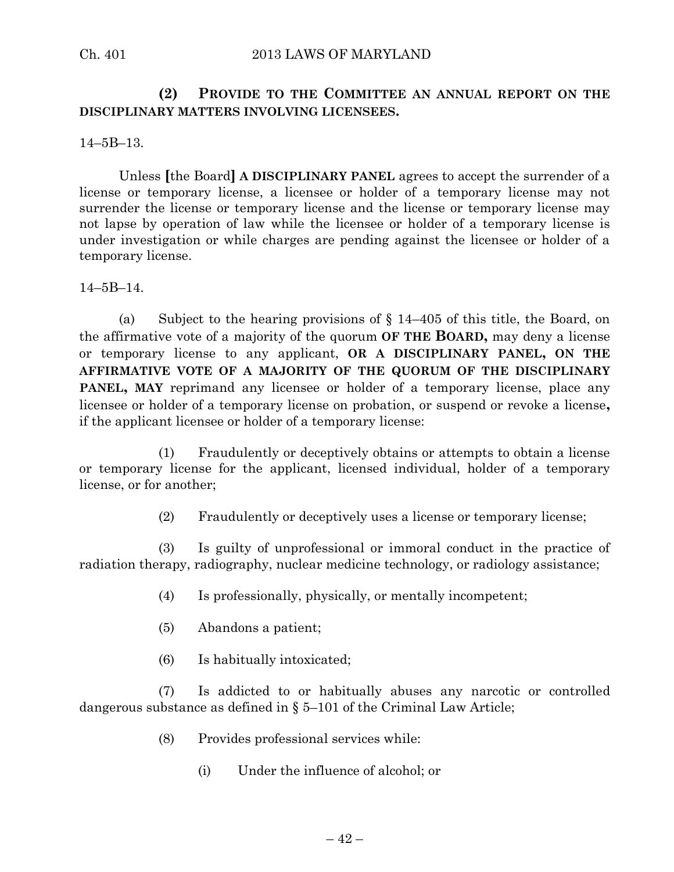## **(2) PROVIDE TO THE COMMITTEE AN ANNUAL REPORT ON THE DISCIPLINARY MATTERS INVOLVING LICENSEES.**

14–5B–13.

Unless **[**the Board**] A DISCIPLINARY PANEL** agrees to accept the surrender of a license or temporary license, a licensee or holder of a temporary license may not surrender the license or temporary license and the license or temporary license may not lapse by operation of law while the licensee or holder of a temporary license is under investigation or while charges are pending against the licensee or holder of a temporary license.

14–5B–14.

(a) Subject to the hearing provisions of  $\S 14-405$  of this title, the Board, on the affirmative vote of a majority of the quorum **OF THE BOARD,** may deny a license or temporary license to any applicant, **OR A DISCIPLINARY PANEL, ON THE AFFIRMATIVE VOTE OF A MAJORITY OF THE QUORUM OF THE DISCIPLINARY PANEL**, MAY reprimand any licensee or holder of a temporary license, place any licensee or holder of a temporary license on probation, or suspend or revoke a license**,** if the applicant licensee or holder of a temporary license:

(1) Fraudulently or deceptively obtains or attempts to obtain a license or temporary license for the applicant, licensed individual, holder of a temporary license, or for another;

(2) Fraudulently or deceptively uses a license or temporary license;

(3) Is guilty of unprofessional or immoral conduct in the practice of radiation therapy, radiography, nuclear medicine technology, or radiology assistance;

- (4) Is professionally, physically, or mentally incompetent;
- (5) Abandons a patient;
- (6) Is habitually intoxicated;

(7) Is addicted to or habitually abuses any narcotic or controlled dangerous substance as defined in § 5–101 of the Criminal Law Article;

- (8) Provides professional services while:
	- (i) Under the influence of alcohol; or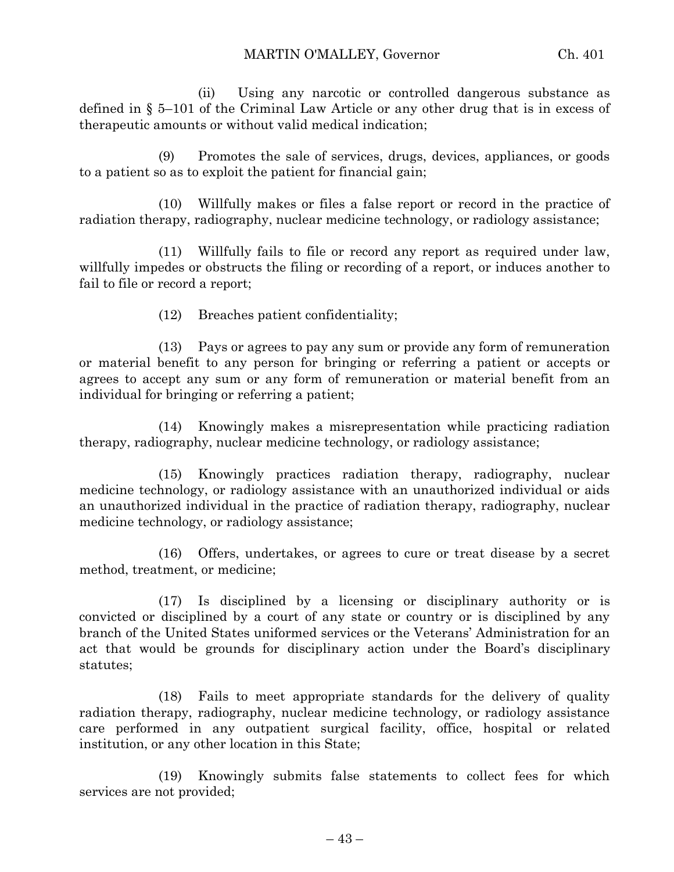(ii) Using any narcotic or controlled dangerous substance as defined in § 5–101 of the Criminal Law Article or any other drug that is in excess of therapeutic amounts or without valid medical indication;

(9) Promotes the sale of services, drugs, devices, appliances, or goods to a patient so as to exploit the patient for financial gain;

(10) Willfully makes or files a false report or record in the practice of radiation therapy, radiography, nuclear medicine technology, or radiology assistance;

(11) Willfully fails to file or record any report as required under law, willfully impedes or obstructs the filing or recording of a report, or induces another to fail to file or record a report;

(12) Breaches patient confidentiality;

(13) Pays or agrees to pay any sum or provide any form of remuneration or material benefit to any person for bringing or referring a patient or accepts or agrees to accept any sum or any form of remuneration or material benefit from an individual for bringing or referring a patient;

(14) Knowingly makes a misrepresentation while practicing radiation therapy, radiography, nuclear medicine technology, or radiology assistance;

(15) Knowingly practices radiation therapy, radiography, nuclear medicine technology, or radiology assistance with an unauthorized individual or aids an unauthorized individual in the practice of radiation therapy, radiography, nuclear medicine technology, or radiology assistance;

(16) Offers, undertakes, or agrees to cure or treat disease by a secret method, treatment, or medicine;

(17) Is disciplined by a licensing or disciplinary authority or is convicted or disciplined by a court of any state or country or is disciplined by any branch of the United States uniformed services or the Veterans' Administration for an act that would be grounds for disciplinary action under the Board's disciplinary statutes;

(18) Fails to meet appropriate standards for the delivery of quality radiation therapy, radiography, nuclear medicine technology, or radiology assistance care performed in any outpatient surgical facility, office, hospital or related institution, or any other location in this State;

(19) Knowingly submits false statements to collect fees for which services are not provided;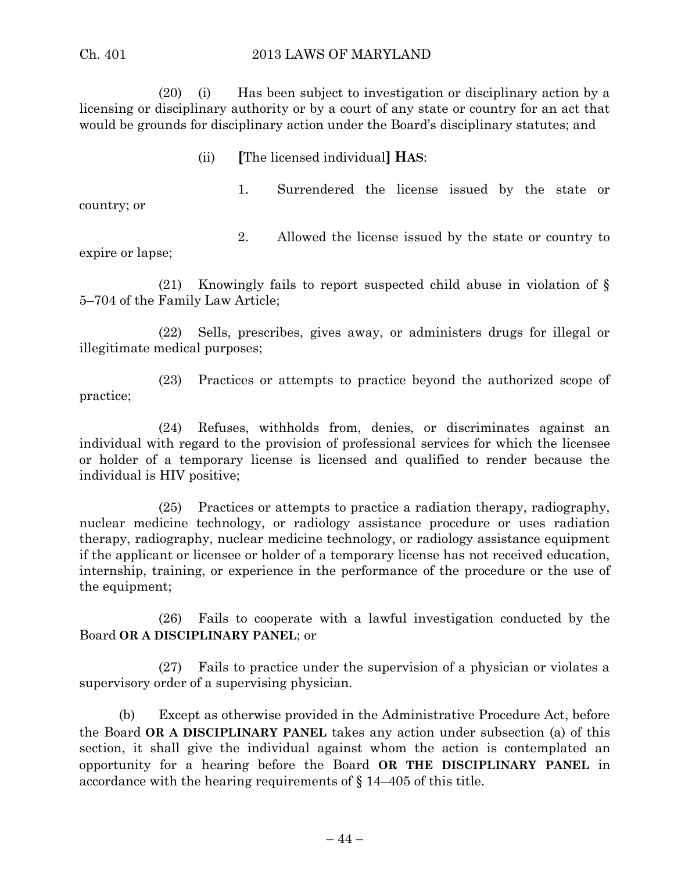#### Ch. 401 2013 LAWS OF MARYLAND

(20) (i) Has been subject to investigation or disciplinary action by a licensing or disciplinary authority or by a court of any state or country for an act that would be grounds for disciplinary action under the Board's disciplinary statutes; and

(ii) **[**The licensed individual**] HAS**:

country; or

1. Surrendered the license issued by the state or

expire or lapse;

2. Allowed the license issued by the state or country to

(21) Knowingly fails to report suspected child abuse in violation of § 5–704 of the Family Law Article;

(22) Sells, prescribes, gives away, or administers drugs for illegal or illegitimate medical purposes;

(23) Practices or attempts to practice beyond the authorized scope of practice;

(24) Refuses, withholds from, denies, or discriminates against an individual with regard to the provision of professional services for which the licensee or holder of a temporary license is licensed and qualified to render because the individual is HIV positive;

(25) Practices or attempts to practice a radiation therapy, radiography, nuclear medicine technology, or radiology assistance procedure or uses radiation therapy, radiography, nuclear medicine technology, or radiology assistance equipment if the applicant or licensee or holder of a temporary license has not received education, internship, training, or experience in the performance of the procedure or the use of the equipment;

(26) Fails to cooperate with a lawful investigation conducted by the Board **OR A DISCIPLINARY PANEL**; or

(27) Fails to practice under the supervision of a physician or violates a supervisory order of a supervising physician.

(b) Except as otherwise provided in the Administrative Procedure Act, before the Board **OR A DISCIPLINARY PANEL** takes any action under subsection (a) of this section, it shall give the individual against whom the action is contemplated an opportunity for a hearing before the Board **OR THE DISCIPLINARY PANEL** in accordance with the hearing requirements of § 14–405 of this title.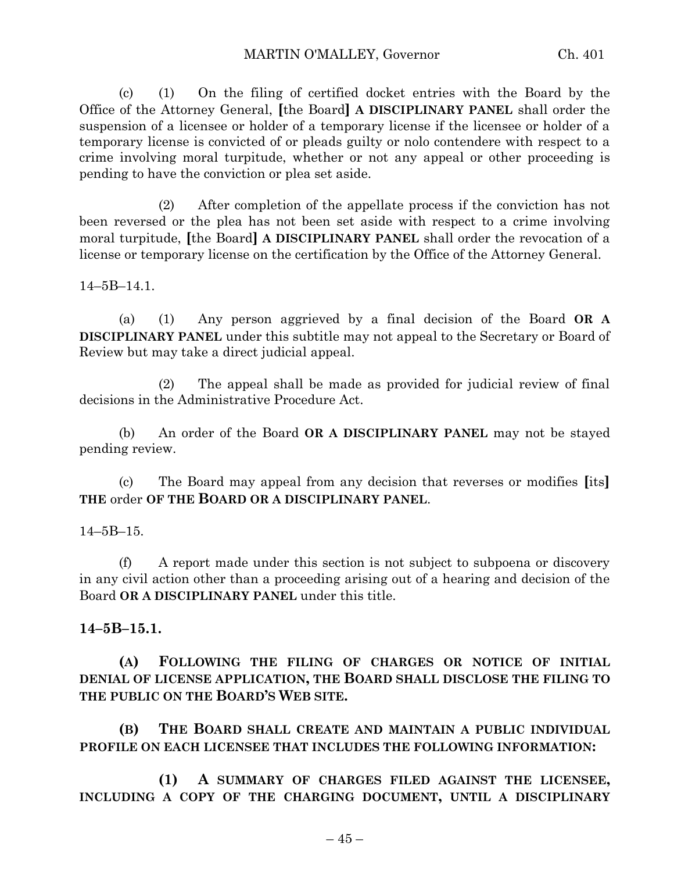(c) (1) On the filing of certified docket entries with the Board by the Office of the Attorney General, **[**the Board**] A DISCIPLINARY PANEL** shall order the suspension of a licensee or holder of a temporary license if the licensee or holder of a temporary license is convicted of or pleads guilty or nolo contendere with respect to a crime involving moral turpitude, whether or not any appeal or other proceeding is pending to have the conviction or plea set aside.

(2) After completion of the appellate process if the conviction has not been reversed or the plea has not been set aside with respect to a crime involving moral turpitude, **[**the Board**] A DISCIPLINARY PANEL** shall order the revocation of a license or temporary license on the certification by the Office of the Attorney General.

14–5B–14.1.

(a) (1) Any person aggrieved by a final decision of the Board **OR A DISCIPLINARY PANEL** under this subtitle may not appeal to the Secretary or Board of Review but may take a direct judicial appeal.

(2) The appeal shall be made as provided for judicial review of final decisions in the Administrative Procedure Act.

(b) An order of the Board **OR A DISCIPLINARY PANEL** may not be stayed pending review.

(c) The Board may appeal from any decision that reverses or modifies **[**its**] THE** order **OF THE BOARD OR A DISCIPLINARY PANEL**.

14–5B–15.

(f) A report made under this section is not subject to subpoena or discovery in any civil action other than a proceeding arising out of a hearing and decision of the Board **OR A DISCIPLINARY PANEL** under this title.

#### **14–5B–15.1.**

**(A) FOLLOWING THE FILING OF CHARGES OR NOTICE OF INITIAL DENIAL OF LICENSE APPLICATION, THE BOARD SHALL DISCLOSE THE FILING TO THE PUBLIC ON THE BOARD'S WEB SITE.**

**(B) THE BOARD SHALL CREATE AND MAINTAIN A PUBLIC INDIVIDUAL PROFILE ON EACH LICENSEE THAT INCLUDES THE FOLLOWING INFORMATION:**

**(1) A SUMMARY OF CHARGES FILED AGAINST THE LICENSEE, INCLUDING A COPY OF THE CHARGING DOCUMENT, UNTIL A DISCIPLINARY**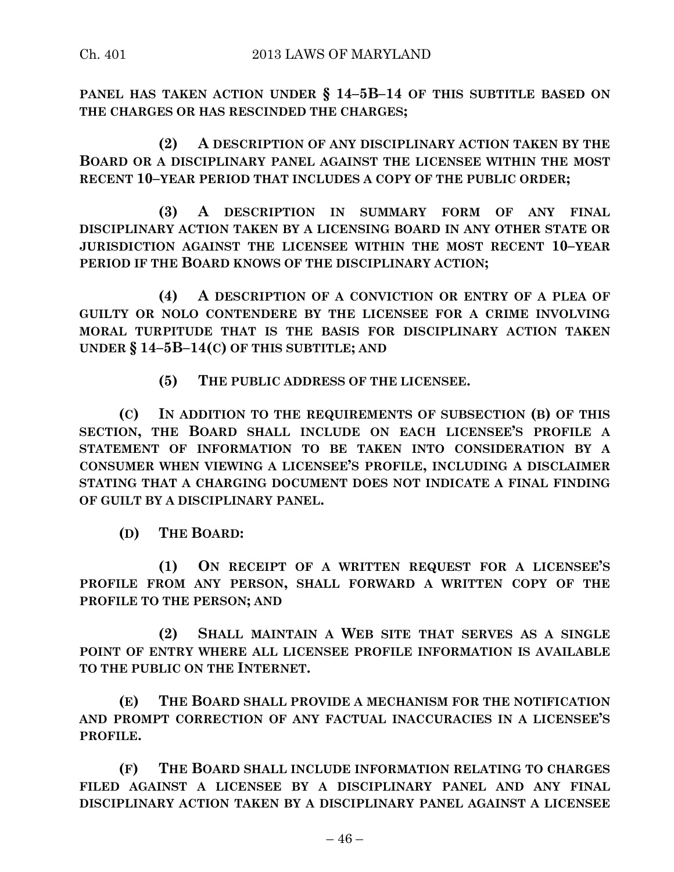**PANEL HAS TAKEN ACTION UNDER § 14–5B–14 OF THIS SUBTITLE BASED ON THE CHARGES OR HAS RESCINDED THE CHARGES;**

**(2) A DESCRIPTION OF ANY DISCIPLINARY ACTION TAKEN BY THE BOARD OR A DISCIPLINARY PANEL AGAINST THE LICENSEE WITHIN THE MOST RECENT 10–YEAR PERIOD THAT INCLUDES A COPY OF THE PUBLIC ORDER;**

**(3) A DESCRIPTION IN SUMMARY FORM OF ANY FINAL DISCIPLINARY ACTION TAKEN BY A LICENSING BOARD IN ANY OTHER STATE OR JURISDICTION AGAINST THE LICENSEE WITHIN THE MOST RECENT 10–YEAR PERIOD IF THE BOARD KNOWS OF THE DISCIPLINARY ACTION;**

**(4) A DESCRIPTION OF A CONVICTION OR ENTRY OF A PLEA OF GUILTY OR NOLO CONTENDERE BY THE LICENSEE FOR A CRIME INVOLVING MORAL TURPITUDE THAT IS THE BASIS FOR DISCIPLINARY ACTION TAKEN UNDER § 14–5B–14(C) OF THIS SUBTITLE; AND**

**(5) THE PUBLIC ADDRESS OF THE LICENSEE.**

**(C) IN ADDITION TO THE REQUIREMENTS OF SUBSECTION (B) OF THIS SECTION, THE BOARD SHALL INCLUDE ON EACH LICENSEE'S PROFILE A STATEMENT OF INFORMATION TO BE TAKEN INTO CONSIDERATION BY A CONSUMER WHEN VIEWING A LICENSEE'S PROFILE, INCLUDING A DISCLAIMER STATING THAT A CHARGING DOCUMENT DOES NOT INDICATE A FINAL FINDING OF GUILT BY A DISCIPLINARY PANEL.**

**(D) THE BOARD:**

**(1) ON RECEIPT OF A WRITTEN REQUEST FOR A LICENSEE'S PROFILE FROM ANY PERSON, SHALL FORWARD A WRITTEN COPY OF THE PROFILE TO THE PERSON; AND**

**(2) SHALL MAINTAIN A WEB SITE THAT SERVES AS A SINGLE POINT OF ENTRY WHERE ALL LICENSEE PROFILE INFORMATION IS AVAILABLE TO THE PUBLIC ON THE INTERNET.**

**(E) THE BOARD SHALL PROVIDE A MECHANISM FOR THE NOTIFICATION AND PROMPT CORRECTION OF ANY FACTUAL INACCURACIES IN A LICENSEE'S PROFILE.**

**(F) THE BOARD SHALL INCLUDE INFORMATION RELATING TO CHARGES FILED AGAINST A LICENSEE BY A DISCIPLINARY PANEL AND ANY FINAL DISCIPLINARY ACTION TAKEN BY A DISCIPLINARY PANEL AGAINST A LICENSEE**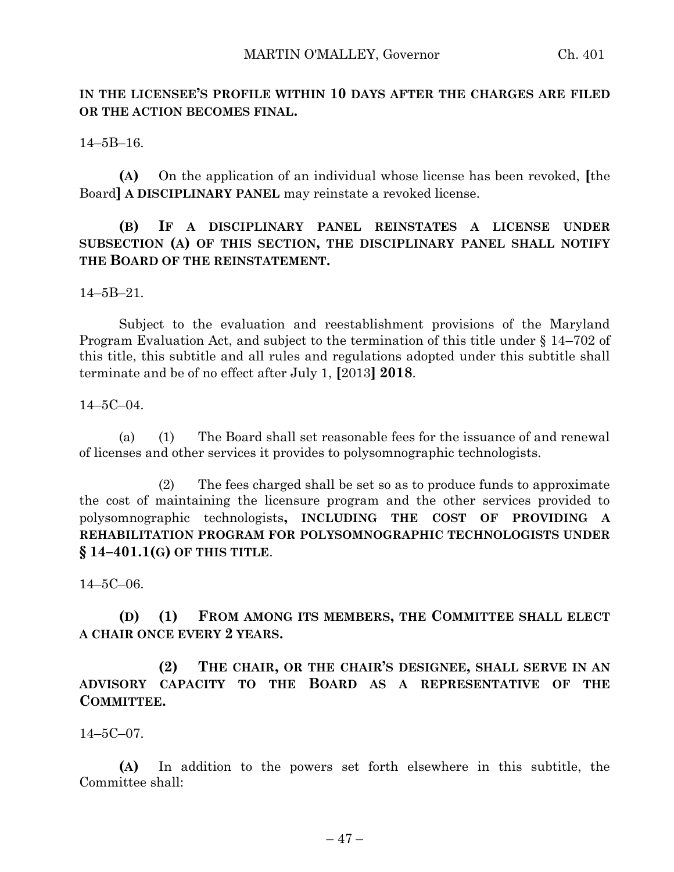## **IN THE LICENSEE'S PROFILE WITHIN 10 DAYS AFTER THE CHARGES ARE FILED OR THE ACTION BECOMES FINAL.**

14–5B–16.

**(A)** On the application of an individual whose license has been revoked, **[**the Board**] A DISCIPLINARY PANEL** may reinstate a revoked license.

## **(B) IF A DISCIPLINARY PANEL REINSTATES A LICENSE UNDER SUBSECTION (A) OF THIS SECTION, THE DISCIPLINARY PANEL SHALL NOTIFY THE BOARD OF THE REINSTATEMENT.**

14–5B–21.

Subject to the evaluation and reestablishment provisions of the Maryland Program Evaluation Act, and subject to the termination of this title under § 14–702 of this title, this subtitle and all rules and regulations adopted under this subtitle shall terminate and be of no effect after July 1, **[**2013**] 2018**.

14–5C–04.

(a) (1) The Board shall set reasonable fees for the issuance of and renewal of licenses and other services it provides to polysomnographic technologists.

(2) The fees charged shall be set so as to produce funds to approximate the cost of maintaining the licensure program and the other services provided to polysomnographic technologists**, INCLUDING THE COST OF PROVIDING A REHABILITATION PROGRAM FOR POLYSOMNOGRAPHIC TECHNOLOGISTS UNDER § 14–401.1(G) OF THIS TITLE**.

14–5C–06.

**(D) (1) FROM AMONG ITS MEMBERS, THE COMMITTEE SHALL ELECT A CHAIR ONCE EVERY 2 YEARS.**

**(2) THE CHAIR, OR THE CHAIR'S DESIGNEE, SHALL SERVE IN AN ADVISORY CAPACITY TO THE BOARD AS A REPRESENTATIVE OF THE COMMITTEE.**

14–5C–07.

**(A)** In addition to the powers set forth elsewhere in this subtitle, the Committee shall: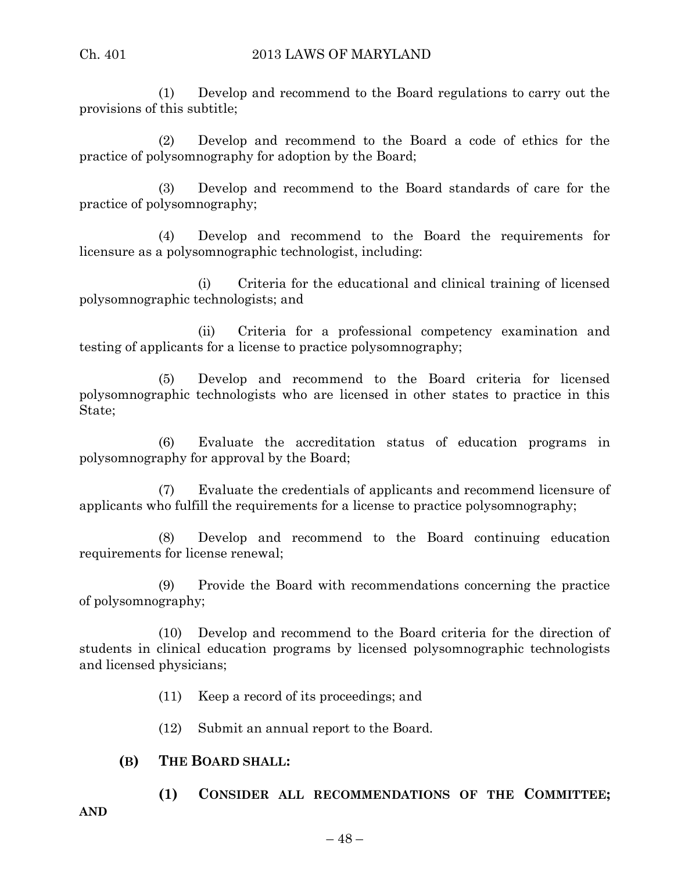(1) Develop and recommend to the Board regulations to carry out the provisions of this subtitle;

(2) Develop and recommend to the Board a code of ethics for the practice of polysomnography for adoption by the Board;

(3) Develop and recommend to the Board standards of care for the practice of polysomnography;

(4) Develop and recommend to the Board the requirements for licensure as a polysomnographic technologist, including:

(i) Criteria for the educational and clinical training of licensed polysomnographic technologists; and

(ii) Criteria for a professional competency examination and testing of applicants for a license to practice polysomnography;

(5) Develop and recommend to the Board criteria for licensed polysomnographic technologists who are licensed in other states to practice in this State;

(6) Evaluate the accreditation status of education programs in polysomnography for approval by the Board;

(7) Evaluate the credentials of applicants and recommend licensure of applicants who fulfill the requirements for a license to practice polysomnography;

(8) Develop and recommend to the Board continuing education requirements for license renewal;

(9) Provide the Board with recommendations concerning the practice of polysomnography;

(10) Develop and recommend to the Board criteria for the direction of students in clinical education programs by licensed polysomnographic technologists and licensed physicians;

(11) Keep a record of its proceedings; and

(12) Submit an annual report to the Board.

## **(B) THE BOARD SHALL:**

**(1) CONSIDER ALL RECOMMENDATIONS OF THE COMMITTEE;**

**AND**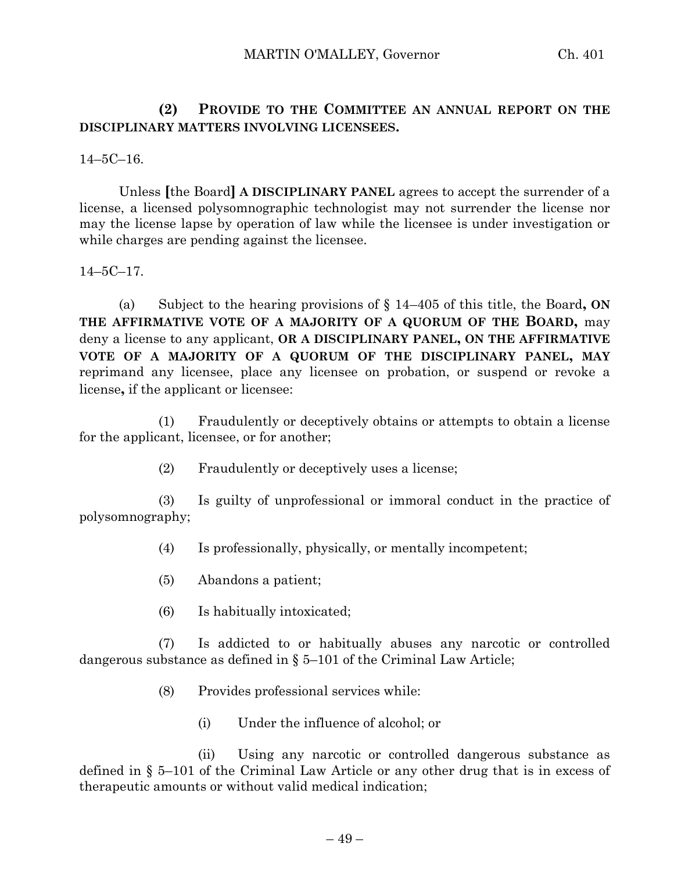**(2) PROVIDE TO THE COMMITTEE AN ANNUAL REPORT ON THE DISCIPLINARY MATTERS INVOLVING LICENSEES.**

14–5C–16.

Unless **[**the Board**] A DISCIPLINARY PANEL** agrees to accept the surrender of a license, a licensed polysomnographic technologist may not surrender the license nor may the license lapse by operation of law while the licensee is under investigation or while charges are pending against the licensee.

14–5C–17.

(a) Subject to the hearing provisions of § 14–405 of this title, the Board**, ON THE AFFIRMATIVE VOTE OF A MAJORITY OF A QUORUM OF THE BOARD,** may deny a license to any applicant, **OR A DISCIPLINARY PANEL, ON THE AFFIRMATIVE VOTE OF A MAJORITY OF A QUORUM OF THE DISCIPLINARY PANEL, MAY** reprimand any licensee, place any licensee on probation, or suspend or revoke a license**,** if the applicant or licensee:

(1) Fraudulently or deceptively obtains or attempts to obtain a license for the applicant, licensee, or for another;

(2) Fraudulently or deceptively uses a license;

(3) Is guilty of unprofessional or immoral conduct in the practice of polysomnography;

- (4) Is professionally, physically, or mentally incompetent;
- (5) Abandons a patient;
- (6) Is habitually intoxicated;

(7) Is addicted to or habitually abuses any narcotic or controlled dangerous substance as defined in § 5–101 of the Criminal Law Article;

- (8) Provides professional services while:
	- (i) Under the influence of alcohol; or

(ii) Using any narcotic or controlled dangerous substance as defined in § 5–101 of the Criminal Law Article or any other drug that is in excess of therapeutic amounts or without valid medical indication;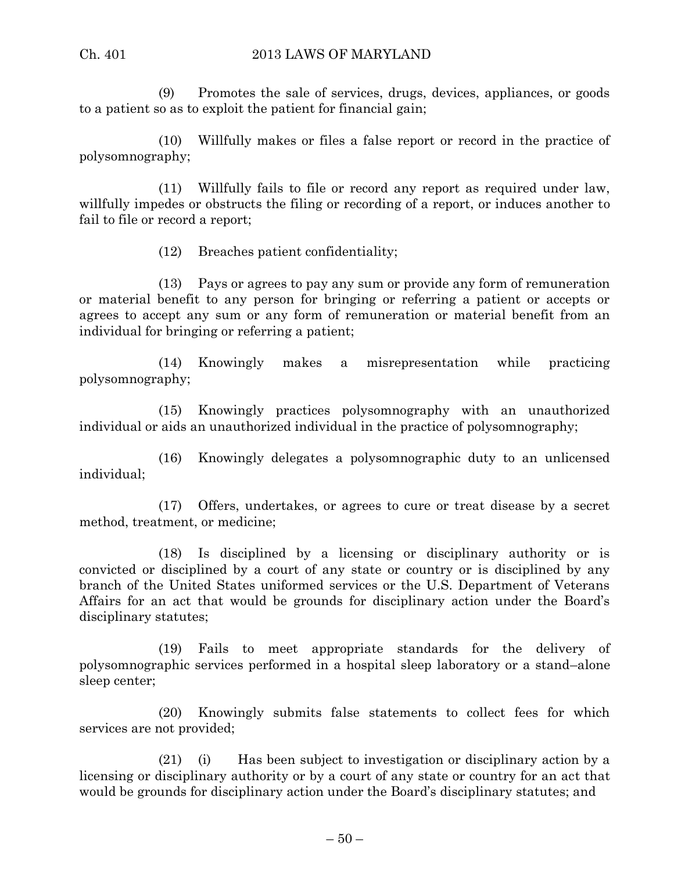(9) Promotes the sale of services, drugs, devices, appliances, or goods to a patient so as to exploit the patient for financial gain;

(10) Willfully makes or files a false report or record in the practice of polysomnography;

(11) Willfully fails to file or record any report as required under law, willfully impedes or obstructs the filing or recording of a report, or induces another to fail to file or record a report;

(12) Breaches patient confidentiality;

(13) Pays or agrees to pay any sum or provide any form of remuneration or material benefit to any person for bringing or referring a patient or accepts or agrees to accept any sum or any form of remuneration or material benefit from an individual for bringing or referring a patient;

(14) Knowingly makes a misrepresentation while practicing polysomnography;

(15) Knowingly practices polysomnography with an unauthorized individual or aids an unauthorized individual in the practice of polysomnography;

(16) Knowingly delegates a polysomnographic duty to an unlicensed individual;

(17) Offers, undertakes, or agrees to cure or treat disease by a secret method, treatment, or medicine;

(18) Is disciplined by a licensing or disciplinary authority or is convicted or disciplined by a court of any state or country or is disciplined by any branch of the United States uniformed services or the U.S. Department of Veterans Affairs for an act that would be grounds for disciplinary action under the Board's disciplinary statutes;

(19) Fails to meet appropriate standards for the delivery of polysomnographic services performed in a hospital sleep laboratory or a stand–alone sleep center;

(20) Knowingly submits false statements to collect fees for which services are not provided;

(21) (i) Has been subject to investigation or disciplinary action by a licensing or disciplinary authority or by a court of any state or country for an act that would be grounds for disciplinary action under the Board's disciplinary statutes; and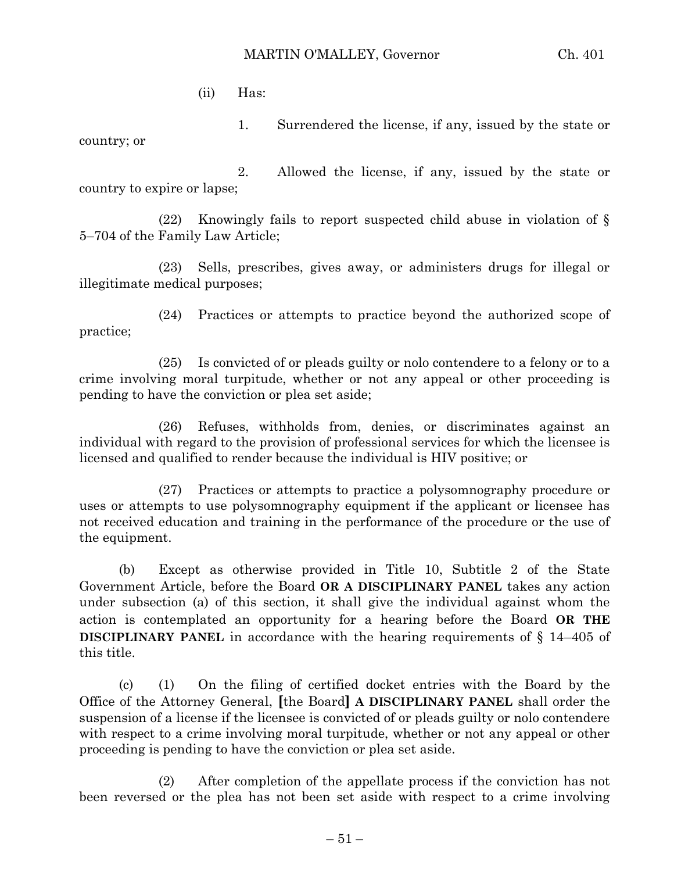(ii) Has:

1. Surrendered the license, if any, issued by the state or country; or

2. Allowed the license, if any, issued by the state or country to expire or lapse;

(22) Knowingly fails to report suspected child abuse in violation of  $\S$ 5–704 of the Family Law Article;

(23) Sells, prescribes, gives away, or administers drugs for illegal or illegitimate medical purposes;

(24) Practices or attempts to practice beyond the authorized scope of practice;

(25) Is convicted of or pleads guilty or nolo contendere to a felony or to a crime involving moral turpitude, whether or not any appeal or other proceeding is pending to have the conviction or plea set aside;

(26) Refuses, withholds from, denies, or discriminates against an individual with regard to the provision of professional services for which the licensee is licensed and qualified to render because the individual is HIV positive; or

(27) Practices or attempts to practice a polysomnography procedure or uses or attempts to use polysomnography equipment if the applicant or licensee has not received education and training in the performance of the procedure or the use of the equipment.

(b) Except as otherwise provided in Title 10, Subtitle 2 of the State Government Article, before the Board **OR A DISCIPLINARY PANEL** takes any action under subsection (a) of this section, it shall give the individual against whom the action is contemplated an opportunity for a hearing before the Board **OR THE DISCIPLINARY PANEL** in accordance with the hearing requirements of § 14–405 of this title.

(c) (1) On the filing of certified docket entries with the Board by the Office of the Attorney General, **[**the Board**] A DISCIPLINARY PANEL** shall order the suspension of a license if the licensee is convicted of or pleads guilty or nolo contendere with respect to a crime involving moral turpitude, whether or not any appeal or other proceeding is pending to have the conviction or plea set aside.

(2) After completion of the appellate process if the conviction has not been reversed or the plea has not been set aside with respect to a crime involving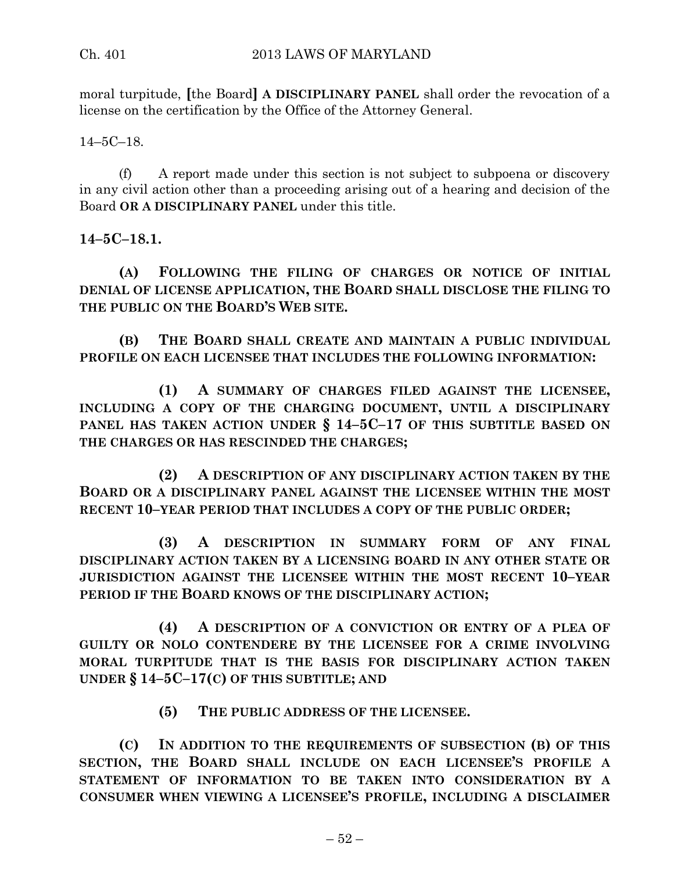moral turpitude, **[**the Board**] A DISCIPLINARY PANEL** shall order the revocation of a license on the certification by the Office of the Attorney General.

14–5C–18.

(f) A report made under this section is not subject to subpoena or discovery in any civil action other than a proceeding arising out of a hearing and decision of the Board **OR A DISCIPLINARY PANEL** under this title.

**14–5C–18.1.**

**(A) FOLLOWING THE FILING OF CHARGES OR NOTICE OF INITIAL DENIAL OF LICENSE APPLICATION, THE BOARD SHALL DISCLOSE THE FILING TO THE PUBLIC ON THE BOARD'S WEB SITE.**

**(B) THE BOARD SHALL CREATE AND MAINTAIN A PUBLIC INDIVIDUAL PROFILE ON EACH LICENSEE THAT INCLUDES THE FOLLOWING INFORMATION:**

**(1) A SUMMARY OF CHARGES FILED AGAINST THE LICENSEE, INCLUDING A COPY OF THE CHARGING DOCUMENT, UNTIL A DISCIPLINARY PANEL HAS TAKEN ACTION UNDER § 14–5C–17 OF THIS SUBTITLE BASED ON THE CHARGES OR HAS RESCINDED THE CHARGES;**

**(2) A DESCRIPTION OF ANY DISCIPLINARY ACTION TAKEN BY THE BOARD OR A DISCIPLINARY PANEL AGAINST THE LICENSEE WITHIN THE MOST RECENT 10–YEAR PERIOD THAT INCLUDES A COPY OF THE PUBLIC ORDER;**

**(3) A DESCRIPTION IN SUMMARY FORM OF ANY FINAL DISCIPLINARY ACTION TAKEN BY A LICENSING BOARD IN ANY OTHER STATE OR JURISDICTION AGAINST THE LICENSEE WITHIN THE MOST RECENT 10–YEAR PERIOD IF THE BOARD KNOWS OF THE DISCIPLINARY ACTION;**

**(4) A DESCRIPTION OF A CONVICTION OR ENTRY OF A PLEA OF GUILTY OR NOLO CONTENDERE BY THE LICENSEE FOR A CRIME INVOLVING MORAL TURPITUDE THAT IS THE BASIS FOR DISCIPLINARY ACTION TAKEN UNDER § 14–5C–17(C) OF THIS SUBTITLE; AND**

**(5) THE PUBLIC ADDRESS OF THE LICENSEE.**

**(C) IN ADDITION TO THE REQUIREMENTS OF SUBSECTION (B) OF THIS SECTION, THE BOARD SHALL INCLUDE ON EACH LICENSEE'S PROFILE A STATEMENT OF INFORMATION TO BE TAKEN INTO CONSIDERATION BY A CONSUMER WHEN VIEWING A LICENSEE'S PROFILE, INCLUDING A DISCLAIMER**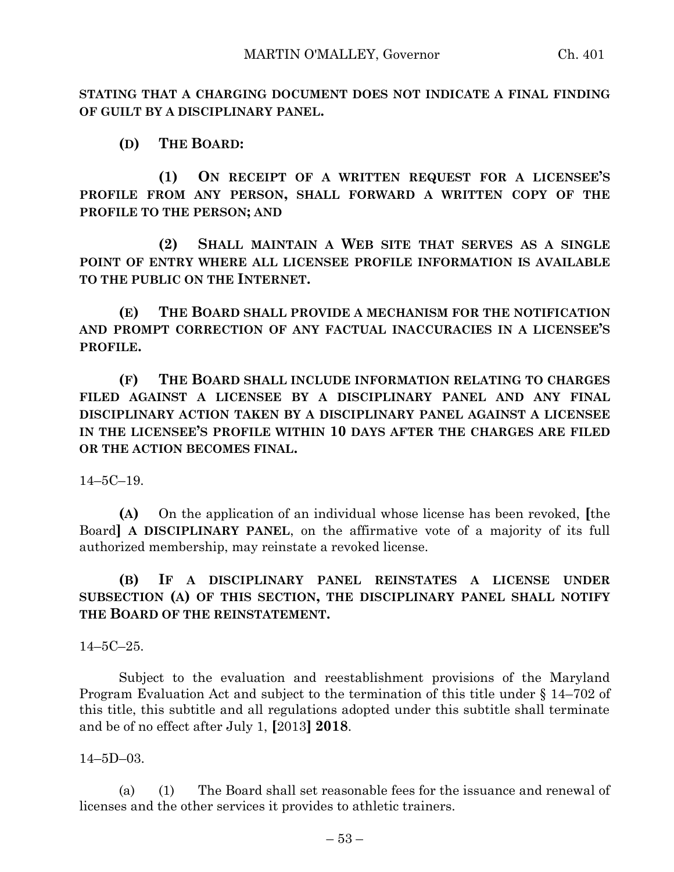**STATING THAT A CHARGING DOCUMENT DOES NOT INDICATE A FINAL FINDING OF GUILT BY A DISCIPLINARY PANEL.**

**(D) THE BOARD:**

**(1) ON RECEIPT OF A WRITTEN REQUEST FOR A LICENSEE'S PROFILE FROM ANY PERSON, SHALL FORWARD A WRITTEN COPY OF THE PROFILE TO THE PERSON; AND**

**(2) SHALL MAINTAIN A WEB SITE THAT SERVES AS A SINGLE POINT OF ENTRY WHERE ALL LICENSEE PROFILE INFORMATION IS AVAILABLE TO THE PUBLIC ON THE INTERNET.**

**(E) THE BOARD SHALL PROVIDE A MECHANISM FOR THE NOTIFICATION AND PROMPT CORRECTION OF ANY FACTUAL INACCURACIES IN A LICENSEE'S PROFILE.**

**(F) THE BOARD SHALL INCLUDE INFORMATION RELATING TO CHARGES FILED AGAINST A LICENSEE BY A DISCIPLINARY PANEL AND ANY FINAL DISCIPLINARY ACTION TAKEN BY A DISCIPLINARY PANEL AGAINST A LICENSEE IN THE LICENSEE'S PROFILE WITHIN 10 DAYS AFTER THE CHARGES ARE FILED OR THE ACTION BECOMES FINAL.**

 $14-5C-19$ .

**(A)** On the application of an individual whose license has been revoked, **[**the Board**] A DISCIPLINARY PANEL**, on the affirmative vote of a majority of its full authorized membership, may reinstate a revoked license.

## **(B) IF A DISCIPLINARY PANEL REINSTATES A LICENSE UNDER SUBSECTION (A) OF THIS SECTION, THE DISCIPLINARY PANEL SHALL NOTIFY THE BOARD OF THE REINSTATEMENT.**

14–5C–25.

Subject to the evaluation and reestablishment provisions of the Maryland Program Evaluation Act and subject to the termination of this title under § 14–702 of this title, this subtitle and all regulations adopted under this subtitle shall terminate and be of no effect after July 1, **[**2013**] 2018**.

14–5D–03.

(a) (1) The Board shall set reasonable fees for the issuance and renewal of licenses and the other services it provides to athletic trainers.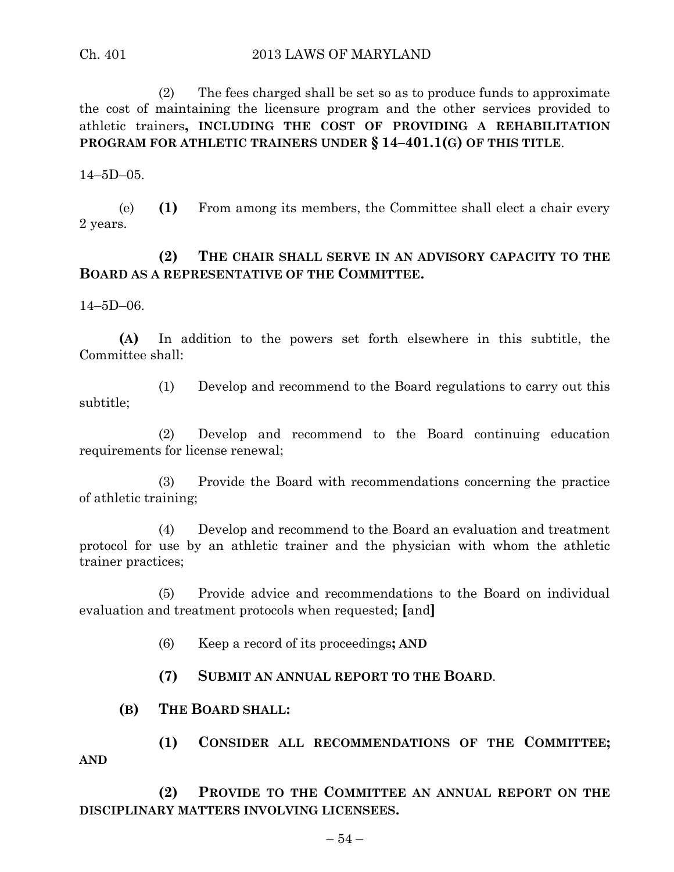(2) The fees charged shall be set so as to produce funds to approximate the cost of maintaining the licensure program and the other services provided to athletic trainers**, INCLUDING THE COST OF PROVIDING A REHABILITATION PROGRAM FOR ATHLETIC TRAINERS UNDER § 14–401.1(G) OF THIS TITLE**.

 $14 - 5D - 05$ .

(e) **(1)** From among its members, the Committee shall elect a chair every 2 years.

#### **(2) THE CHAIR SHALL SERVE IN AN ADVISORY CAPACITY TO THE BOARD AS A REPRESENTATIVE OF THE COMMITTEE.**

14–5D–06.

**(A)** In addition to the powers set forth elsewhere in this subtitle, the Committee shall:

(1) Develop and recommend to the Board regulations to carry out this subtitle;

(2) Develop and recommend to the Board continuing education requirements for license renewal;

(3) Provide the Board with recommendations concerning the practice of athletic training;

(4) Develop and recommend to the Board an evaluation and treatment protocol for use by an athletic trainer and the physician with whom the athletic trainer practices;

(5) Provide advice and recommendations to the Board on individual evaluation and treatment protocols when requested; **[**and**]**

- (6) Keep a record of its proceedings**; AND**
- **(7) SUBMIT AN ANNUAL REPORT TO THE BOARD**.

#### **(B) THE BOARD SHALL:**

**(1) CONSIDER ALL RECOMMENDATIONS OF THE COMMITTEE; AND**

**(2) PROVIDE TO THE COMMITTEE AN ANNUAL REPORT ON THE DISCIPLINARY MATTERS INVOLVING LICENSEES.**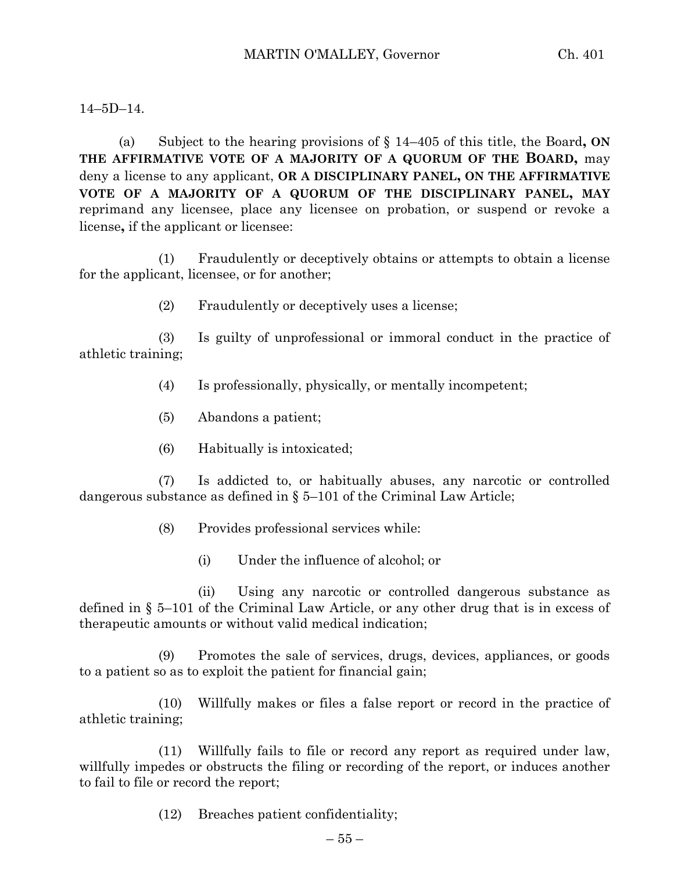#### 14–5D–14.

(a) Subject to the hearing provisions of § 14–405 of this title, the Board**, ON THE AFFIRMATIVE VOTE OF A MAJORITY OF A QUORUM OF THE BOARD,** may deny a license to any applicant, **OR A DISCIPLINARY PANEL, ON THE AFFIRMATIVE VOTE OF A MAJORITY OF A QUORUM OF THE DISCIPLINARY PANEL, MAY** reprimand any licensee, place any licensee on probation, or suspend or revoke a license**,** if the applicant or licensee:

(1) Fraudulently or deceptively obtains or attempts to obtain a license for the applicant, licensee, or for another;

(2) Fraudulently or deceptively uses a license;

(3) Is guilty of unprofessional or immoral conduct in the practice of athletic training;

- (4) Is professionally, physically, or mentally incompetent;
- (5) Abandons a patient;
- (6) Habitually is intoxicated;

(7) Is addicted to, or habitually abuses, any narcotic or controlled dangerous substance as defined in  $\S$  5–101 of the Criminal Law Article;

- (8) Provides professional services while:
	- (i) Under the influence of alcohol; or

(ii) Using any narcotic or controlled dangerous substance as defined in § 5–101 of the Criminal Law Article, or any other drug that is in excess of therapeutic amounts or without valid medical indication;

(9) Promotes the sale of services, drugs, devices, appliances, or goods to a patient so as to exploit the patient for financial gain;

(10) Willfully makes or files a false report or record in the practice of athletic training;

(11) Willfully fails to file or record any report as required under law, willfully impedes or obstructs the filing or recording of the report, or induces another to fail to file or record the report;

(12) Breaches patient confidentiality;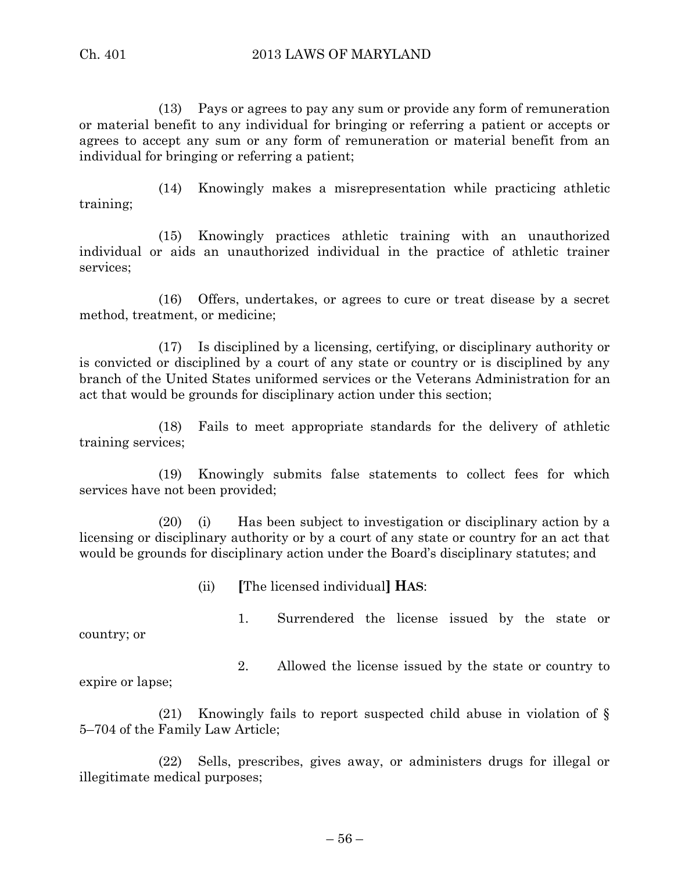(13) Pays or agrees to pay any sum or provide any form of remuneration or material benefit to any individual for bringing or referring a patient or accepts or agrees to accept any sum or any form of remuneration or material benefit from an individual for bringing or referring a patient;

(14) Knowingly makes a misrepresentation while practicing athletic training;

(15) Knowingly practices athletic training with an unauthorized individual or aids an unauthorized individual in the practice of athletic trainer services;

(16) Offers, undertakes, or agrees to cure or treat disease by a secret method, treatment, or medicine;

(17) Is disciplined by a licensing, certifying, or disciplinary authority or is convicted or disciplined by a court of any state or country or is disciplined by any branch of the United States uniformed services or the Veterans Administration for an act that would be grounds for disciplinary action under this section;

(18) Fails to meet appropriate standards for the delivery of athletic training services;

(19) Knowingly submits false statements to collect fees for which services have not been provided;

(20) (i) Has been subject to investigation or disciplinary action by a licensing or disciplinary authority or by a court of any state or country for an act that would be grounds for disciplinary action under the Board's disciplinary statutes; and

(ii) **[**The licensed individual**] HAS**:

country; or

1. Surrendered the license issued by the state or

2. Allowed the license issued by the state or country to

expire or lapse;

(21) Knowingly fails to report suspected child abuse in violation of § 5–704 of the Family Law Article;

(22) Sells, prescribes, gives away, or administers drugs for illegal or illegitimate medical purposes;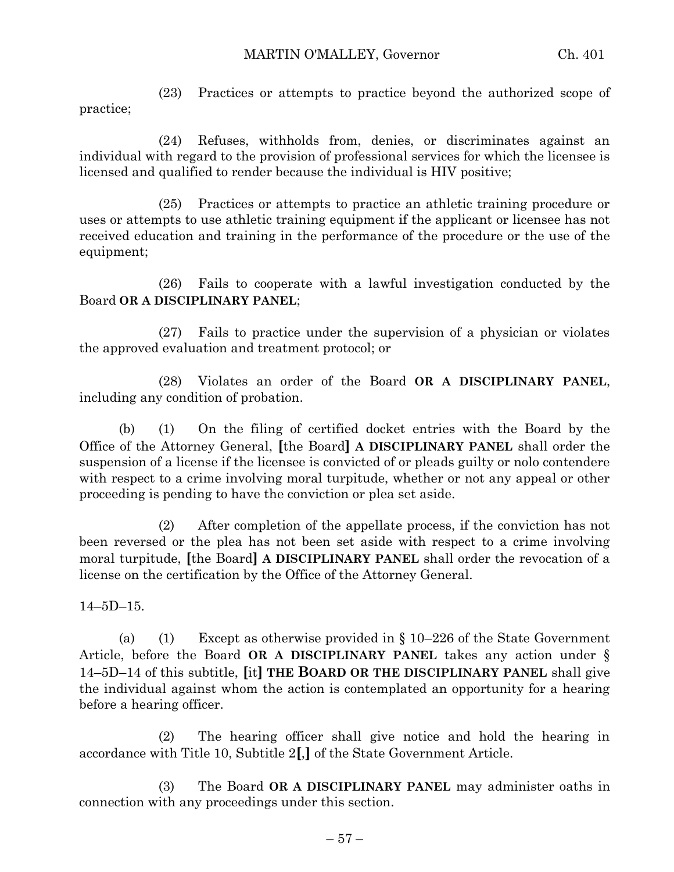(23) Practices or attempts to practice beyond the authorized scope of practice;

(24) Refuses, withholds from, denies, or discriminates against an individual with regard to the provision of professional services for which the licensee is licensed and qualified to render because the individual is HIV positive;

(25) Practices or attempts to practice an athletic training procedure or uses or attempts to use athletic training equipment if the applicant or licensee has not received education and training in the performance of the procedure or the use of the equipment;

(26) Fails to cooperate with a lawful investigation conducted by the Board **OR A DISCIPLINARY PANEL**;

(27) Fails to practice under the supervision of a physician or violates the approved evaluation and treatment protocol; or

(28) Violates an order of the Board **OR A DISCIPLINARY PANEL**, including any condition of probation.

(b) (1) On the filing of certified docket entries with the Board by the Office of the Attorney General, **[**the Board**] A DISCIPLINARY PANEL** shall order the suspension of a license if the licensee is convicted of or pleads guilty or nolo contendere with respect to a crime involving moral turpitude, whether or not any appeal or other proceeding is pending to have the conviction or plea set aside.

(2) After completion of the appellate process, if the conviction has not been reversed or the plea has not been set aside with respect to a crime involving moral turpitude, **[**the Board**] A DISCIPLINARY PANEL** shall order the revocation of a license on the certification by the Office of the Attorney General.

14–5D–15.

(a) (1) Except as otherwise provided in  $\S 10-226$  of the State Government Article, before the Board **OR A DISCIPLINARY PANEL** takes any action under § 14–5D–14 of this subtitle, **[**it**] THE BOARD OR THE DISCIPLINARY PANEL** shall give the individual against whom the action is contemplated an opportunity for a hearing before a hearing officer.

(2) The hearing officer shall give notice and hold the hearing in accordance with Title 10, Subtitle 2**[**,**]** of the State Government Article.

(3) The Board **OR A DISCIPLINARY PANEL** may administer oaths in connection with any proceedings under this section.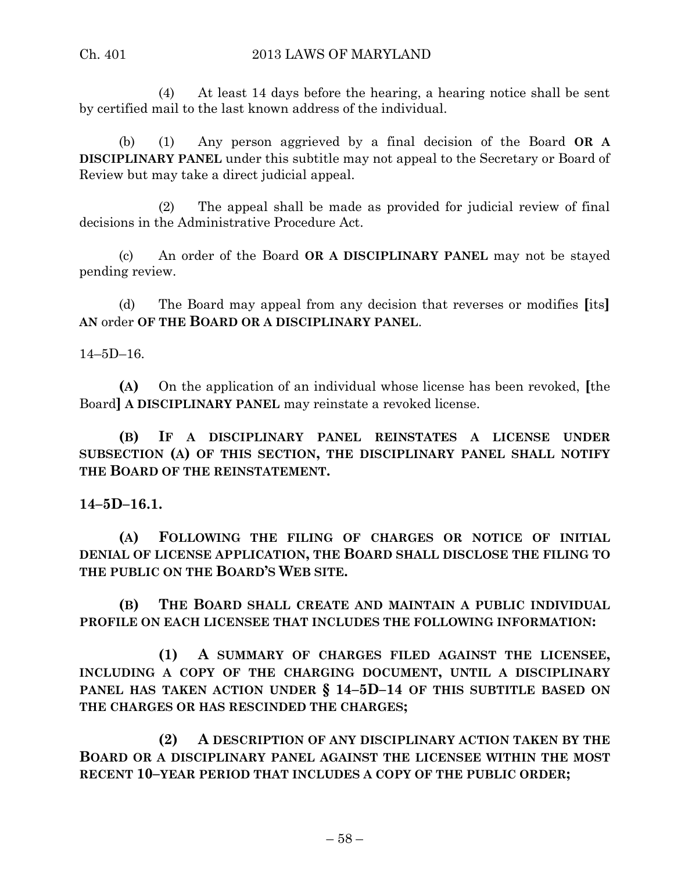(4) At least 14 days before the hearing, a hearing notice shall be sent by certified mail to the last known address of the individual.

(b) (1) Any person aggrieved by a final decision of the Board **OR A DISCIPLINARY PANEL** under this subtitle may not appeal to the Secretary or Board of Review but may take a direct judicial appeal.

(2) The appeal shall be made as provided for judicial review of final decisions in the Administrative Procedure Act.

(c) An order of the Board **OR A DISCIPLINARY PANEL** may not be stayed pending review.

(d) The Board may appeal from any decision that reverses or modifies **[**its**] AN** order **OF THE BOARD OR A DISCIPLINARY PANEL**.

14–5D–16.

**(A)** On the application of an individual whose license has been revoked, **[**the Board**] A DISCIPLINARY PANEL** may reinstate a revoked license.

**(B) IF A DISCIPLINARY PANEL REINSTATES A LICENSE UNDER SUBSECTION (A) OF THIS SECTION, THE DISCIPLINARY PANEL SHALL NOTIFY THE BOARD OF THE REINSTATEMENT.**

**14–5D–16.1.**

**(A) FOLLOWING THE FILING OF CHARGES OR NOTICE OF INITIAL DENIAL OF LICENSE APPLICATION, THE BOARD SHALL DISCLOSE THE FILING TO THE PUBLIC ON THE BOARD'S WEB SITE.**

**(B) THE BOARD SHALL CREATE AND MAINTAIN A PUBLIC INDIVIDUAL PROFILE ON EACH LICENSEE THAT INCLUDES THE FOLLOWING INFORMATION:**

**(1) A SUMMARY OF CHARGES FILED AGAINST THE LICENSEE, INCLUDING A COPY OF THE CHARGING DOCUMENT, UNTIL A DISCIPLINARY PANEL HAS TAKEN ACTION UNDER § 14–5D–14 OF THIS SUBTITLE BASED ON THE CHARGES OR HAS RESCINDED THE CHARGES;**

**(2) A DESCRIPTION OF ANY DISCIPLINARY ACTION TAKEN BY THE BOARD OR A DISCIPLINARY PANEL AGAINST THE LICENSEE WITHIN THE MOST RECENT 10–YEAR PERIOD THAT INCLUDES A COPY OF THE PUBLIC ORDER;**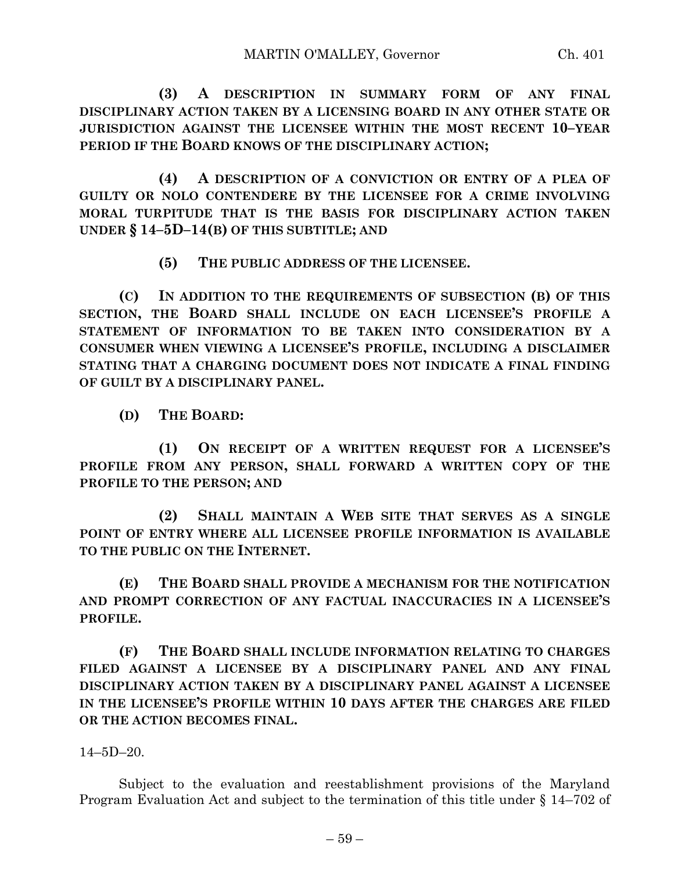**(3) A DESCRIPTION IN SUMMARY FORM OF ANY FINAL DISCIPLINARY ACTION TAKEN BY A LICENSING BOARD IN ANY OTHER STATE OR JURISDICTION AGAINST THE LICENSEE WITHIN THE MOST RECENT 10–YEAR PERIOD IF THE BOARD KNOWS OF THE DISCIPLINARY ACTION;**

**(4) A DESCRIPTION OF A CONVICTION OR ENTRY OF A PLEA OF GUILTY OR NOLO CONTENDERE BY THE LICENSEE FOR A CRIME INVOLVING MORAL TURPITUDE THAT IS THE BASIS FOR DISCIPLINARY ACTION TAKEN UNDER § 14–5D–14(B) OF THIS SUBTITLE; AND**

**(5) THE PUBLIC ADDRESS OF THE LICENSEE.**

**(C) IN ADDITION TO THE REQUIREMENTS OF SUBSECTION (B) OF THIS SECTION, THE BOARD SHALL INCLUDE ON EACH LICENSEE'S PROFILE A STATEMENT OF INFORMATION TO BE TAKEN INTO CONSIDERATION BY A CONSUMER WHEN VIEWING A LICENSEE'S PROFILE, INCLUDING A DISCLAIMER STATING THAT A CHARGING DOCUMENT DOES NOT INDICATE A FINAL FINDING OF GUILT BY A DISCIPLINARY PANEL.**

**(D) THE BOARD:**

**(1) ON RECEIPT OF A WRITTEN REQUEST FOR A LICENSEE'S PROFILE FROM ANY PERSON, SHALL FORWARD A WRITTEN COPY OF THE PROFILE TO THE PERSON; AND**

**(2) SHALL MAINTAIN A WEB SITE THAT SERVES AS A SINGLE POINT OF ENTRY WHERE ALL LICENSEE PROFILE INFORMATION IS AVAILABLE TO THE PUBLIC ON THE INTERNET.**

**(E) THE BOARD SHALL PROVIDE A MECHANISM FOR THE NOTIFICATION AND PROMPT CORRECTION OF ANY FACTUAL INACCURACIES IN A LICENSEE'S PROFILE.**

**(F) THE BOARD SHALL INCLUDE INFORMATION RELATING TO CHARGES FILED AGAINST A LICENSEE BY A DISCIPLINARY PANEL AND ANY FINAL DISCIPLINARY ACTION TAKEN BY A DISCIPLINARY PANEL AGAINST A LICENSEE IN THE LICENSEE'S PROFILE WITHIN 10 DAYS AFTER THE CHARGES ARE FILED OR THE ACTION BECOMES FINAL.**

14–5D–20.

Subject to the evaluation and reestablishment provisions of the Maryland Program Evaluation Act and subject to the termination of this title under § 14–702 of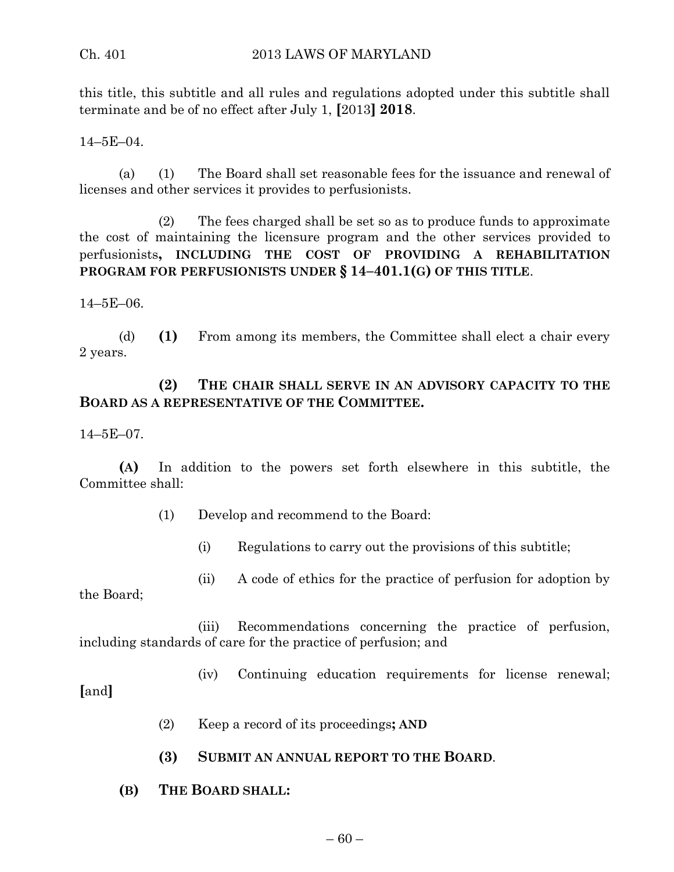this title, this subtitle and all rules and regulations adopted under this subtitle shall terminate and be of no effect after July 1, **[**2013**] 2018**.

14–5E–04.

(a) (1) The Board shall set reasonable fees for the issuance and renewal of licenses and other services it provides to perfusionists.

(2) The fees charged shall be set so as to produce funds to approximate the cost of maintaining the licensure program and the other services provided to perfusionists**, INCLUDING THE COST OF PROVIDING A REHABILITATION PROGRAM FOR PERFUSIONISTS UNDER § 14–401.1(G) OF THIS TITLE**.

14–5E–06.

(d) **(1)** From among its members, the Committee shall elect a chair every 2 years.

## **(2) THE CHAIR SHALL SERVE IN AN ADVISORY CAPACITY TO THE BOARD AS A REPRESENTATIVE OF THE COMMITTEE.**

14–5E–07.

**(A)** In addition to the powers set forth elsewhere in this subtitle, the Committee shall:

- (1) Develop and recommend to the Board:
	- (i) Regulations to carry out the provisions of this subtitle;
- (ii) A code of ethics for the practice of perfusion for adoption by

the Board;

(iii) Recommendations concerning the practice of perfusion, including standards of care for the practice of perfusion; and

(iv) Continuing education requirements for license renewal;

**[**and**]**

- (2) Keep a record of its proceedings**; AND**
- **(3) SUBMIT AN ANNUAL REPORT TO THE BOARD**.
- **(B) THE BOARD SHALL:**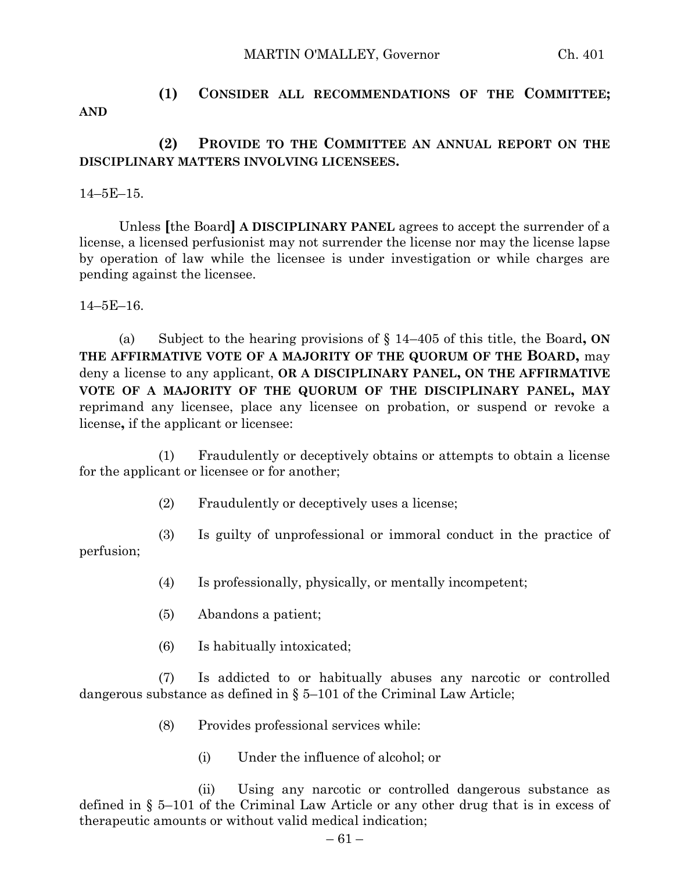#### MARTIN O'MALLEY, Governor Ch. 401

## **(1) CONSIDER ALL RECOMMENDATIONS OF THE COMMITTEE; AND**

### **(2) PROVIDE TO THE COMMITTEE AN ANNUAL REPORT ON THE DISCIPLINARY MATTERS INVOLVING LICENSEES.**

14–5E–15.

Unless **[**the Board**] A DISCIPLINARY PANEL** agrees to accept the surrender of a license, a licensed perfusionist may not surrender the license nor may the license lapse by operation of law while the licensee is under investigation or while charges are pending against the licensee.

14–5E–16.

(a) Subject to the hearing provisions of § 14–405 of this title, the Board**, ON THE AFFIRMATIVE VOTE OF A MAJORITY OF THE QUORUM OF THE BOARD,** may deny a license to any applicant, **OR A DISCIPLINARY PANEL, ON THE AFFIRMATIVE VOTE OF A MAJORITY OF THE QUORUM OF THE DISCIPLINARY PANEL, MAY** reprimand any licensee, place any licensee on probation, or suspend or revoke a license**,** if the applicant or licensee:

(1) Fraudulently or deceptively obtains or attempts to obtain a license for the applicant or licensee or for another;

- (2) Fraudulently or deceptively uses a license;
- (3) Is guilty of unprofessional or immoral conduct in the practice of

perfusion;

- (4) Is professionally, physically, or mentally incompetent;
- (5) Abandons a patient;
- (6) Is habitually intoxicated;

(7) Is addicted to or habitually abuses any narcotic or controlled dangerous substance as defined in  $\S 5-101$  of the Criminal Law Article;

- (8) Provides professional services while:
	- (i) Under the influence of alcohol; or

(ii) Using any narcotic or controlled dangerous substance as defined in § 5–101 of the Criminal Law Article or any other drug that is in excess of therapeutic amounts or without valid medical indication;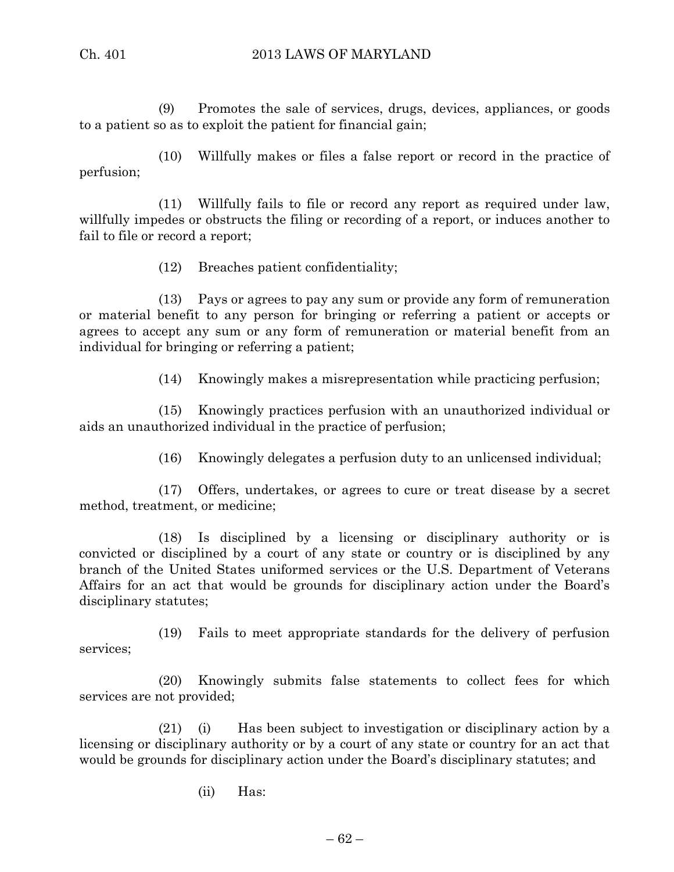(9) Promotes the sale of services, drugs, devices, appliances, or goods to a patient so as to exploit the patient for financial gain;

(10) Willfully makes or files a false report or record in the practice of perfusion;

(11) Willfully fails to file or record any report as required under law, willfully impedes or obstructs the filing or recording of a report, or induces another to fail to file or record a report;

(12) Breaches patient confidentiality;

(13) Pays or agrees to pay any sum or provide any form of remuneration or material benefit to any person for bringing or referring a patient or accepts or agrees to accept any sum or any form of remuneration or material benefit from an individual for bringing or referring a patient;

(14) Knowingly makes a misrepresentation while practicing perfusion;

(15) Knowingly practices perfusion with an unauthorized individual or aids an unauthorized individual in the practice of perfusion;

(16) Knowingly delegates a perfusion duty to an unlicensed individual;

(17) Offers, undertakes, or agrees to cure or treat disease by a secret method, treatment, or medicine;

(18) Is disciplined by a licensing or disciplinary authority or is convicted or disciplined by a court of any state or country or is disciplined by any branch of the United States uniformed services or the U.S. Department of Veterans Affairs for an act that would be grounds for disciplinary action under the Board's disciplinary statutes;

(19) Fails to meet appropriate standards for the delivery of perfusion services;

(20) Knowingly submits false statements to collect fees for which services are not provided;

(21) (i) Has been subject to investigation or disciplinary action by a licensing or disciplinary authority or by a court of any state or country for an act that would be grounds for disciplinary action under the Board's disciplinary statutes; and

(ii) Has: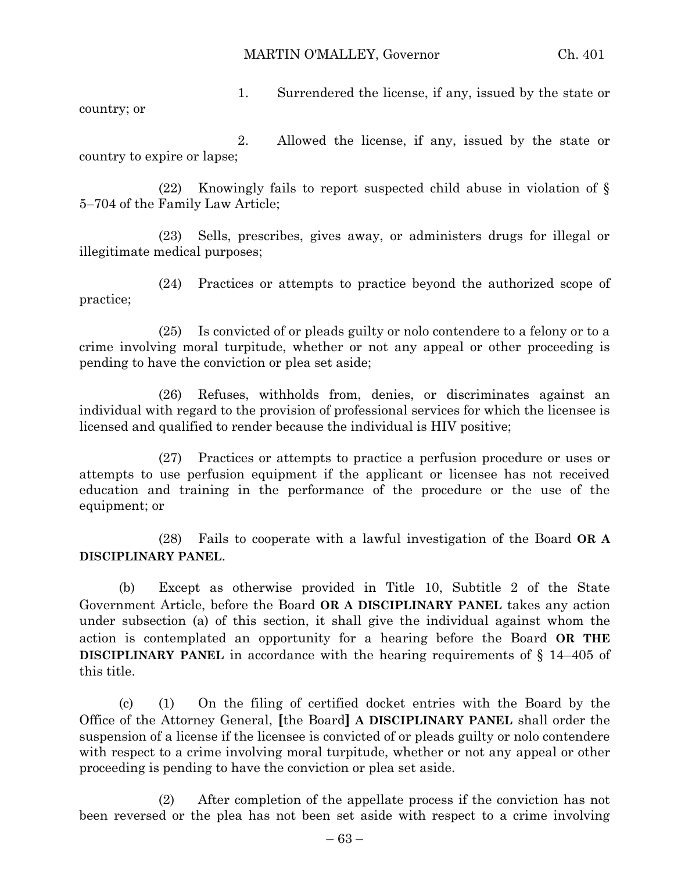MARTIN O'MALLEY, Governor Ch. 401

1. Surrendered the license, if any, issued by the state or country; or

2. Allowed the license, if any, issued by the state or country to expire or lapse;

(22) Knowingly fails to report suspected child abuse in violation of § 5–704 of the Family Law Article;

(23) Sells, prescribes, gives away, or administers drugs for illegal or illegitimate medical purposes;

(24) Practices or attempts to practice beyond the authorized scope of practice;

(25) Is convicted of or pleads guilty or nolo contendere to a felony or to a crime involving moral turpitude, whether or not any appeal or other proceeding is pending to have the conviction or plea set aside;

(26) Refuses, withholds from, denies, or discriminates against an individual with regard to the provision of professional services for which the licensee is licensed and qualified to render because the individual is HIV positive;

(27) Practices or attempts to practice a perfusion procedure or uses or attempts to use perfusion equipment if the applicant or licensee has not received education and training in the performance of the procedure or the use of the equipment; or

(28) Fails to cooperate with a lawful investigation of the Board **OR A DISCIPLINARY PANEL**.

(b) Except as otherwise provided in Title 10, Subtitle 2 of the State Government Article, before the Board **OR A DISCIPLINARY PANEL** takes any action under subsection (a) of this section, it shall give the individual against whom the action is contemplated an opportunity for a hearing before the Board **OR THE DISCIPLINARY PANEL** in accordance with the hearing requirements of § 14–405 of this title.

(c) (1) On the filing of certified docket entries with the Board by the Office of the Attorney General, **[**the Board**] A DISCIPLINARY PANEL** shall order the suspension of a license if the licensee is convicted of or pleads guilty or nolo contendere with respect to a crime involving moral turpitude, whether or not any appeal or other proceeding is pending to have the conviction or plea set aside.

(2) After completion of the appellate process if the conviction has not been reversed or the plea has not been set aside with respect to a crime involving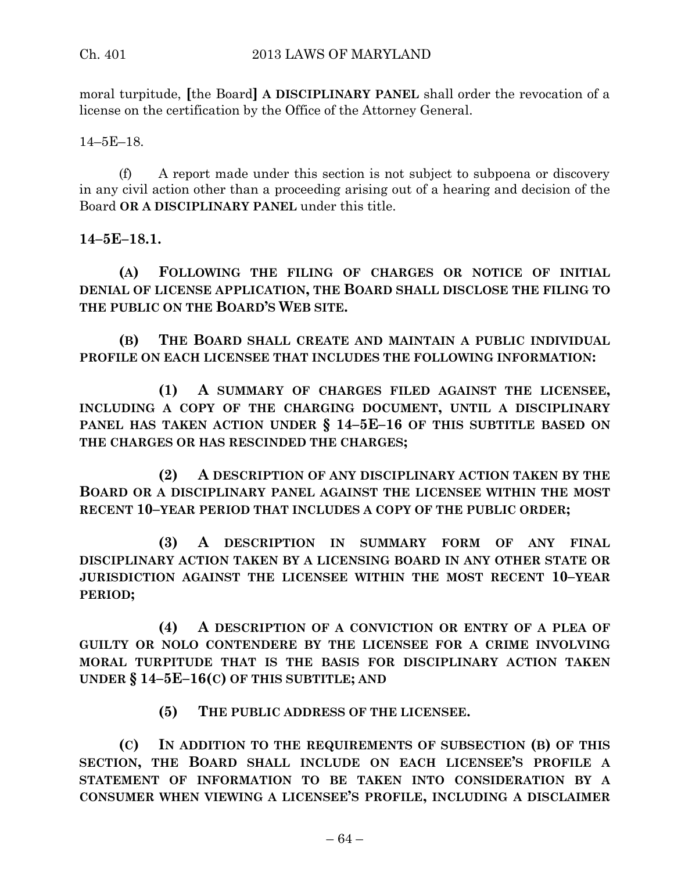moral turpitude, **[**the Board**] A DISCIPLINARY PANEL** shall order the revocation of a license on the certification by the Office of the Attorney General.

14–5E–18.

(f) A report made under this section is not subject to subpoena or discovery in any civil action other than a proceeding arising out of a hearing and decision of the Board **OR A DISCIPLINARY PANEL** under this title.

**14–5E–18.1.**

**(A) FOLLOWING THE FILING OF CHARGES OR NOTICE OF INITIAL DENIAL OF LICENSE APPLICATION, THE BOARD SHALL DISCLOSE THE FILING TO THE PUBLIC ON THE BOARD'S WEB SITE.**

**(B) THE BOARD SHALL CREATE AND MAINTAIN A PUBLIC INDIVIDUAL PROFILE ON EACH LICENSEE THAT INCLUDES THE FOLLOWING INFORMATION:**

**(1) A SUMMARY OF CHARGES FILED AGAINST THE LICENSEE, INCLUDING A COPY OF THE CHARGING DOCUMENT, UNTIL A DISCIPLINARY PANEL HAS TAKEN ACTION UNDER § 14–5E–16 OF THIS SUBTITLE BASED ON THE CHARGES OR HAS RESCINDED THE CHARGES;**

**(2) A DESCRIPTION OF ANY DISCIPLINARY ACTION TAKEN BY THE BOARD OR A DISCIPLINARY PANEL AGAINST THE LICENSEE WITHIN THE MOST RECENT 10–YEAR PERIOD THAT INCLUDES A COPY OF THE PUBLIC ORDER;**

**(3) A DESCRIPTION IN SUMMARY FORM OF ANY FINAL DISCIPLINARY ACTION TAKEN BY A LICENSING BOARD IN ANY OTHER STATE OR JURISDICTION AGAINST THE LICENSEE WITHIN THE MOST RECENT 10–YEAR PERIOD;**

**(4) A DESCRIPTION OF A CONVICTION OR ENTRY OF A PLEA OF GUILTY OR NOLO CONTENDERE BY THE LICENSEE FOR A CRIME INVOLVING MORAL TURPITUDE THAT IS THE BASIS FOR DISCIPLINARY ACTION TAKEN UNDER § 14–5E–16(C) OF THIS SUBTITLE; AND**

**(5) THE PUBLIC ADDRESS OF THE LICENSEE.**

**(C) IN ADDITION TO THE REQUIREMENTS OF SUBSECTION (B) OF THIS SECTION, THE BOARD SHALL INCLUDE ON EACH LICENSEE'S PROFILE A STATEMENT OF INFORMATION TO BE TAKEN INTO CONSIDERATION BY A CONSUMER WHEN VIEWING A LICENSEE'S PROFILE, INCLUDING A DISCLAIMER**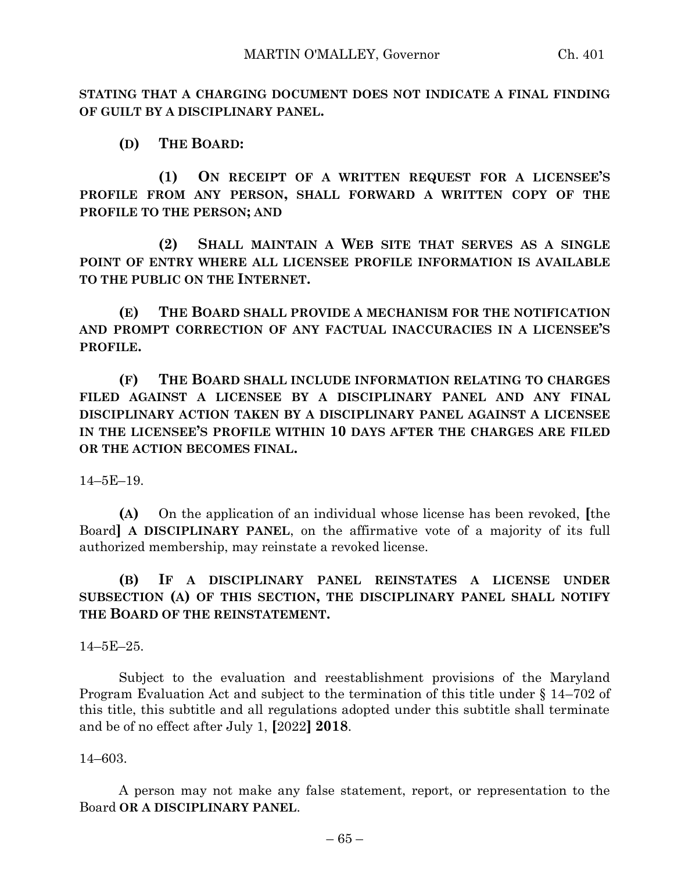**STATING THAT A CHARGING DOCUMENT DOES NOT INDICATE A FINAL FINDING OF GUILT BY A DISCIPLINARY PANEL.**

**(D) THE BOARD:**

**(1) ON RECEIPT OF A WRITTEN REQUEST FOR A LICENSEE'S PROFILE FROM ANY PERSON, SHALL FORWARD A WRITTEN COPY OF THE PROFILE TO THE PERSON; AND**

**(2) SHALL MAINTAIN A WEB SITE THAT SERVES AS A SINGLE POINT OF ENTRY WHERE ALL LICENSEE PROFILE INFORMATION IS AVAILABLE TO THE PUBLIC ON THE INTERNET.**

**(E) THE BOARD SHALL PROVIDE A MECHANISM FOR THE NOTIFICATION AND PROMPT CORRECTION OF ANY FACTUAL INACCURACIES IN A LICENSEE'S PROFILE.**

**(F) THE BOARD SHALL INCLUDE INFORMATION RELATING TO CHARGES FILED AGAINST A LICENSEE BY A DISCIPLINARY PANEL AND ANY FINAL DISCIPLINARY ACTION TAKEN BY A DISCIPLINARY PANEL AGAINST A LICENSEE IN THE LICENSEE'S PROFILE WITHIN 10 DAYS AFTER THE CHARGES ARE FILED OR THE ACTION BECOMES FINAL.**

14–5E–19.

**(A)** On the application of an individual whose license has been revoked, **[**the Board**] A DISCIPLINARY PANEL**, on the affirmative vote of a majority of its full authorized membership, may reinstate a revoked license.

## **(B) IF A DISCIPLINARY PANEL REINSTATES A LICENSE UNDER SUBSECTION (A) OF THIS SECTION, THE DISCIPLINARY PANEL SHALL NOTIFY THE BOARD OF THE REINSTATEMENT.**

14–5E–25.

Subject to the evaluation and reestablishment provisions of the Maryland Program Evaluation Act and subject to the termination of this title under § 14–702 of this title, this subtitle and all regulations adopted under this subtitle shall terminate and be of no effect after July 1, **[**2022**] 2018**.

14–603.

A person may not make any false statement, report, or representation to the Board **OR A DISCIPLINARY PANEL**.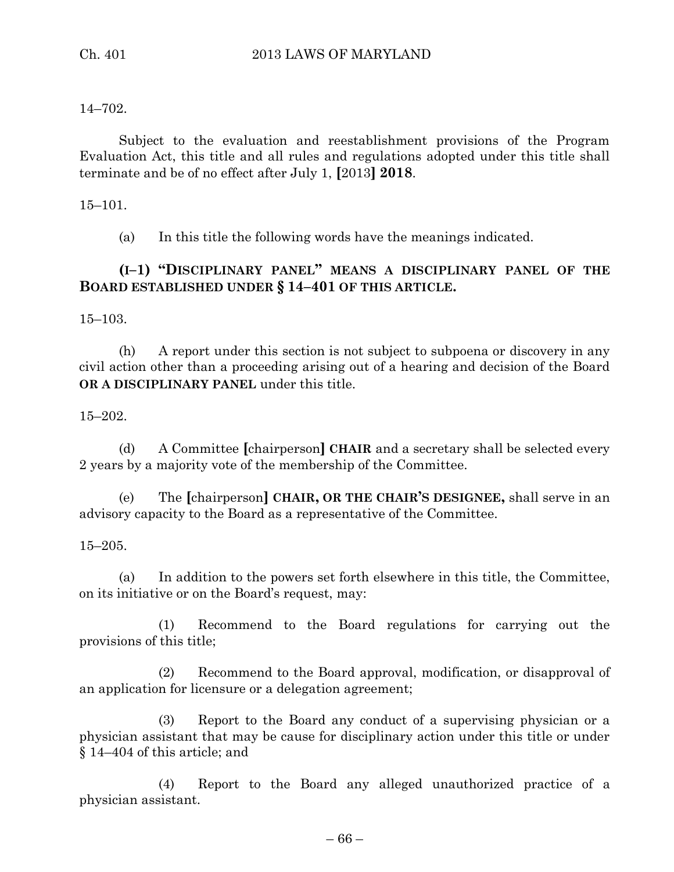#### 14–702.

Subject to the evaluation and reestablishment provisions of the Program Evaluation Act, this title and all rules and regulations adopted under this title shall terminate and be of no effect after July 1, **[**2013**] 2018**.

#### 15–101.

(a) In this title the following words have the meanings indicated.

# **(I–1) "DISCIPLINARY PANEL" MEANS A DISCIPLINARY PANEL OF THE BOARD ESTABLISHED UNDER § 14–401 OF THIS ARTICLE.**

15–103.

(h) A report under this section is not subject to subpoena or discovery in any civil action other than a proceeding arising out of a hearing and decision of the Board **OR A DISCIPLINARY PANEL** under this title.

15–202.

(d) A Committee **[**chairperson**] CHAIR** and a secretary shall be selected every 2 years by a majority vote of the membership of the Committee.

(e) The **[**chairperson**] CHAIR, OR THE CHAIR'S DESIGNEE,** shall serve in an advisory capacity to the Board as a representative of the Committee.

15–205.

(a) In addition to the powers set forth elsewhere in this title, the Committee, on its initiative or on the Board's request, may:

(1) Recommend to the Board regulations for carrying out the provisions of this title;

(2) Recommend to the Board approval, modification, or disapproval of an application for licensure or a delegation agreement;

(3) Report to the Board any conduct of a supervising physician or a physician assistant that may be cause for disciplinary action under this title or under § 14–404 of this article; and

(4) Report to the Board any alleged unauthorized practice of a physician assistant.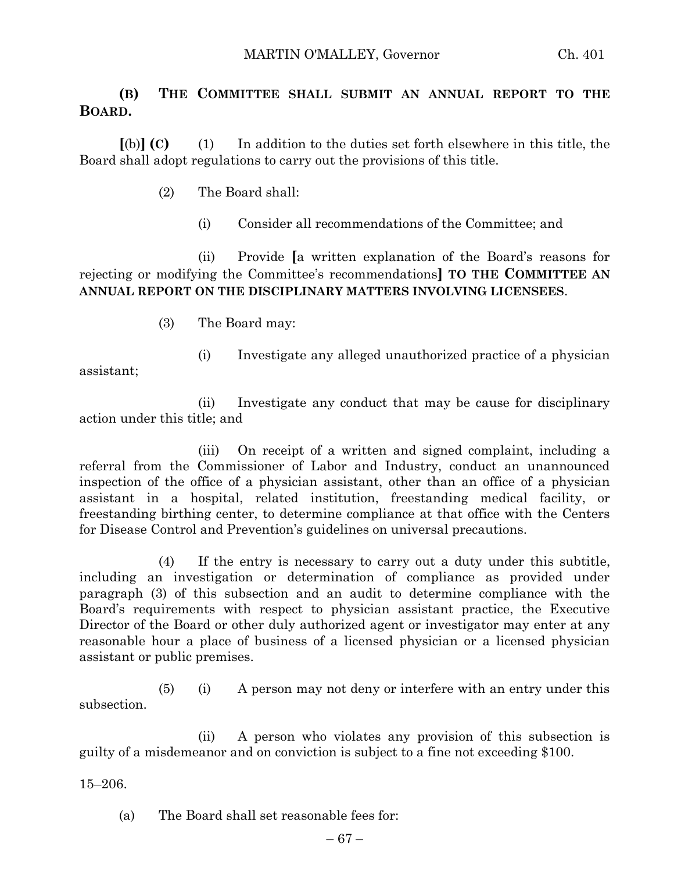# **(B) THE COMMITTEE SHALL SUBMIT AN ANNUAL REPORT TO THE BOARD.**

**[**(b)**] (C)** (1) In addition to the duties set forth elsewhere in this title, the Board shall adopt regulations to carry out the provisions of this title.

- (2) The Board shall:
	- (i) Consider all recommendations of the Committee; and

(ii) Provide **[**a written explanation of the Board's reasons for rejecting or modifying the Committee's recommendations**] TO THE COMMITTEE AN ANNUAL REPORT ON THE DISCIPLINARY MATTERS INVOLVING LICENSEES**.

- (3) The Board may:
- (i) Investigate any alleged unauthorized practice of a physician

assistant;

(ii) Investigate any conduct that may be cause for disciplinary action under this title; and

(iii) On receipt of a written and signed complaint, including a referral from the Commissioner of Labor and Industry, conduct an unannounced inspection of the office of a physician assistant, other than an office of a physician assistant in a hospital, related institution, freestanding medical facility, or freestanding birthing center, to determine compliance at that office with the Centers for Disease Control and Prevention's guidelines on universal precautions.

(4) If the entry is necessary to carry out a duty under this subtitle, including an investigation or determination of compliance as provided under paragraph (3) of this subsection and an audit to determine compliance with the Board's requirements with respect to physician assistant practice, the Executive Director of the Board or other duly authorized agent or investigator may enter at any reasonable hour a place of business of a licensed physician or a licensed physician assistant or public premises.

(5) (i) A person may not deny or interfere with an entry under this subsection.

(ii) A person who violates any provision of this subsection is guilty of a misdemeanor and on conviction is subject to a fine not exceeding \$100.

15–206.

(a) The Board shall set reasonable fees for: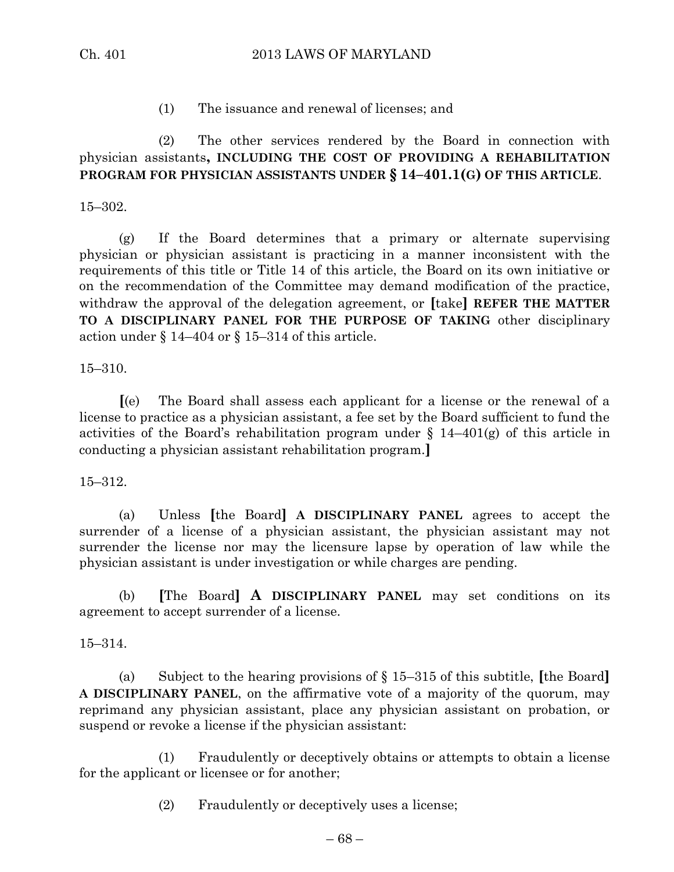(1) The issuance and renewal of licenses; and

## (2) The other services rendered by the Board in connection with physician assistants**, INCLUDING THE COST OF PROVIDING A REHABILITATION PROGRAM FOR PHYSICIAN ASSISTANTS UNDER § 14–401.1(G) OF THIS ARTICLE**.

#### 15–302.

(g) If the Board determines that a primary or alternate supervising physician or physician assistant is practicing in a manner inconsistent with the requirements of this title or Title 14 of this article, the Board on its own initiative or on the recommendation of the Committee may demand modification of the practice, withdraw the approval of the delegation agreement, or **[**take**] REFER THE MATTER TO A DISCIPLINARY PANEL FOR THE PURPOSE OF TAKING** other disciplinary action under § 14–404 or § 15–314 of this article.

15–310.

**[**(e) The Board shall assess each applicant for a license or the renewal of a license to practice as a physician assistant, a fee set by the Board sufficient to fund the activities of the Board's rehabilitation program under  $\S$  14–401(g) of this article in conducting a physician assistant rehabilitation program.**]**

#### 15–312.

(a) Unless **[**the Board**] A DISCIPLINARY PANEL** agrees to accept the surrender of a license of a physician assistant, the physician assistant may not surrender the license nor may the licensure lapse by operation of law while the physician assistant is under investigation or while charges are pending.

(b) **[**The Board**] A DISCIPLINARY PANEL** may set conditions on its agreement to accept surrender of a license.

#### 15–314.

(a) Subject to the hearing provisions of § 15–315 of this subtitle, **[**the Board**] A DISCIPLINARY PANEL**, on the affirmative vote of a majority of the quorum, may reprimand any physician assistant, place any physician assistant on probation, or suspend or revoke a license if the physician assistant:

(1) Fraudulently or deceptively obtains or attempts to obtain a license for the applicant or licensee or for another;

(2) Fraudulently or deceptively uses a license;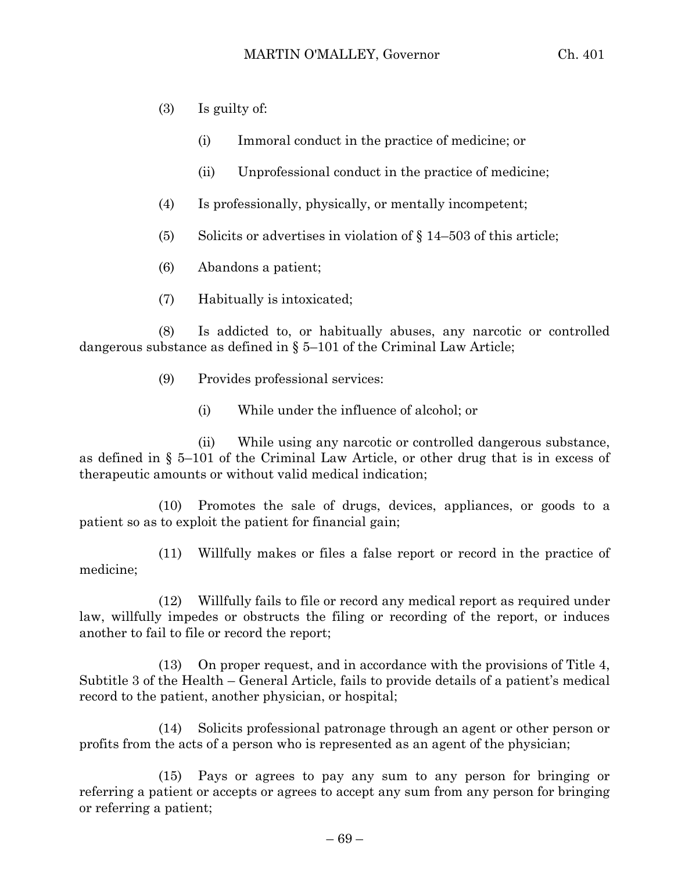- (3) Is guilty of:
	- (i) Immoral conduct in the practice of medicine; or
	- (ii) Unprofessional conduct in the practice of medicine;
- (4) Is professionally, physically, or mentally incompetent;
- (5) Solicits or advertises in violation of  $\S 14-503$  of this article;
- (6) Abandons a patient;
- (7) Habitually is intoxicated;

(8) Is addicted to, or habitually abuses, any narcotic or controlled dangerous substance as defined in  $\S 5-101$  of the Criminal Law Article;

- (9) Provides professional services:
	- (i) While under the influence of alcohol; or

(ii) While using any narcotic or controlled dangerous substance, as defined in § 5–101 of the Criminal Law Article, or other drug that is in excess of therapeutic amounts or without valid medical indication;

(10) Promotes the sale of drugs, devices, appliances, or goods to a patient so as to exploit the patient for financial gain;

(11) Willfully makes or files a false report or record in the practice of medicine;

(12) Willfully fails to file or record any medical report as required under law, willfully impedes or obstructs the filing or recording of the report, or induces another to fail to file or record the report;

(13) On proper request, and in accordance with the provisions of Title 4, Subtitle 3 of the Health – General Article, fails to provide details of a patient's medical record to the patient, another physician, or hospital;

(14) Solicits professional patronage through an agent or other person or profits from the acts of a person who is represented as an agent of the physician;

(15) Pays or agrees to pay any sum to any person for bringing or referring a patient or accepts or agrees to accept any sum from any person for bringing or referring a patient;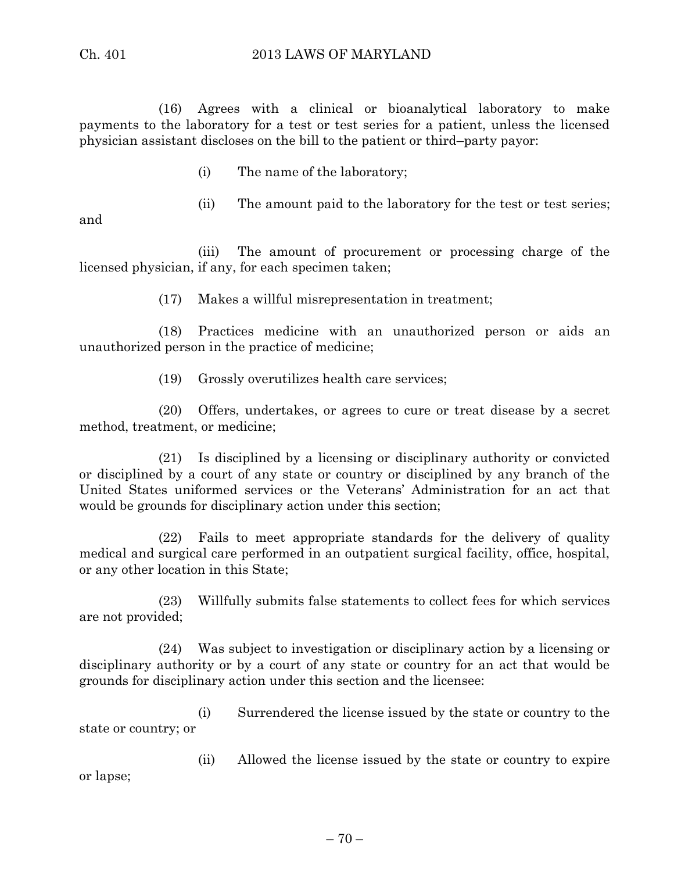(16) Agrees with a clinical or bioanalytical laboratory to make payments to the laboratory for a test or test series for a patient, unless the licensed physician assistant discloses on the bill to the patient or third–party payor:

- (i) The name of the laboratory;
- (ii) The amount paid to the laboratory for the test or test series;

and

(iii) The amount of procurement or processing charge of the licensed physician, if any, for each specimen taken;

(17) Makes a willful misrepresentation in treatment;

(18) Practices medicine with an unauthorized person or aids an unauthorized person in the practice of medicine;

(19) Grossly overutilizes health care services;

(20) Offers, undertakes, or agrees to cure or treat disease by a secret method, treatment, or medicine;

(21) Is disciplined by a licensing or disciplinary authority or convicted or disciplined by a court of any state or country or disciplined by any branch of the United States uniformed services or the Veterans' Administration for an act that would be grounds for disciplinary action under this section;

(22) Fails to meet appropriate standards for the delivery of quality medical and surgical care performed in an outpatient surgical facility, office, hospital, or any other location in this State;

(23) Willfully submits false statements to collect fees for which services are not provided;

(24) Was subject to investigation or disciplinary action by a licensing or disciplinary authority or by a court of any state or country for an act that would be grounds for disciplinary action under this section and the licensee:

(i) Surrendered the license issued by the state or country to the state or country; or

(ii) Allowed the license issued by the state or country to expire or lapse;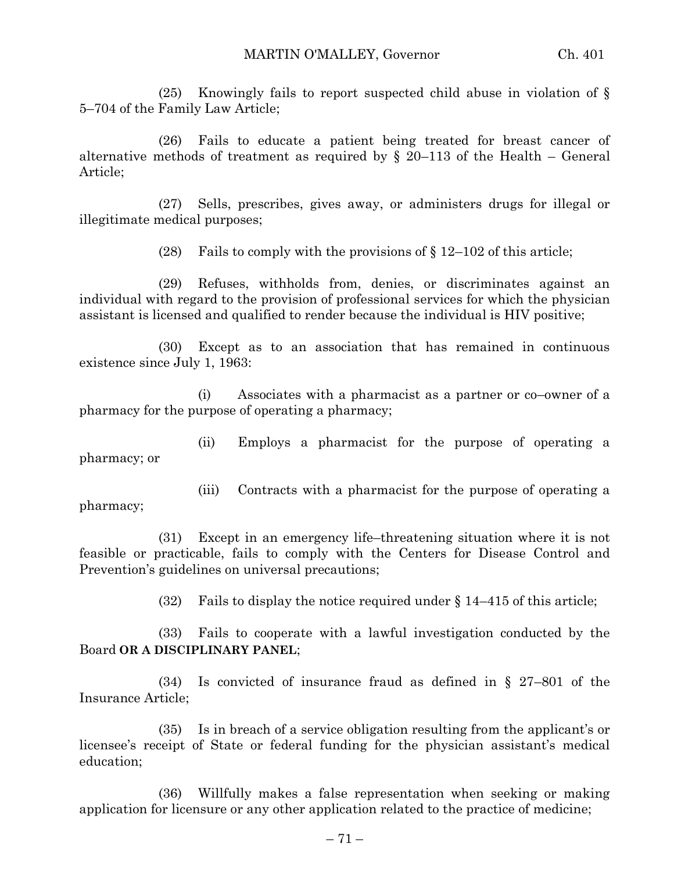(25) Knowingly fails to report suspected child abuse in violation of § 5–704 of the Family Law Article;

(26) Fails to educate a patient being treated for breast cancer of alternative methods of treatment as required by  $\S$  20–113 of the Health – General Article;

(27) Sells, prescribes, gives away, or administers drugs for illegal or illegitimate medical purposes;

(28) Fails to comply with the provisions of  $\S 12-102$  of this article;

(29) Refuses, withholds from, denies, or discriminates against an individual with regard to the provision of professional services for which the physician assistant is licensed and qualified to render because the individual is HIV positive;

(30) Except as to an association that has remained in continuous existence since July 1, 1963:

(i) Associates with a pharmacist as a partner or co–owner of a pharmacy for the purpose of operating a pharmacy;

(ii) Employs a pharmacist for the purpose of operating a pharmacy; or

(iii) Contracts with a pharmacist for the purpose of operating a pharmacy;

(31) Except in an emergency life–threatening situation where it is not feasible or practicable, fails to comply with the Centers for Disease Control and Prevention's guidelines on universal precautions;

(32) Fails to display the notice required under  $\S 14-415$  of this article;

(33) Fails to cooperate with a lawful investigation conducted by the Board **OR A DISCIPLINARY PANEL**;

(34) Is convicted of insurance fraud as defined in § 27–801 of the Insurance Article;

(35) Is in breach of a service obligation resulting from the applicant's or licensee's receipt of State or federal funding for the physician assistant's medical education;

(36) Willfully makes a false representation when seeking or making application for licensure or any other application related to the practice of medicine;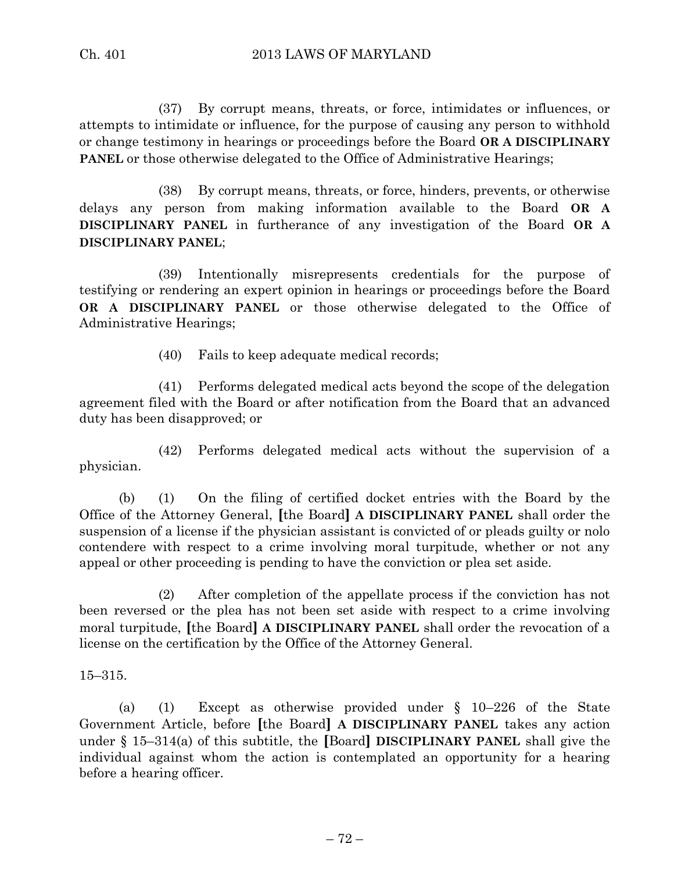(37) By corrupt means, threats, or force, intimidates or influences, or attempts to intimidate or influence, for the purpose of causing any person to withhold or change testimony in hearings or proceedings before the Board **OR A DISCIPLINARY PANEL** or those otherwise delegated to the Office of Administrative Hearings;

(38) By corrupt means, threats, or force, hinders, prevents, or otherwise delays any person from making information available to the Board **OR A DISCIPLINARY PANEL** in furtherance of any investigation of the Board **OR A DISCIPLINARY PANEL**;

(39) Intentionally misrepresents credentials for the purpose of testifying or rendering an expert opinion in hearings or proceedings before the Board **OR A DISCIPLINARY PANEL** or those otherwise delegated to the Office of Administrative Hearings;

(40) Fails to keep adequate medical records;

(41) Performs delegated medical acts beyond the scope of the delegation agreement filed with the Board or after notification from the Board that an advanced duty has been disapproved; or

(42) Performs delegated medical acts without the supervision of a physician.

(b) (1) On the filing of certified docket entries with the Board by the Office of the Attorney General, **[**the Board**] A DISCIPLINARY PANEL** shall order the suspension of a license if the physician assistant is convicted of or pleads guilty or nolo contendere with respect to a crime involving moral turpitude, whether or not any appeal or other proceeding is pending to have the conviction or plea set aside.

(2) After completion of the appellate process if the conviction has not been reversed or the plea has not been set aside with respect to a crime involving moral turpitude, **[**the Board**] A DISCIPLINARY PANEL** shall order the revocation of a license on the certification by the Office of the Attorney General.

15–315.

(a) (1) Except as otherwise provided under § 10–226 of the State Government Article, before **[**the Board**] A DISCIPLINARY PANEL** takes any action under § 15–314(a) of this subtitle, the **[**Board**] DISCIPLINARY PANEL** shall give the individual against whom the action is contemplated an opportunity for a hearing before a hearing officer.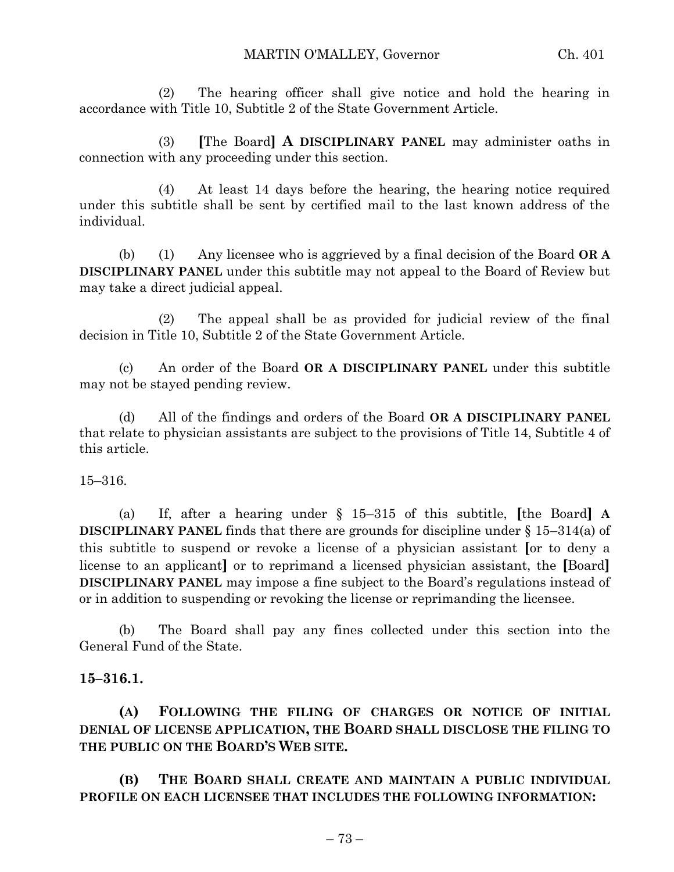(2) The hearing officer shall give notice and hold the hearing in accordance with Title 10, Subtitle 2 of the State Government Article.

(3) **[**The Board**] A DISCIPLINARY PANEL** may administer oaths in connection with any proceeding under this section.

(4) At least 14 days before the hearing, the hearing notice required under this subtitle shall be sent by certified mail to the last known address of the individual.

(b) (1) Any licensee who is aggrieved by a final decision of the Board **OR A DISCIPLINARY PANEL** under this subtitle may not appeal to the Board of Review but may take a direct judicial appeal.

(2) The appeal shall be as provided for judicial review of the final decision in Title 10, Subtitle 2 of the State Government Article.

(c) An order of the Board **OR A DISCIPLINARY PANEL** under this subtitle may not be stayed pending review.

(d) All of the findings and orders of the Board **OR A DISCIPLINARY PANEL** that relate to physician assistants are subject to the provisions of Title 14, Subtitle 4 of this article.

15–316.

(a) If, after a hearing under § 15–315 of this subtitle, **[**the Board**] A DISCIPLINARY PANEL** finds that there are grounds for discipline under § 15–314(a) of this subtitle to suspend or revoke a license of a physician assistant **[**or to deny a license to an applicant**]** or to reprimand a licensed physician assistant, the **[**Board**] DISCIPLINARY PANEL** may impose a fine subject to the Board's regulations instead of or in addition to suspending or revoking the license or reprimanding the licensee.

(b) The Board shall pay any fines collected under this section into the General Fund of the State.

## **15–316.1.**

**(A) FOLLOWING THE FILING OF CHARGES OR NOTICE OF INITIAL DENIAL OF LICENSE APPLICATION, THE BOARD SHALL DISCLOSE THE FILING TO THE PUBLIC ON THE BOARD'S WEB SITE.**

**(B) THE BOARD SHALL CREATE AND MAINTAIN A PUBLIC INDIVIDUAL PROFILE ON EACH LICENSEE THAT INCLUDES THE FOLLOWING INFORMATION:**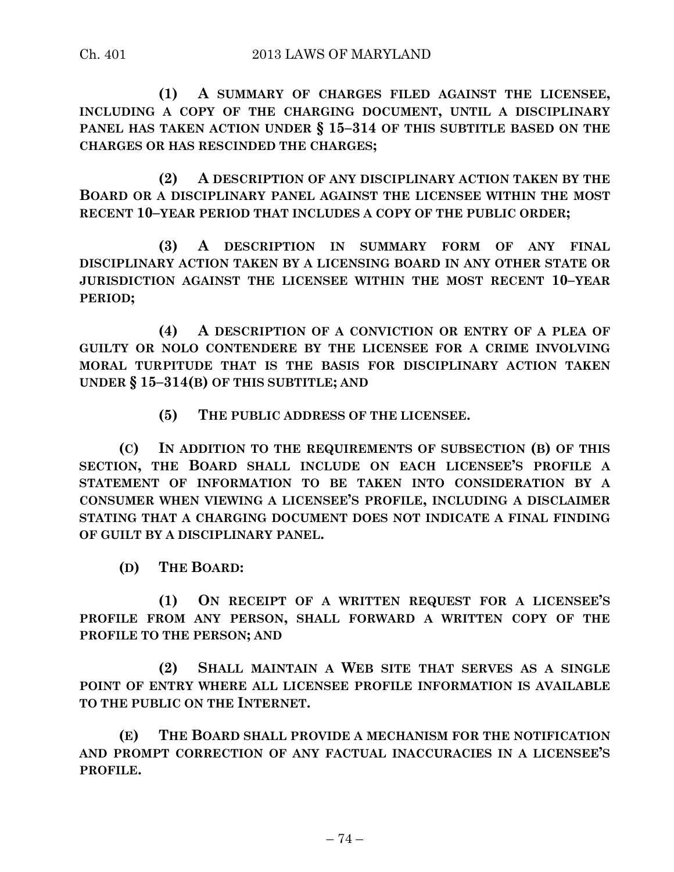**(1) A SUMMARY OF CHARGES FILED AGAINST THE LICENSEE, INCLUDING A COPY OF THE CHARGING DOCUMENT, UNTIL A DISCIPLINARY PANEL HAS TAKEN ACTION UNDER § 15–314 OF THIS SUBTITLE BASED ON THE CHARGES OR HAS RESCINDED THE CHARGES;**

**(2) A DESCRIPTION OF ANY DISCIPLINARY ACTION TAKEN BY THE BOARD OR A DISCIPLINARY PANEL AGAINST THE LICENSEE WITHIN THE MOST RECENT 10–YEAR PERIOD THAT INCLUDES A COPY OF THE PUBLIC ORDER;**

**(3) A DESCRIPTION IN SUMMARY FORM OF ANY FINAL DISCIPLINARY ACTION TAKEN BY A LICENSING BOARD IN ANY OTHER STATE OR JURISDICTION AGAINST THE LICENSEE WITHIN THE MOST RECENT 10–YEAR PERIOD;**

**(4) A DESCRIPTION OF A CONVICTION OR ENTRY OF A PLEA OF GUILTY OR NOLO CONTENDERE BY THE LICENSEE FOR A CRIME INVOLVING MORAL TURPITUDE THAT IS THE BASIS FOR DISCIPLINARY ACTION TAKEN UNDER § 15–314(B) OF THIS SUBTITLE; AND**

**(5) THE PUBLIC ADDRESS OF THE LICENSEE.**

**(C) IN ADDITION TO THE REQUIREMENTS OF SUBSECTION (B) OF THIS SECTION, THE BOARD SHALL INCLUDE ON EACH LICENSEE'S PROFILE A STATEMENT OF INFORMATION TO BE TAKEN INTO CONSIDERATION BY A CONSUMER WHEN VIEWING A LICENSEE'S PROFILE, INCLUDING A DISCLAIMER STATING THAT A CHARGING DOCUMENT DOES NOT INDICATE A FINAL FINDING OF GUILT BY A DISCIPLINARY PANEL.**

**(D) THE BOARD:**

**(1) ON RECEIPT OF A WRITTEN REQUEST FOR A LICENSEE'S PROFILE FROM ANY PERSON, SHALL FORWARD A WRITTEN COPY OF THE PROFILE TO THE PERSON; AND**

**(2) SHALL MAINTAIN A WEB SITE THAT SERVES AS A SINGLE POINT OF ENTRY WHERE ALL LICENSEE PROFILE INFORMATION IS AVAILABLE TO THE PUBLIC ON THE INTERNET.**

**(E) THE BOARD SHALL PROVIDE A MECHANISM FOR THE NOTIFICATION AND PROMPT CORRECTION OF ANY FACTUAL INACCURACIES IN A LICENSEE'S PROFILE.**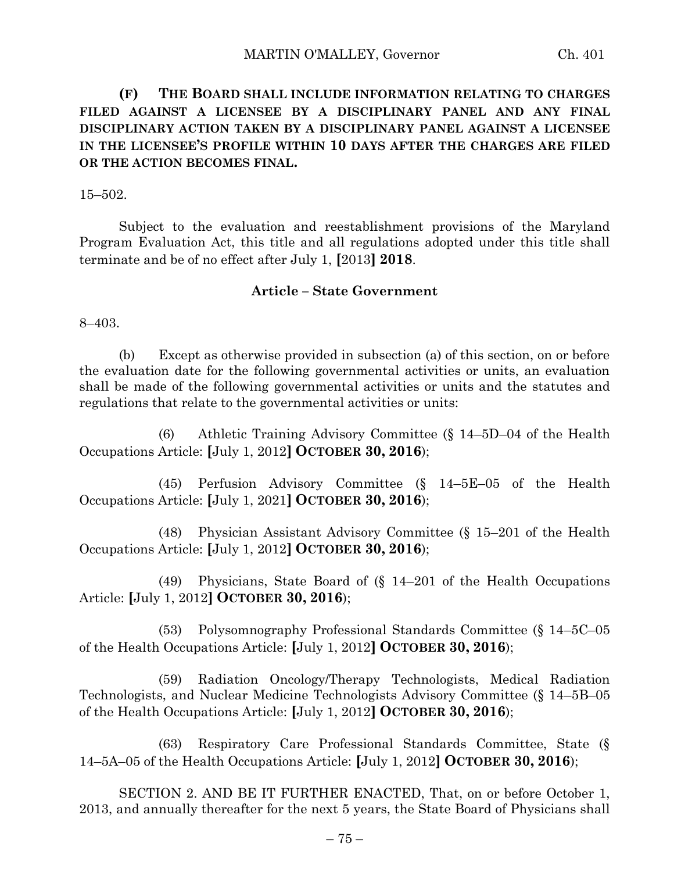**(F) THE BOARD SHALL INCLUDE INFORMATION RELATING TO CHARGES FILED AGAINST A LICENSEE BY A DISCIPLINARY PANEL AND ANY FINAL DISCIPLINARY ACTION TAKEN BY A DISCIPLINARY PANEL AGAINST A LICENSEE IN THE LICENSEE'S PROFILE WITHIN 10 DAYS AFTER THE CHARGES ARE FILED OR THE ACTION BECOMES FINAL.**

15–502.

Subject to the evaluation and reestablishment provisions of the Maryland Program Evaluation Act, this title and all regulations adopted under this title shall terminate and be of no effect after July 1, **[**2013**] 2018**.

## **Article – State Government**

8–403.

(b) Except as otherwise provided in subsection (a) of this section, on or before the evaluation date for the following governmental activities or units, an evaluation shall be made of the following governmental activities or units and the statutes and regulations that relate to the governmental activities or units:

(6) Athletic Training Advisory Committee (§ 14–5D–04 of the Health Occupations Article: **[**July 1, 2012**] OCTOBER 30, 2016**);

(45) Perfusion Advisory Committee (§ 14–5E–05 of the Health Occupations Article: **[**July 1, 2021**] OCTOBER 30, 2016**);

(48) Physician Assistant Advisory Committee (§ 15–201 of the Health Occupations Article: **[**July 1, 2012**] OCTOBER 30, 2016**);

(49) Physicians, State Board of (§ 14–201 of the Health Occupations Article: **[**July 1, 2012**] OCTOBER 30, 2016**);

(53) Polysomnography Professional Standards Committee (§ 14–5C–05 of the Health Occupations Article: **[**July 1, 2012**] OCTOBER 30, 2016**);

(59) Radiation Oncology/Therapy Technologists, Medical Radiation Technologists, and Nuclear Medicine Technologists Advisory Committee (§ 14–5B–05 of the Health Occupations Article: **[**July 1, 2012**] OCTOBER 30, 2016**);

(63) Respiratory Care Professional Standards Committee, State (§ 14–5A–05 of the Health Occupations Article: **[**July 1, 2012**] OCTOBER 30, 2016**);

SECTION 2. AND BE IT FURTHER ENACTED, That, on or before October 1, 2013, and annually thereafter for the next 5 years, the State Board of Physicians shall